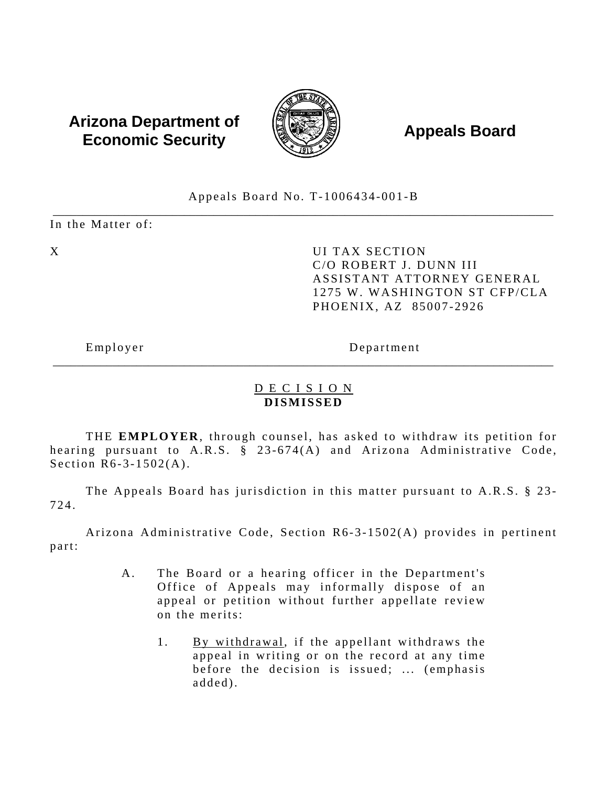# **Arizona Department of**  $\left(\begin{matrix} 1 & 0 & 0 \\ 0 & 0 & 0 \\ 0 & 0 & 0 \end{matrix}\right)$  **Appeals Board Economic Security**



Appeals Board No. T-1006434-001-B

\_\_\_\_\_\_\_\_\_\_\_\_\_\_\_\_\_\_\_\_\_\_\_\_\_\_\_\_\_\_\_\_\_\_\_\_\_\_\_\_\_\_\_\_\_\_\_\_\_\_\_\_\_\_\_\_\_\_\_\_\_\_\_\_\_\_\_\_\_\_\_\_\_\_\_\_\_\_\_\_\_\_\_\_ In the Matter of:

X DI TAX SECTION C/O ROBERT J. DUNN III ASSISTANT ATTORNEY GENERAL 1275 W. WASHINGTON ST CFP/CLA PHOENIX, AZ 85007-2926

Employer Department

### D E C I S I O N **DISMISSED**

\_\_\_\_\_\_\_\_\_\_\_\_\_\_\_\_\_\_\_\_\_\_\_\_\_\_\_\_\_\_\_\_\_\_\_\_\_\_\_\_\_\_\_\_\_\_\_\_\_\_\_\_\_\_\_\_\_\_\_\_\_\_\_\_\_\_\_\_\_\_\_\_\_\_\_\_\_\_\_\_\_\_\_\_

THE **EMPLOYER**, through counsel, has asked to withdraw its petition for hearing pursuant to A.R.S. § 23-674(A) and Arizona Administrative Code, Section R6-3-1502(A).

The Appeals Board has jurisdiction in this matter pursuant to A.R.S. § 23-724.

Arizona Administrative Code, Section R6-3-1502(A) provides in pertinent part:

- A. The Board or a hearing officer in the Department's Office of Appeals may informally dispose of an appeal or petition without further appellate review on the merits:
	- 1. By withdrawal, if the appellant withdraws the appeal in writing or on the record at any time before the decision is issued; ... (emphasis added).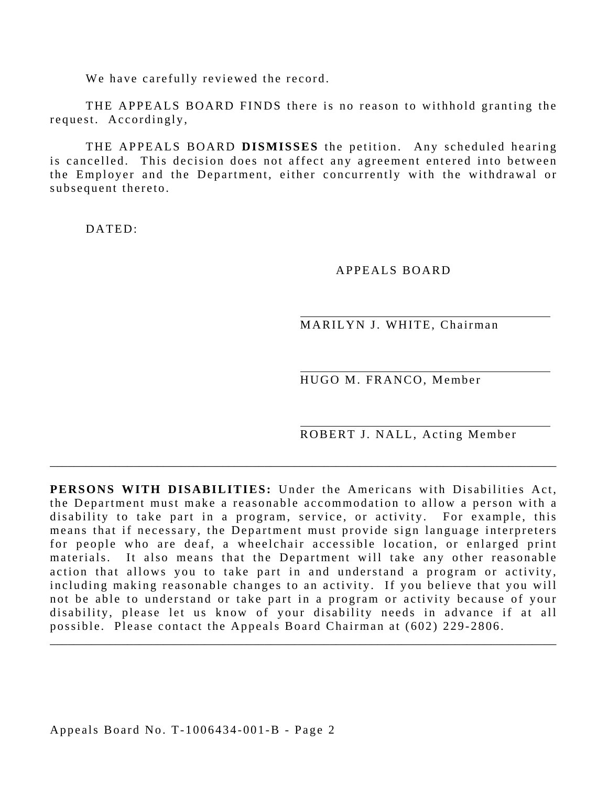We have carefully reviewed the record.

THE APPEALS BOARD FINDS there is no reason to withhold granting the request. Accordingly,

THE APPEALS BOARD **DISMISSES** the petition. Any scheduled hearing is cancelled. This decision does not affect any agreement entered into between the Employer and the Department, either concurrently with the withdrawal or subsequent thereto.

DATED:

APPEALS BOARD

MARILYN J. WHITE, Chairman

HUGO M. FRANCO, Member

ROBERT J. NALL, Acting Member

**PERSONS WITH DISABILITIES:** Under the Americans with Disabilities Act, the Department must make a reasonable accommodation to allow a person with a disability to take part in a program, service, or activity. For example, this means that if necessary, the Department must provide sign language interpreters for people who are deaf, a wheelchair accessible location, or enlarged print materials. It also means that the Department will take any other reasonable action that allows you to take part in and understand a program or activity, including making reasonable changes to an activity. If you believe that you will not be able to understand or take part in a program or activity because of your disability, please let us know of your disability needs in advance if at all possible. Please contact the Appeals Board Chairman at (602) 229-2806.

\_\_\_\_\_\_\_\_\_\_\_\_\_\_\_\_\_\_\_\_\_\_\_\_\_\_\_\_\_\_\_\_\_\_\_\_\_\_\_\_\_\_\_\_\_\_\_\_\_\_\_\_\_\_\_\_\_\_\_\_\_\_\_\_\_\_\_\_\_\_\_\_\_\_\_\_\_\_\_\_\_\_\_\_\_

\_\_\_\_\_\_\_\_\_\_\_\_\_\_\_\_\_\_\_\_\_\_\_\_\_\_\_\_\_\_\_\_\_\_\_\_\_\_\_\_\_\_\_\_\_\_\_\_\_\_\_\_\_\_\_\_\_\_\_\_\_\_\_\_\_\_\_\_\_\_\_\_\_\_\_\_\_\_\_\_\_\_\_\_\_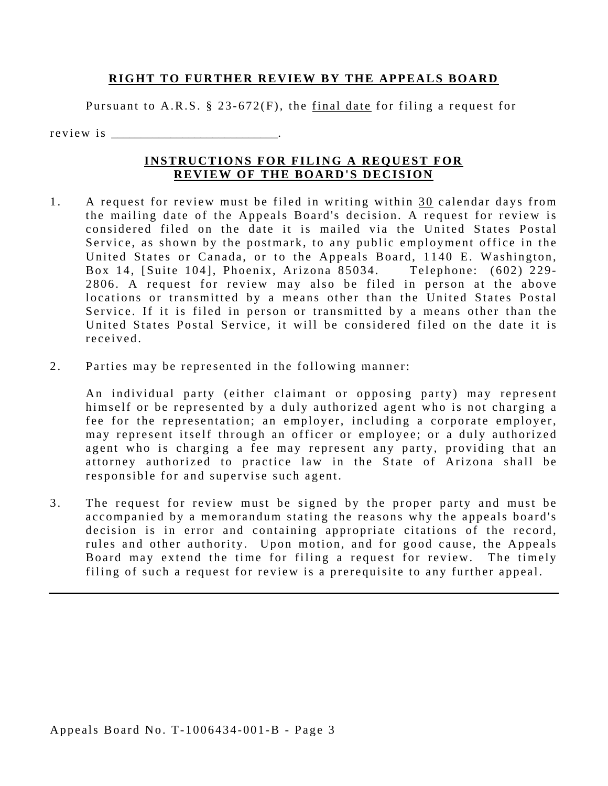#### **RIGHT TO FURTHER REVIEW BY THE APPEALS BOARD**

Pursuant to A.R.S.  $\S$  23-672(F), the final date for filing a request for

r e v i e w i s

#### **INSTRUCTIONS FOR FILING A REQUEST FOR REVIEW OF THE BOARD'S DECISION**

- received 1. A request for review must be filed in writing within 30 calendar days from the mailing date of the Appeals Board's decision. A request for review is considered filed on the date it is mailed via the United States Postal Service, as shown by the postmark, to any public employment office in the United States or Canada, or to the Appeals Board, 1140 E. Washington, Box 14, [Suite 104], Phoenix, Arizona 85034. Telephone: (602) 229-2806. A request for review may also be filed in person at the above locations or transmitted by a means other than the United States Postal Service. If it is filed in person or transmitted by a means other than the United States Postal Service, it will be considered filed on the date it is
- 2. Parties may be represented in the following manner:

An individual party (either claimant or opposing party) may represent himself or be represented by a duly authorized agent who is not charging a fee for the representation; an employer, including a corporate employer, may represent itself through an officer or employee; or a duly authorized agent who is charging a fee may represent any party, providing that an attorney authorized to practice law in the State of Arizona shall be responsible for and supervise such agent.

3. The request for review must be signed by the proper party and must be accompanied by a memorandum stating the reasons why the appeals board's decision is in error and containing appropriate citations of the record, rules and other authority. Upon motion, and for good cause, the Appeals Board may extend the time for filing a request for review. The timely filing of such a request for review is a prerequisite to any further appeal.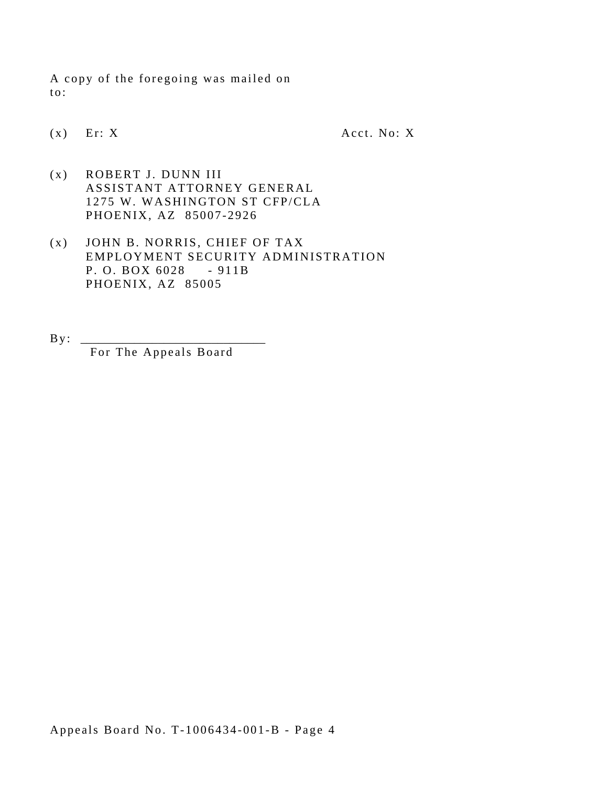A copy of the foregoing was mailed on to:

 $(x)$  Er: X Acct. No: X

- (x) ROBERT J. DUNN III ASSISTANT ATTORNEY GENERAL 1275 W. WASHINGTON ST CFP/CLA PHOENIX, AZ 85007-2926
- P. O. BOX 6028 911B (x) JOHN B. NORRIS, CHIEF OF TAX EMPLOYMENT SECURITY ADMINISTRATION PHOENIX, AZ 85005
- By : \_\_\_\_\_\_\_\_\_\_\_\_\_\_\_\_\_\_\_\_\_\_\_\_\_\_\_\_\_\_\_ For The Appeals Board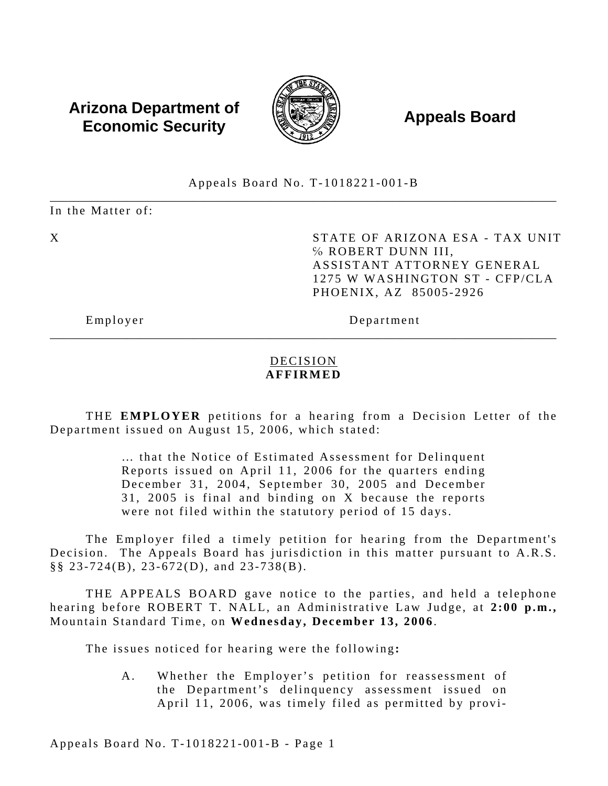### **Arizona Department of**  $\left(\begin{matrix} 1 & 0 & 0 \\ 0 & 0 & 0 \\ 0 & 0 & 0 \end{matrix}\right)$  **Appeals Board Economic Security**



#### \_\_\_\_\_\_\_\_\_\_\_\_\_\_\_\_\_\_\_\_\_\_\_\_\_\_\_\_\_\_\_\_\_\_\_\_\_\_\_\_\_\_\_\_\_\_\_\_\_\_\_\_\_\_\_\_\_\_\_\_\_\_\_\_\_\_\_\_\_\_\_\_\_\_\_\_\_\_\_\_\_\_\_\_\_ Appeals Board No. T-1018221-001-B

In the Matter of:

X STATE OF ARIZONA ESA - TAX UNIT ℅ ROBERT DUNN III, ASSISTANT ATTORNEY GENERAL 1275 W WASHINGTON ST - CFP/CLA PHOENIX, AZ 85005-2926

Employer Department

### DECISION **AFFIRMED**

\_\_\_\_\_\_\_\_\_\_\_\_\_\_\_\_\_\_\_\_\_\_\_\_\_\_\_\_\_\_\_\_\_\_\_\_\_\_\_\_\_\_\_\_\_\_\_\_\_\_\_\_\_\_\_\_\_\_\_\_\_\_\_\_\_\_\_\_\_\_\_\_\_\_\_\_\_\_\_\_\_\_\_\_\_

THE **EMPLOYER** petitions for a hearing from a Decision Letter of the Department issued on August 15, 2006, which stated:

> … that the Notice of Estimated Assessment for Delinquent Reports issued on April 11, 2006 for the quarters ending December 31, 2004, September 30, 2005 and December 31, 2005 is final and binding on X because the reports were not filed within the statutory period of 15 days.

The Employer filed a timely petition for hearing from the Department's Decision. The Appeals Board has jurisdiction in this matter pursuant to A.R.S. §§ 23-724(B), 23-672(D), and 23-738(B).

THE APPEALS BOARD gave notice to the parties, and held a telephone hearing before ROBERT T. NALL, an Administrative Law Judge, at **2:00 p.m.,**  Mountain Standard Time, on **Wednesday, December 13, 2006**.

The issues noticed for hearing were the following**:** 

A. Whether the Employer's petition for reassessment of the Department's delinquency assessment issued on April 11, 2006, was timely filed as permitted by provi-

Appeals Board No. T-1018221-001-B - Page 1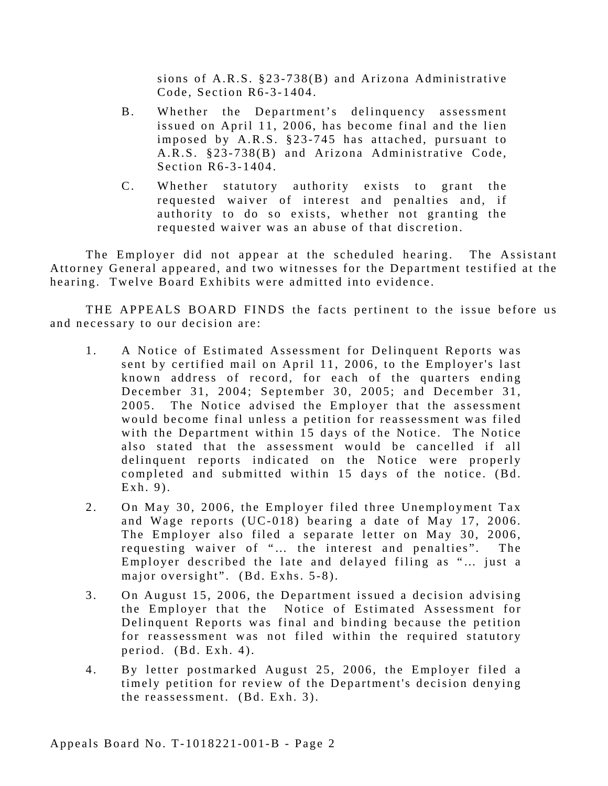sions of A.R.S. §23-738(B) and Arizona Administrative Code, Section R6-3-1404.

- B. Whether the Department's delinquency assessment issued on April 11, 2006, has become final and the lien imposed by A.R.S. §23-745 has attached, pursuant to A.R.S. §23-738(B) and Arizona Administrative Code, Section R6-3-1404.
- C. Whether statutory authority exists to grant the requested waiver of interest and penalties and, if authority to do so exists, whether not granting the requested waiver was an abuse of that discretion.

The Employer did not appear at the scheduled hearing. The Assistant Attorney General appeared, and two witnesses for the Department testified at the hearing. Twelve Board Exhibits were admitted into evidence.

THE APPEALS BOARD FINDS the facts pertinent to the issue before us and necessary to our decision are:

- 1. A Notice of Estimated Assessment for Delinquent Reports was sent by certified mail on April 11, 2006, to the Employer's last known address of record, for each of the quarters ending December 31, 2004; September 30, 2005; and December 31, 2005. The Notice advised the Employer that the assessment would become final unless a petition for reassessment was filed with the Department within 15 days of the Notice. The Notice also stated that the assessment would be cancelled if all delinquent reports indicated on the Notice were properly completed and submitted within 15 days of the notice. (Bd. Exh. 9).
- 2. On May 30, 2006, the Employer filed three Unemployment Tax and Wage reports (UC-018) bearing a date of May 17, 2006. The Employer also filed a separate letter on May 30, 2006, requesting waiver of "… the interest and penalties". The Employer described the late and delayed filing as "… just a major oversight". (Bd. Exhs. 5-8).
- 3. On August 15, 2006, the Department issued a decision advising the Employer that the Notice of Estimated Assessment for Delinquent Reports was final and binding because the petition for reassessment was not filed within the required statutory period. (Bd. Exh. 4).
- 4. By letter postmarked August 25, 2006, the Employer filed a timely petition for review of the Department's decision denying the reassessment. (Bd. Exh. 3).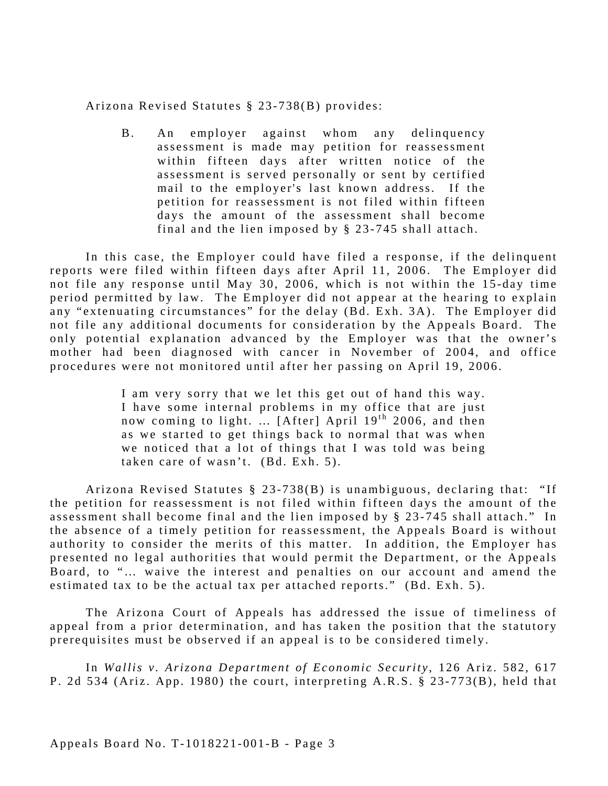Arizona Revised Statutes § 23-738(B) provides:

B. An employer against whom any delinquency assessment is made may petition for reassessment within fifteen days after written notice of the assessment is served personally or sent by certified mail to the employer's last known address. If the petition for reassessment is not filed within fifteen days the amount of the assessment shall become final and the lien imposed by § 23-745 shall attach.

In this case, the Employer could have filed a response, if the delinquent reports were filed within fifteen days after April 11, 2006. The Employer did not file any response until May 30, 2006, which is not within the 15-day time period permitted by law. The Employer did not appear at the hearing to explain any "extenuating circumstances" for the delay (Bd. Exh. 3A). The Employer did not file any additional documents for consideration by the Appeals Board. The only potential explanation advanced by the Employer was that the owner's mother had been diagnosed with cancer in November of 2004, and office procedures were not monitored until after her passing on April 19, 2006.

> I am very sorry that we let this get out of hand this way. I have some internal problems in my office that are just now coming to light. ... [After] April  $19<sup>th</sup> 2006$ , and then as we started to get things back to normal that was when we noticed that a lot of things that I was told was being taken care of wasn't. (Bd. Exh. 5).

Arizona Revised Statutes § 23-738(B) is unambiguous, declaring that: "If the petition for reassessment is not filed within fifteen days the amount of the assessment shall become final and the lien imposed by § 23-745 shall attach." In the absence of a timely petition for reassessment, the Appeals Board is without authority to consider the merits of this matter. In addition, the Employer has presented no legal authorities that would permit the Department, or the Appeals Board, to "… waive the interest and penalties on our account and amend the estimated tax to be the actual tax per attached reports." (Bd. Exh. 5).

The Arizona Court of Appeals has addressed the issue of timeliness of appeal from a prior determination, and has taken the position that the statutory prerequisites must be observed if an appeal is to be considered timely.

In *Wallis v. Arizona Department of Economic Security* , 126 Ariz. 582, 617 P. 2d 534 (Ariz. App. 1980) the court, interpreting A.R.S.  $\S$  23-773(B), held that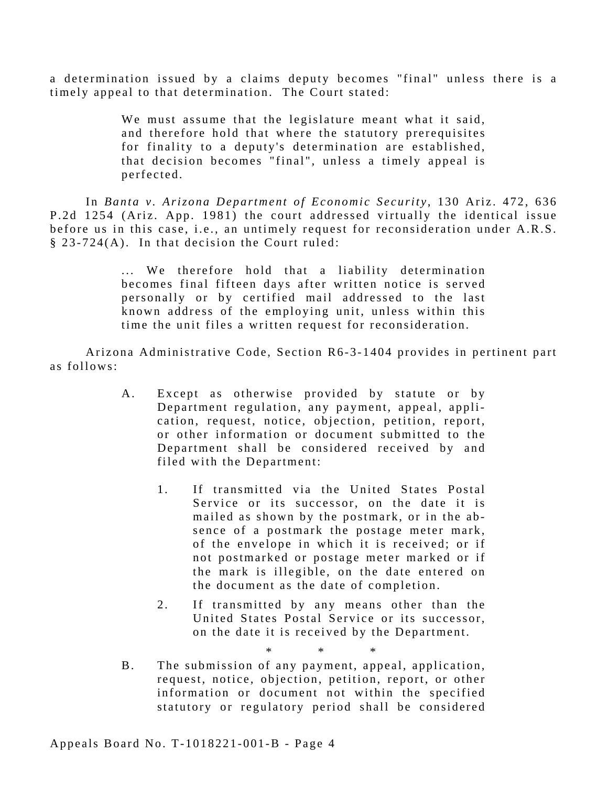a determination issued by a claims deputy becomes "final" unless there is a timely appeal to that determination. The Court stated:

> We must assume that the legislature meant what it said, and therefore hold that where the statutory prerequisites for finality to a deputy's determination are established, that decision becomes "final", unless a timely appeal is perfected.

In *Banta v. Arizona Department of Economic Security* , 130 Ariz. 472, 636 P.2d 1254 (Ariz. App. 1981) the court addressed virtually the identical issue before us in this case, i.e., an untimely request for reconsideration under A.R.S. § 23-724(A). In that decision the Court ruled:

> ... We therefore hold that a liability determination becomes final fifteen days after written notice is served personally or by certified mail addressed to the last known address of the employing unit, unless within this time the unit files a written request for reconsideration.

Arizona Administrative Code, Section R6-3-1404 provides in pertinent part as follows:

- A. Except as otherwise provided by statute or by Department regulation, any payment, appeal, application, request, notice, objection, petition, report, or other information or document submitted to the Department shall be considered received by and filed with the Department:
	- 1. If transmitted via the United States Postal Service or its successor, on the date it is mailed as shown by the postmark, or in the absence of a postmark the postage meter mark, of the envelope in which it is received; or if not postmarked or postage meter marked or if the mark is illegible, on the date entered on the document as the date of completion.
	- 2. If transmitted by any means other than the United States Postal Service or its successor, on the date it is received by the Department.

\* \* \* B. The submission of any payment, appeal, application, request, notice, objection, petition, report, or other information or document not within the specified statutory or regulatory period shall be considered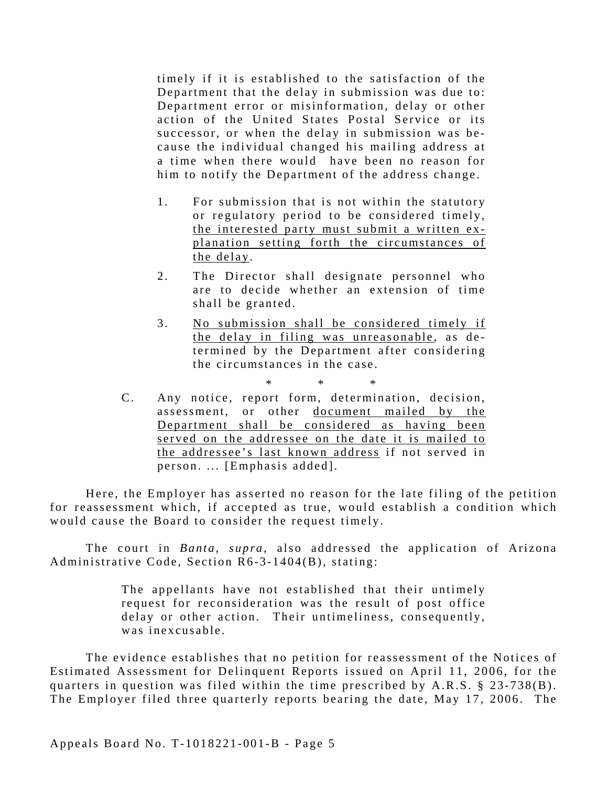timely if it is established to the satisfaction of the Department that the delay in submission was due to: Department error or misinformation, delay or other action of the United States Postal Service or its successor, or when the delay in submission was because the individual changed his mailing address at a time when there would have been no reason for him to notify the Department of the address change.

- 1. For submission that is not within the statutory or regulatory period to be considered timely, the interested party must submit a written explanation setting forth the circumstances of the delay.
- 2. The Director shall designate personnel who are to decide whether an extension of time shall be granted.
- 3. No submission shall be considered timely if the delay in filing was unreasonable, as determined by the Department after considering the circumstances in the case.
- \* \* \* C. Any notice, report form, determination, decision, assessment, or other document mailed by the Department shall be considered as having been served on the addressee on the date it is mailed to the addressee's last known address if not served in person. ... [Emphasis added].

Here, the Employer has asserted no reason for the late filing of the petition for reassessment which, if accepted as true, would establish a condition which would cause the Board to consider the request timely.

The court in *Banta*, *supra*, also addressed the application of Arizona Administrative Code, Section R6-3-1404(B), stating:

> The appellants have not established that their untimely request for reconsideration was the result of post office delay or other action. Their untimeliness, consequently, was inexcusable.

The evidence establishes that no petition for reassessment of the Notices of Estimated Assessment for Delinquent Reports issued on April 11, 2006, for the quarters in question was filed within the time prescribed by A.R.S. § 23-738(B). The Employer filed three quarterly reports bearing the date, May 17, 2006. The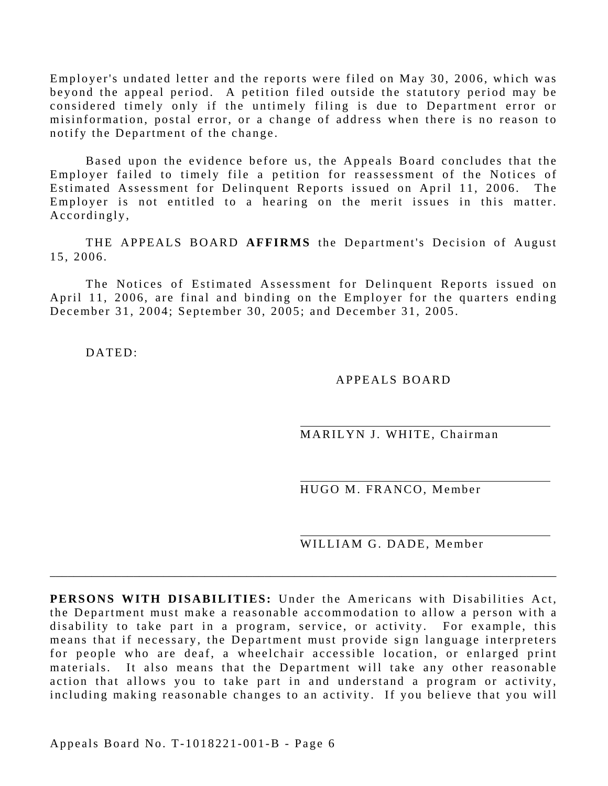Employer's undated letter and the reports were filed on May 30, 2006, which was beyond the appeal period. A petition filed outside the statutory period may be considered timely only if the untimely filing is due to Department error or misinformation, postal error, or a change of address when there is no reason to notify the Department of the change.

Based upon the evidence before us, the Appeals Board concludes that the Employer failed to timely file a petition for reassessment of the Notices of Estimated Assessment for Delinquent Reports issued on April 11, 2006. The Employer is not entitled to a hearing on the merit issues in this matter. Accordingly,

THE APPEALS BOARD **AFFIRMS** the Department's Decision of August 15, 2006.

The Notices of Estimated Assessment for Delinquent Reports issued on April 11, 2006, are final and binding on the Employer for the quarters ending December 31, 2004; September 30, 2005; and December 31, 2005.

DATED:

#### APPEALS BOARD

MARILYN J. WHITE, Chairman

HUGO M. FRANCO, Member

WILLIAM G. DADE, Member

**PERSONS WITH DISABILITIES:** Under the Americans with Disabilities Act, the Department must make a reasonable accommodation to allow a person with a disability to take part in a program, service, or activity. For example, this means that if necessary, the Department must provide sign language interpreters for people who are deaf, a wheelchair accessible location, or enlarged print materials. It also means that the Department will take any other reasonable action that allows you to take part in and understand a program or activity, including making reasonable changes to an activity. If you believe that you will

\_\_\_\_\_\_\_\_\_\_\_\_\_\_\_\_\_\_\_\_\_\_\_\_\_\_\_\_\_\_\_\_\_\_\_\_\_\_\_\_\_\_\_\_\_\_\_\_\_\_\_\_\_\_\_\_\_\_\_\_\_\_\_\_\_\_\_\_\_\_\_\_\_\_\_\_\_\_\_\_\_\_\_\_\_

Appeals Board No. T-1018221-001-B - Page 6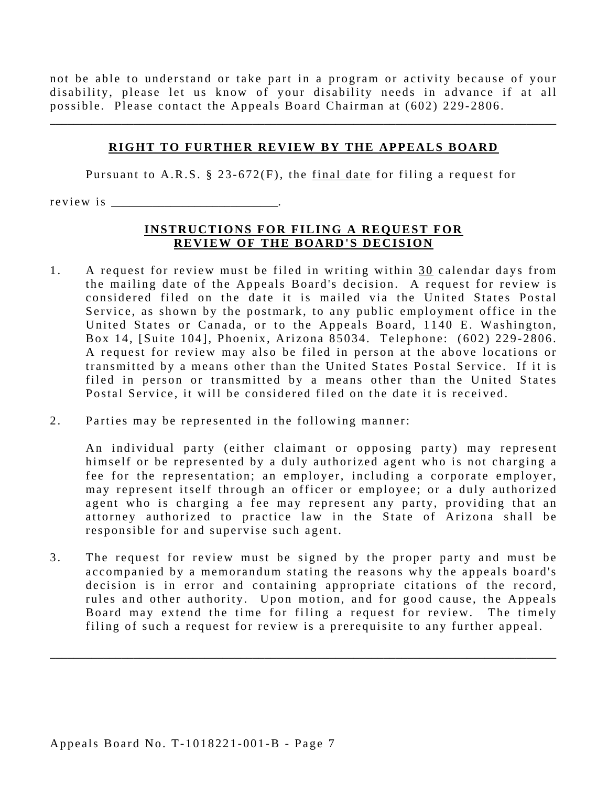not be able to understand or take part in a program or activity because of your disability, please let us know of your disability needs in advance if at all possible. Please contact the Appeals Board Chairman at (602) 229-2806.

#### **RIGHT TO FURTHER REVIEW BY THE APPEALS BOARD**

\_\_\_\_\_\_\_\_\_\_\_\_\_\_\_\_\_\_\_\_\_\_\_\_\_\_\_\_\_\_\_\_\_\_\_\_\_\_\_\_\_\_\_\_\_\_\_\_\_\_\_\_\_\_\_\_\_\_\_\_\_\_\_\_\_\_\_\_\_\_\_\_\_\_\_\_\_\_\_\_\_\_\_\_\_

Pursuant to A.R.S. § 23-672(F), the final date for filing a request for

r e view is

#### **INSTRUCTIONS FOR FILING A REQUEST FOR REVIEW OF THE BOARD'S DECISION**

- 1. A request for review must be filed in writing within 30 calendar days from the mailing date of the Appeals Board's decision. A request for review is considered filed on the date it is mailed via the United States Postal Service, as shown by the postmark, to any public employment office in the United States or Canada, or to the Appeals Board, 1140 E. Washington, Box 14, [Suite 104], Phoenix, Arizona 85034. Telephone: (602) 229-2806. A request for review may also be filed in person at the above locations or transmitted by a means other than the United States Postal Service. If it is filed in person or transmitted by a means other than the United States Postal Service, it will be considered filed on the date it is received.
- 2. Parties may be represented in the following manner:

An individual party (either claimant or opposing party) may represent himself or be represented by a duly authorized agent who is not charging a fee for the representation; an employer, including a corporate employer, may represent itself through an officer or employee; or a duly authorized agent who is charging a fee may represent any party, providing that an attorney authorized to practice law in the State of Arizona shall be responsible for and supervise such agent.

3. The request for review must be signed by the proper party and must be accompanied by a memorandum stating the reasons why the appeals board's decision is in error and containing appropriate citations of the record, rules and other authority. Upon motion, and for good cause, the Appeals Board may extend the time for filing a request for review. The timely filing of such a request for review is a prerequisite to any further appeal.

\_\_\_\_\_\_\_\_\_\_\_\_\_\_\_\_\_\_\_\_\_\_\_\_\_\_\_\_\_\_\_\_\_\_\_\_\_\_\_\_\_\_\_\_\_\_\_\_\_\_\_\_\_\_\_\_\_\_\_\_\_\_\_\_\_\_\_\_\_\_\_\_\_\_\_\_\_\_\_\_\_\_\_\_\_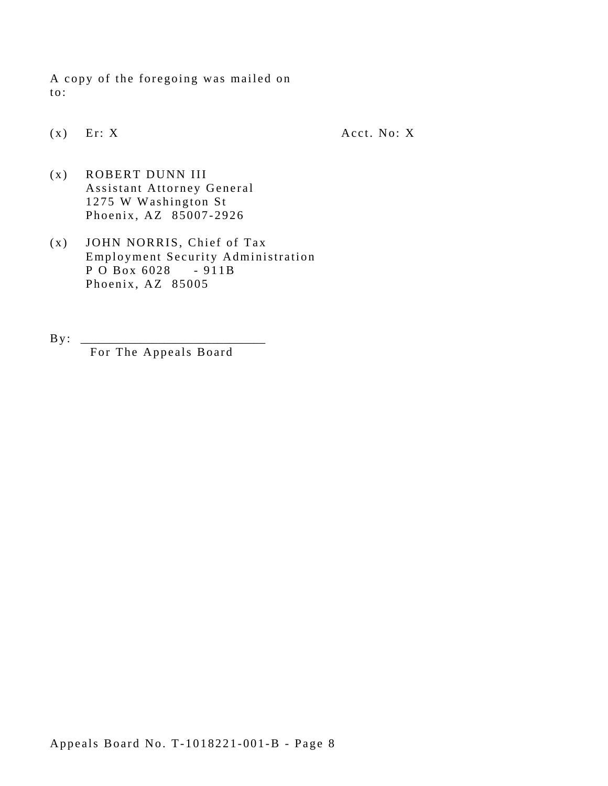A copy of the foregoing was mailed on to:

 $(x)$  Er: X Acct. No: X

- (x) ROBERT DUNN III Assistant Attorney General 1275 W Washington St Phoenix, AZ 85007-2926
- P O Box 6028 911B (x) JOHN NORRIS, Chief of Tax Employment Security Administration Phoenix, AZ 85005
- $By:$ For The Appeals Board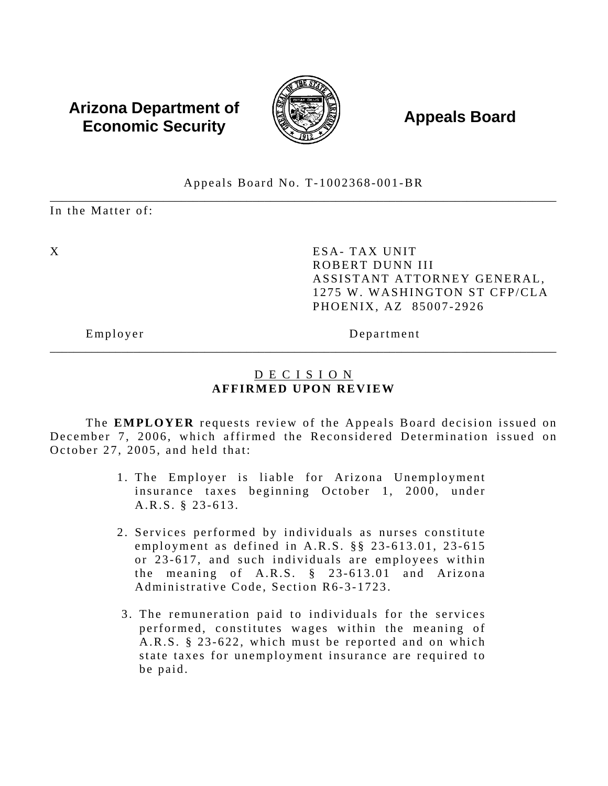### **Arizona Department of**  $\left(\begin{matrix} 1 & 0 & 0 \\ 0 & 0 & 0 \\ 0 & 0 & 0 \end{matrix}\right)$  **Appeals Board Economic Security**



#### \_\_\_\_\_\_\_\_\_\_\_\_\_\_\_\_\_\_\_\_\_\_\_\_\_\_\_\_\_\_\_\_\_\_\_\_\_\_\_\_\_\_\_\_\_\_\_\_\_\_\_\_\_\_\_\_\_\_\_\_\_\_\_\_\_\_\_\_\_\_\_\_\_\_\_\_\_\_\_\_\_\_\_\_\_ Appeals Board No. T-1002368-001-BR

In the Matter of:

X ESA- TAX UNIT ROBERT DUNN III ASSISTANT ATTORNEY GENERAL, 1275 W. WASHINGTON ST CFP/CLA PHOENIX, AZ 85007-2926

Employer Department

### D E C I S I O N **AFFIRMED UPON REVIEW**

\_\_\_\_\_\_\_\_\_\_\_\_\_\_\_\_\_\_\_\_\_\_\_\_\_\_\_\_\_\_\_\_\_\_\_\_\_\_\_\_\_\_\_\_\_\_\_\_\_\_\_\_\_\_\_\_\_\_\_\_\_\_\_\_\_\_\_\_\_\_\_\_\_\_\_\_\_\_\_\_\_\_\_\_\_

The **EMPLOYER** requests review of the Appeals Board decision issued on December 7, 2006, which affirmed the Reconsidered Determination issued on October 27, 2005, and held that:

- 1. The Employer is liable for Arizona Unemployment insurance taxes beginning October 1, 2000, under A.R.S. § 23-613.
- 2. Services performed by individuals as nurses constitute employment as defined in A.R.S. §§ 23-613.01, 23-615 or 23-617, and such individuals are employees within the meaning of A.R.S. § 23-613.01 and Arizona Administrative Code, Section R6-3-1723.
- 3. The remuneration paid to individuals for the services performed, constitutes wages within the meaning of A.R.S. § 23-622, which must be reported and on which state taxes for unemployment insurance are required to be paid.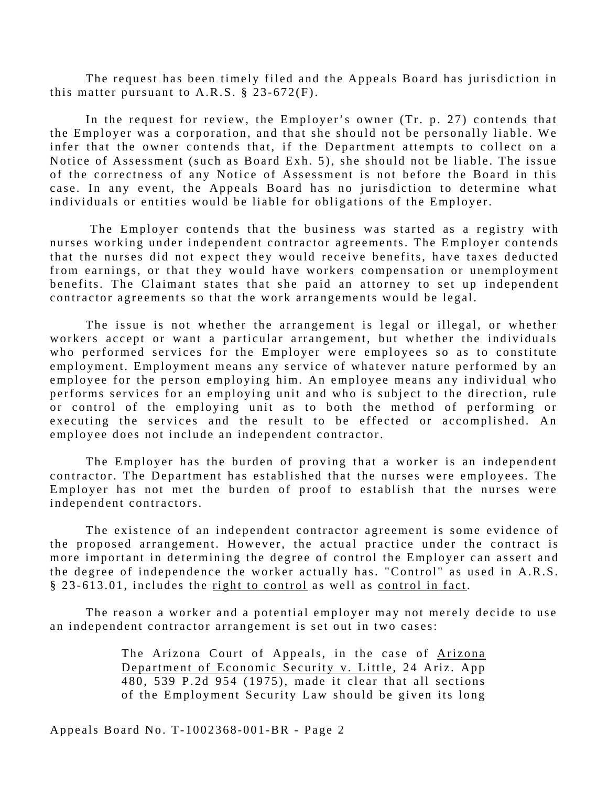The request has been timely filed and the Appeals Board has jurisdiction in this matter pursuant to A.R.S.  $\S$  23-672(F).

In the request for review, the Employer's owner (Tr. p. 27) contends that the Employer was a corporation, and that she should not be personally liable. We infer that the owner contends that, if the Department attempts to collect on a Notice of Assessment (such as Board Exh. 5), she should not be liable. The issue of the correctness of any Notice of Assessment is not before the Board in this case. In any event, the Appeals Board has no jurisdiction to determine what individuals or entities would be liable for obligations of the Employer.

The Employer contends that the business was started as a registry with nurses working under independent contractor agreements. The Employer contends that the nurses did not expect they would receive benefits, have taxes deducted from earnings, or that they would have workers compensation or unemployment benefits. The Claimant states that she paid an attorney to set up independent contractor agreements so that the work arrangements would be legal.

The issue is not whether the arrangement is legal or illegal, or whether workers accept or want a particular arrangement, but whether the individuals who performed services for the Employer were employees so as to constitute employment. Employment means any service of whatever nature performed by an employee for the person employing him. An employee means any individual who performs services for an employing unit and who is subject to the direction, rule or control of the employing unit as to both the method of performing or executing the services and the result to be effected or accomplished. An employee does not include an independent contractor.

The Employer has the burden of proving that a worker is an independent contractor. The Department has established that the nurses were employees. The Employer has not met the burden of proof to establish that the nurses were independent contractors.

The existence of an independent contractor agreement is some evidence of the proposed arrangement. However, the actual practice under the contract is more important in determining the degree of control the Employer can assert and the degree of independence the worker actually has. "Control" as used in A.R.S. § 23-613.01, includes the right to control as well as control in fact.

The reason a worker and a potential employer may not merely decide to use an independent contractor arrangement is set out in two cases:

> The Arizona Court of Appeals, in the case of Arizona Department of Economic Security v. Little, 24 Ariz. App  $\overline{480}$ , 539 P.2d 954 (1975), made it clear that all sections of the Employment Security Law should be given its long

Appeals Board No. T-1002368-001-BR - Page 2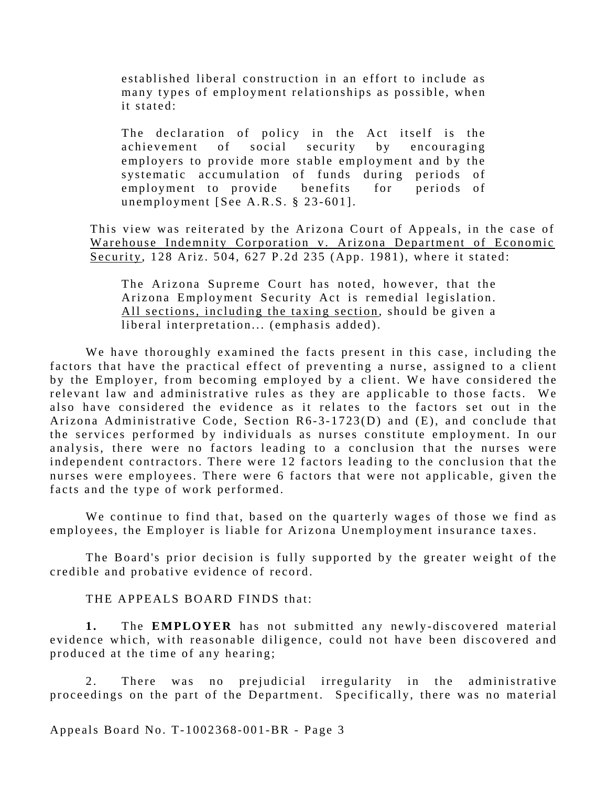established liberal construction in an effort to include as many types of employment relationships as possible, when it stated:

The declaration of policy in the Act itself is the achievement of social security by encouraging employers to provide more stable employment and by the systematic accumulation of funds during periods of employment to provide benefits for periods of unemployment [See A.R.S. § 23-601].

This view was reiterated by the Arizona Court of Appeals, in the case of Warehouse Indemnity Corporation v. Arizona Department of Economic Security, 128 Ariz. 504, 627 P.2d 235 (App. 1981), where it stated:

The Arizona Supreme Court has noted, however, that the Arizona Employment Security Act is remedial legislation. All sections, including the taxing section, should be given a liberal interpretation... (emphasis added).

We have thoroughly examined the facts present in this case, including the factors that have the practical effect of preventing a nurse, assigned to a client by the Employer, from becoming employed by a client. We have considered the relevant law and administrative rules as they are applicable to those facts. We also have considered the evidence as it relates to the factors set out in the Arizona Administrative Code, Section  $R6-3-1723(D)$  and  $(E)$ , and conclude that the services performed by individuals as nurses constitute employment. In our analysis, there were no factors leading to a conclusion that the nurses were independent contractors. There were 12 factors leading to the conclusion that the nurses were employees. There were 6 factors that were not applicable, given the facts and the type of work performed.

We continue to find that, based on the quarterly wages of those we find as employees, the Employer is liable for Arizona Unemployment insurance taxes.

The Board's prior decision is fully supported by the greater weight of the credible and probative evidence of record.

THE APPEALS BOARD FINDS that:

**1.** The **EMPLOYER** has not submitted any newly-discovered material evidence which, with reasonable diligence, could not have been discovered and produced at the time of any hearing;

2. There was no prejudicial irregularity in the administrative proceedings on the part of the Department. Specifically, there was no material

Appeals Board No. T-1002368-001-BR - Page 3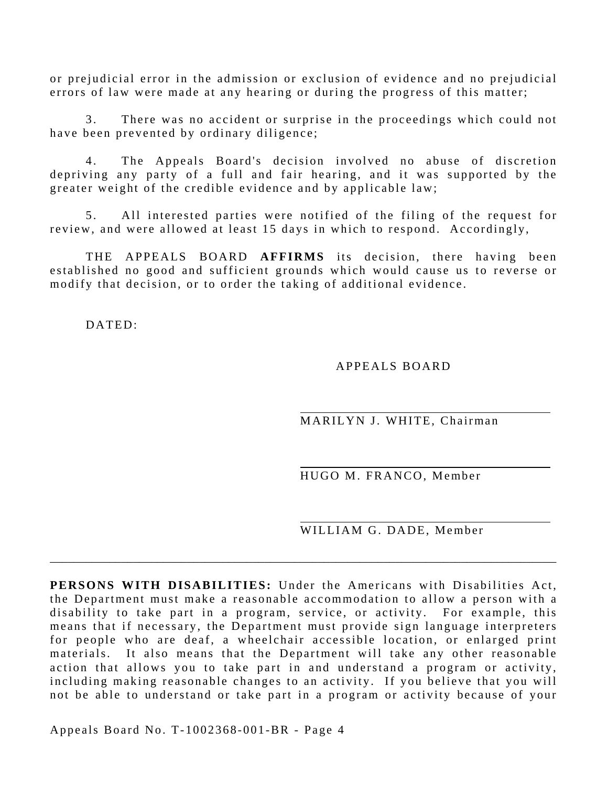or prejudicial error in the admission or exclusion of evidence and no prejudicial errors of law were made at any hearing or during the progress of this matter;

3. There was no accident or surprise in the proceedings which could not have been prevented by ordinary diligence;

4. The Appeals Board's decision involved no abuse of discretion depriving any party of a full and fair hearing, and it was supported by the greater weight of the credible evidence and by applicable law;

5. All interested parties were notified of the filing of the request for review, and were allowed at least 15 days in which to respond. Accordingly,

THE APPEALS BOARD **AFFIRMS** its decision, there having been established no good and sufficient grounds which would cause us to reverse or modify that decision, or to order the taking of additional evidence.

DATED:

#### APPEALS BOARD

MARILYN J. WHITE, Chairman

HUGO M. FRANCO, Member

WILLIAM G. DADE, Member

**PERSONS WITH DISABILITIES:** Under the Americans with Disabilities Act, the Department must make a reasonable accommodation to allow a person with a disability to take part in a program, service, or activity. For example, this means that if necessary, the Department must provide sign language interpreters for people who are deaf, a wheelchair accessible location, or enlarged print materials. It also means that the Department will take any other reasonable action that allows you to take part in and understand a program or activity, including making reasonable changes to an activity. If you believe that you will not be able to understand or take part in a program or activity because of your

\_\_\_\_\_\_\_\_\_\_\_\_\_\_\_\_\_\_\_\_\_\_\_\_\_\_\_\_\_\_\_\_\_\_\_\_\_\_\_\_\_\_\_\_\_\_\_\_\_\_\_\_\_\_\_\_\_\_\_\_\_\_\_\_\_\_\_\_\_\_\_\_\_\_\_\_\_\_\_\_\_\_\_\_\_

Appeals Board No. T-1002368-001-BR - Page 4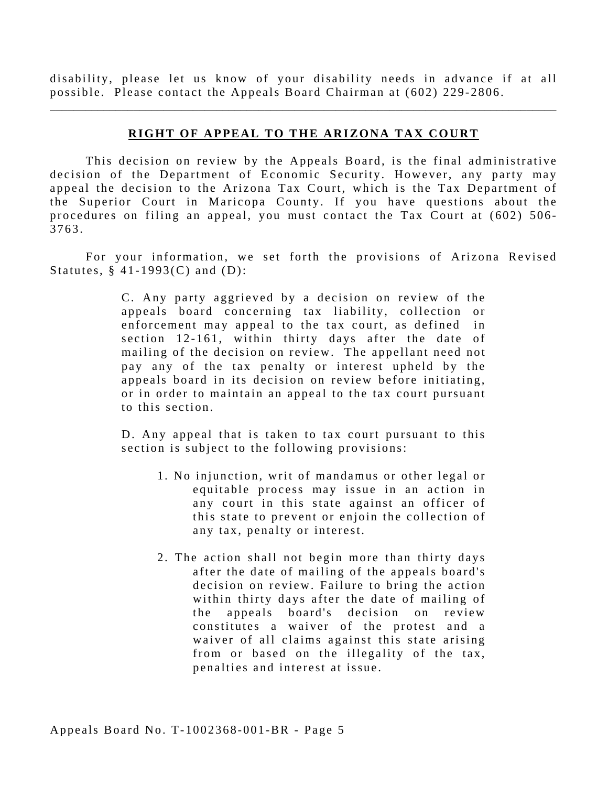disability, please let us know of your disability needs in advance if at all possible. Please contact the Appeals Board Chairman at (602) 229-2806.

\_\_\_\_\_\_\_\_\_\_\_\_\_\_\_\_\_\_\_\_\_\_\_\_\_\_\_\_\_\_\_\_\_\_\_\_\_\_\_\_\_\_\_\_\_\_\_\_\_\_\_\_\_\_\_\_\_\_\_\_\_\_\_\_\_\_\_\_\_\_\_\_\_\_\_\_\_\_\_\_\_\_\_\_\_

#### **RIGHT OF APPEAL TO THE ARIZONA TAX COURT**

This decision on review by the Appeals Board, is the final administrative decision of the Department of Economic Security. However, any party may appeal the decision to the Arizona Tax Court, which is the Tax Department of the Superior Court in Maricopa County. If you have questions about the procedures on filing an appeal, you must contact the Tax Court at (602) 506 - 3763.

For your information, we set forth the provisions of Arizona Revised Statutes,  $§$  41-1993(C) and (D):

> C . Any party aggrieved by a decision on review of the appeals board concerning tax liability, collection or enforcement may appeal to the tax court, as defined in section 12-161, within thirty days after the date of mailing of the decision on review. The appellant need not pay any of the tax penalty or interest upheld by the appeals board in its decision on review before initiating, or in order to maintain an appeal to the tax court pursuant to this section.

> D. Any appeal that is taken to tax court pursuant to this section is subject to the following provisions:

- 1 . No injunction, writ of mandamus or other legal or equitable process may issue in an action in any court in this state against an officer of this state to prevent or enjoin the collection of any tax, penalty or interest.
- 2. The action shall not begin more than thirty days after the date of mailing of the appeals board's decision on review. Failure to bring the action within thirty days after the date of mailing of the appeals board's decision on review constitutes a waiver of the protest and a waiver of all claims against this state arising from or based on the illegality of the tax, penalties and interest at issue.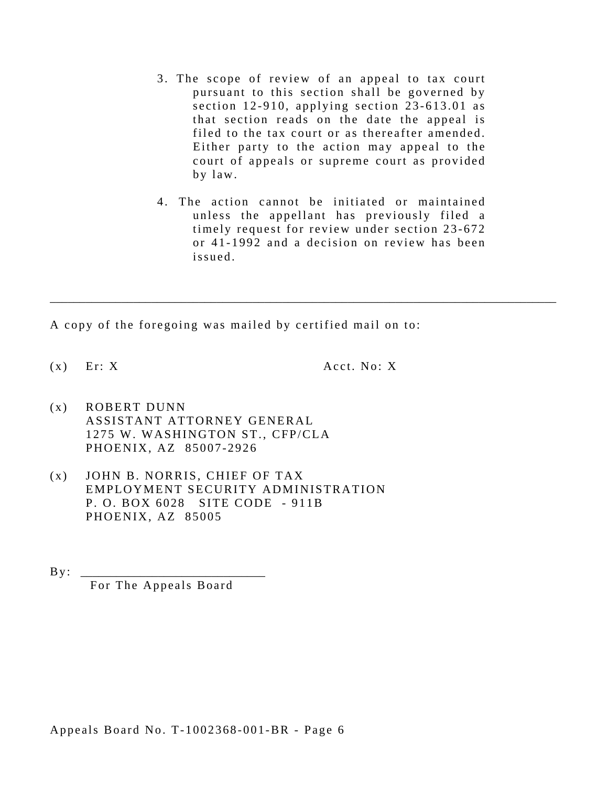- 3. The scope of review of an appeal to tax court pursuant to this section shall be governed by section 12-910, applying section 23-613.01 as that section reads on the date the appeal is filed to the tax court or as thereafter amended. Either party to the action may appeal to the court of appeals or supreme court as provided by law.
- 4. The action cannot be initiated or maintained unless the appellant has previously filed a timely request for review under section 23-672 or 41-1992 and a decision on review has been issued.

\_\_\_\_\_\_\_\_\_\_\_\_\_\_\_\_\_\_\_\_\_\_\_\_\_\_\_\_\_\_\_\_\_\_\_\_\_\_\_\_\_\_\_\_\_\_\_\_\_\_\_\_\_\_\_\_\_\_\_\_\_\_\_\_\_\_\_\_\_\_\_\_\_\_\_\_\_\_\_\_\_\_\_\_\_

A copy of the foregoing was mailed by certified mail on to:

 $(x)$  Er: X Acct. No: X

- $(x)$  ROBERT DUNN ASSISTANT ATTORNEY GENERAL 1275 W. WASHINGTON ST., CFP/CLA PHOENIX, AZ 85007-2926
- (x) JOHN B. NORRIS, CHIEF OF TAX EMPLOYMENT SECURITY ADMINISTRATION P. O. BOX 6028 SITE CODE - 911B PHOENIX, AZ 85005

 $\mathbf{By:}$ 

For The Appeals Board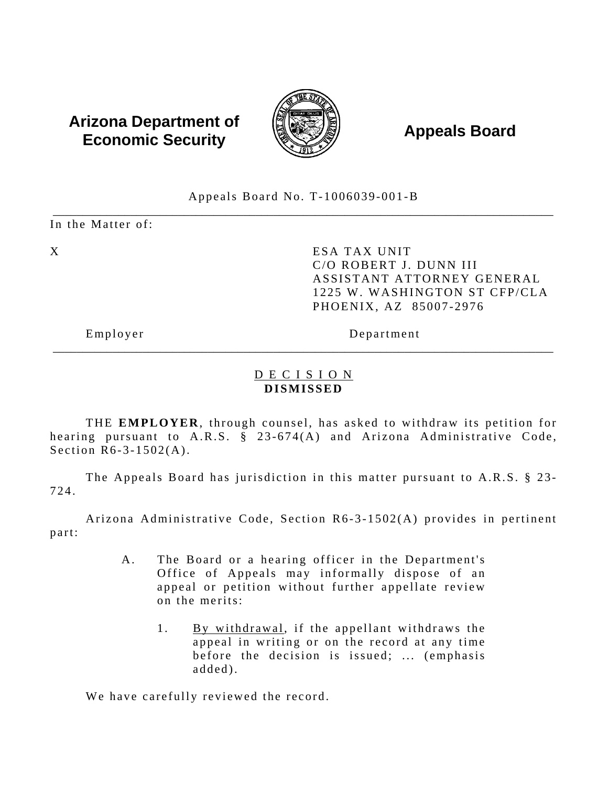# **Arizona Department of**  $\left(\begin{matrix} 1 & 0 & 0 \\ 0 & 0 & 0 \\ 0 & 0 & 0 \end{matrix}\right)$  **Appeals Board Economic Security**



Appeals Board No. T-1006039-001-B

\_\_\_\_\_\_\_\_\_\_\_\_\_\_\_\_\_\_\_\_\_\_\_\_\_\_\_\_\_\_\_\_\_\_\_\_\_\_\_\_\_\_\_\_\_\_\_\_\_\_\_\_\_\_\_\_\_\_\_\_\_\_\_\_\_\_\_\_\_\_\_\_\_\_\_\_\_\_\_\_\_\_\_\_ In the Matter of:

X ESA TAX UNIT C/O ROBERT J. DUNN III ASSISTANT ATTORNEY GENERAL 1225 W. WASHINGTON ST CFP/CLA PHOENIX, AZ 85007-2976

Employer Department

### D E C I S I O N **DISMISSED**

\_\_\_\_\_\_\_\_\_\_\_\_\_\_\_\_\_\_\_\_\_\_\_\_\_\_\_\_\_\_\_\_\_\_\_\_\_\_\_\_\_\_\_\_\_\_\_\_\_\_\_\_\_\_\_\_\_\_\_\_\_\_\_\_\_\_\_\_\_\_\_\_\_\_\_\_\_\_\_\_\_\_\_\_

THE **EMPLOYER**, through counsel, has asked to withdraw its petition for hearing pursuant to A.R.S. § 23-674(A) and Arizona Administrative Code, Section R6-3-1502(A).

The Appeals Board has jurisdiction in this matter pursuant to A.R.S. § 23-724.

Arizona Administrative Code, Section R6-3-1502(A) provides in pertinent part:

- A. The Board or a hearing officer in the Department's Office of Appeals may informally dispose of an appeal or petition without further appellate review on the merits:
	- 1. By withdrawal, if the appellant withdraws the appeal in writing or on the record at any time before the decision is issued; ... (emphasis added).

We have carefully reviewed the record.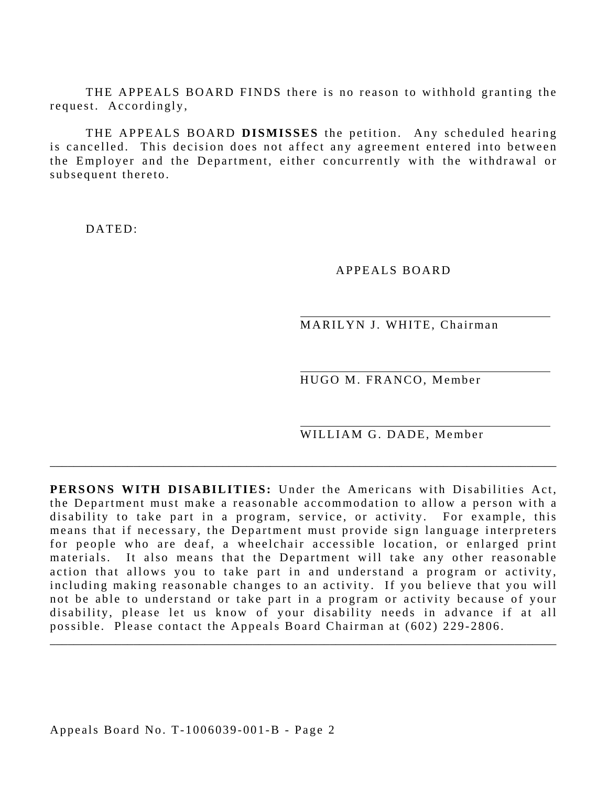THE APPEALS BOARD FINDS there is no reason to withhold granting the request. Accordingly,

THE APPEALS BOARD **DISMISSES** the petition. Any scheduled hearing is cancelled. This decision does not affect any agreement entered into between the Employer and the Department, either concurrently with the withdrawal or subsequent thereto.

DATED:

APPEALS BOARD

MARILYN J. WHITE, Chairman

HUGO M. FRANCO, Member

WILLIAM G. DADE, Member

**PERSONS WITH DISABILITIES:** Under the Americans with Disabilities Act, the Department must make a reasonable accommodation to allow a person with a disability to take part in a program, service, or activity. For example, this means that if necessary, the Department must provide sign language interpreters for people who are deaf, a wheelchair accessible location, or enlarged print materials. It also means that the Department will take any other reasonable action that allows you to take part in and understand a program or activity, including making reasonable changes to an activity. If you believe that you will not be able to understand or take part in a program or activity because of your disability, please let us know of your disability needs in advance if at all possible. Please contact the Appeals Board Chairman at (602) 229-2806.

\_\_\_\_\_\_\_\_\_\_\_\_\_\_\_\_\_\_\_\_\_\_\_\_\_\_\_\_\_\_\_\_\_\_\_\_\_\_\_\_\_\_\_\_\_\_\_\_\_\_\_\_\_\_\_\_\_\_\_\_\_\_\_\_\_\_\_\_\_\_\_\_\_\_\_\_\_\_\_\_\_\_\_\_\_

\_\_\_\_\_\_\_\_\_\_\_\_\_\_\_\_\_\_\_\_\_\_\_\_\_\_\_\_\_\_\_\_\_\_\_\_\_\_\_\_\_\_\_\_\_\_\_\_\_\_\_\_\_\_\_\_\_\_\_\_\_\_\_\_\_\_\_\_\_\_\_\_\_\_\_\_\_\_\_\_\_\_\_\_\_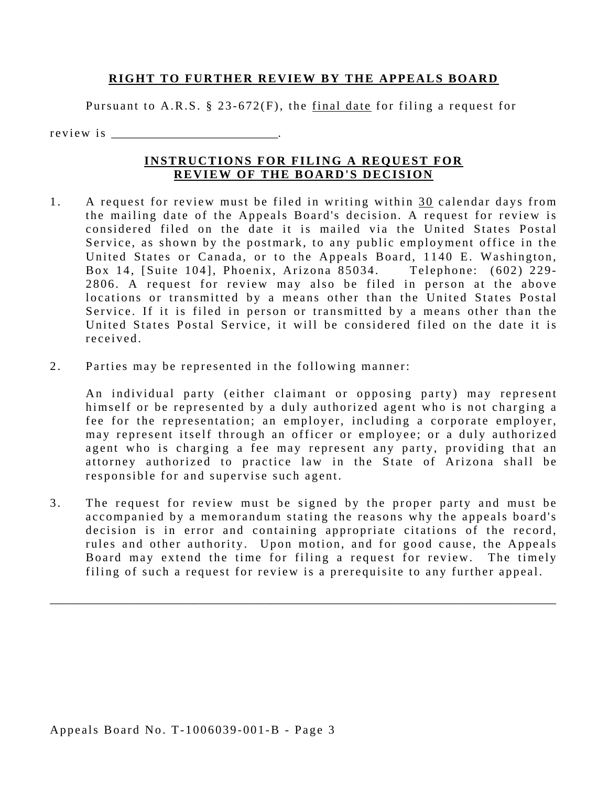#### **RIGHT TO FURTHER REVIEW BY THE APPEALS BOARD**

Pursuant to A.R.S. § 23-672(F), the final date for filing a request for

r e v i e w i s

#### **INSTRUCTIONS FOR FILING A REQUEST FOR REVIEW OF THE BOARD'S DECISION**

- received 1. A request for review must be filed in writing within 30 calendar days from the mailing date of the Appeals Board's decision. A request for review is considered filed on the date it is mailed via the United States Postal Service, as shown by the postmark, to any public employment office in the United States or Canada, or to the Appeals Board, 1140 E. Washington, Box 14, [Suite 104], Phoenix, Arizona 85034. Telephone: (602) 229-2806. A request for review may also be filed in person at the above locations or transmitted by a means other than the United States Postal Service. If it is filed in person or transmitted by a means other than the United States Postal Service, it will be considered filed on the date it is
- 2. Parties may be represented in the following manner:

An individual party (either claimant or opposing party) may represent himself or be represented by a duly authorized agent who is not charging a fee for the representation; an employer, including a corporate employer, may represent itself through an officer or employee; or a duly authorized agent who is charging a fee may represent any party, providing that an attorney authorized to practice law in the State of Arizona shall be responsible for and supervise such agent.

3. The request for review must be signed by the proper party and must be accompanied by a memorandum stating the reasons why the appeals board's decision is in error and containing appropriate citations of the record, rules and other authority. Upon motion, and for good cause, the Appeals Board may extend the time for filing a request for review. The timely filing of such a request for review is a prerequisite to any further appeal.

\_\_\_\_\_\_\_\_\_\_\_\_\_\_\_\_\_\_\_\_\_\_\_\_\_\_\_\_\_\_\_\_\_\_\_\_\_\_\_\_\_\_\_\_\_\_\_\_\_\_\_\_\_\_\_\_\_\_\_\_\_\_\_\_\_\_\_\_\_\_\_\_\_\_\_\_\_\_\_\_\_\_\_\_\_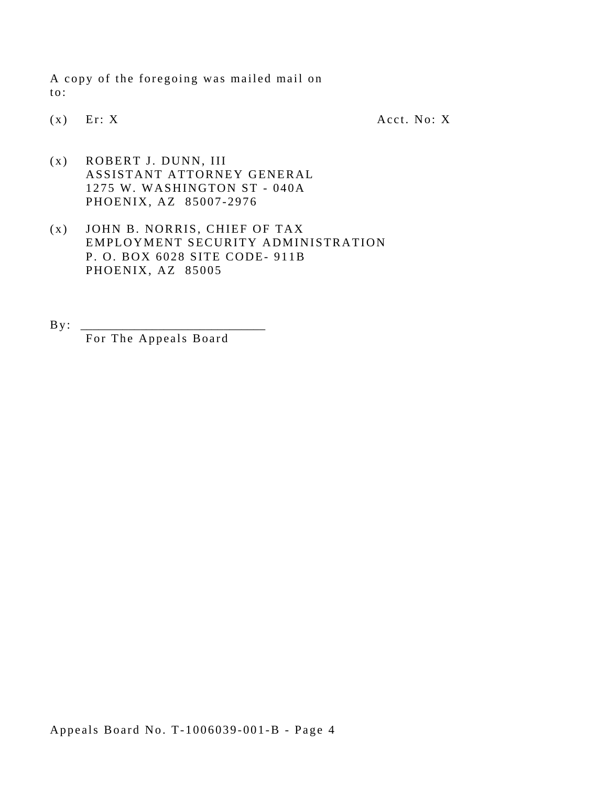A copy of the foregoing was mailed mail on to:

 $(x)$  Er: X Acct. No: X

- (x) ROBERT J. DUNN, III ASSISTANT ATTORNEY GENERAL 1275 W. WASHINGTON ST - 040A PHOENIX, AZ 85007-2976
- (x) JOHN B. NORRIS, CHIEF OF TAX EMPLOYMENT SECURITY ADMINISTRATION P. O. BOX 6028 SITE CODE- 911B PHOENIX, AZ 85005

 $By:$ For The Appeals Board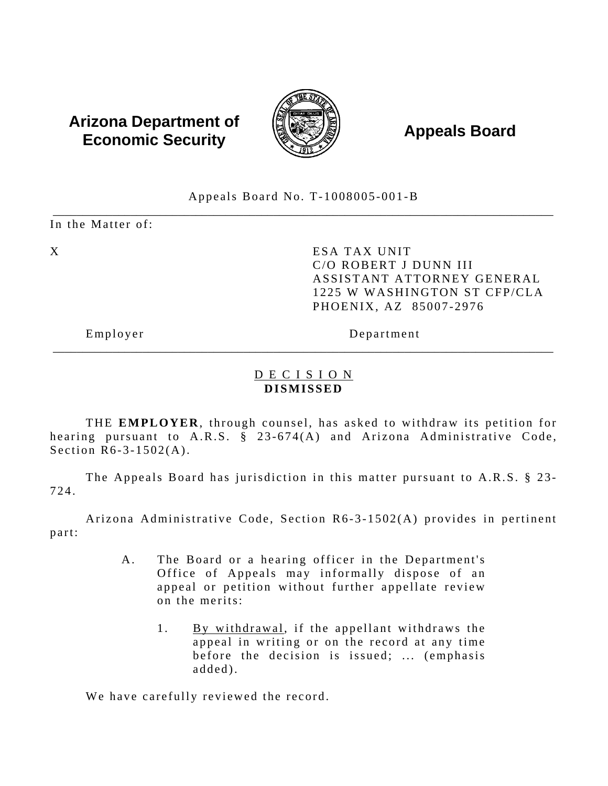# **Arizona Department of**  $\left(\begin{matrix} 1 & 0 & 0 \\ 0 & 0 & 0 \\ 0 & 0 & 0 \end{matrix}\right)$  **Appeals Board Economic Security**



Appeals Board No. T-1008005-001-B

\_\_\_\_\_\_\_\_\_\_\_\_\_\_\_\_\_\_\_\_\_\_\_\_\_\_\_\_\_\_\_\_\_\_\_\_\_\_\_\_\_\_\_\_\_\_\_\_\_\_\_\_\_\_\_\_\_\_\_\_\_\_\_\_\_\_\_\_\_\_\_\_\_\_\_\_\_\_\_\_\_\_\_\_ In the Matter of:

X ESA TAX UNIT C/O ROBERT J DUNN III ASSISTANT ATTORNEY GENERAL 1225 W WASHINGTON ST CFP/CLA PHOENIX, AZ 85007-2976

Employer Department

### D E C I S I O N **DISMISSED**

\_\_\_\_\_\_\_\_\_\_\_\_\_\_\_\_\_\_\_\_\_\_\_\_\_\_\_\_\_\_\_\_\_\_\_\_\_\_\_\_\_\_\_\_\_\_\_\_\_\_\_\_\_\_\_\_\_\_\_\_\_\_\_\_\_\_\_\_\_\_\_\_\_\_\_\_\_\_\_\_\_\_\_\_

THE **EMPLOYER**, through counsel, has asked to withdraw its petition for hearing pursuant to A.R.S. § 23-674(A) and Arizona Administrative Code, Section R6-3-1502(A).

The Appeals Board has jurisdiction in this matter pursuant to A.R.S. § 23-724.

Arizona Administrative Code, Section R6-3-1502(A) provides in pertinent part:

- A. The Board or a hearing officer in the Department's Office of Appeals may informally dispose of an appeal or petition without further appellate review on the merits:
	- 1. By withdrawal, if the appellant withdraws the appeal in writing or on the record at any time before the decision is issued; ... (emphasis added).

We have carefully reviewed the record.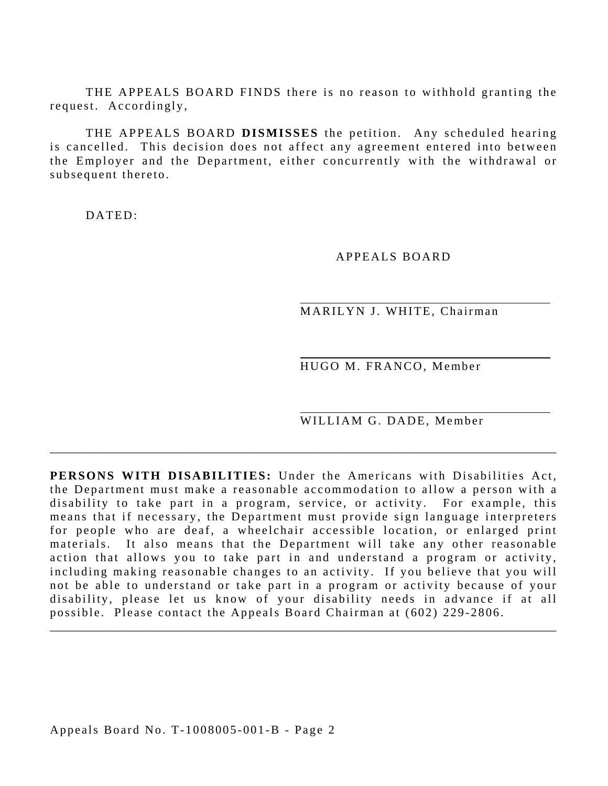THE APPEALS BOARD FINDS there is no reason to withhold granting the request. Accordingly,

THE APPEALS BOARD **DISMISSES** the petition. Any scheduled hearing is cancelled. This decision does not affect any agreement entered into between the Employer and the Department, either concurrently with the withdrawal or subsequent thereto.

DATED:

APPEALS BOARD

MARILYN J. WHITE, Chairman

HUGO M. FRANCO, Member

WILLIAM G. DADE, Member

**PERSONS WITH DISABILITIES:** Under the Americans with Disabilities Act, the Department must make a reasonable accommodation to allow a person with a disability to take part in a program, service, or activity. For example, this means that if necessary, the Department must provide sign language interpreters for people who are deaf, a wheelchair accessible location, or enlarged print materials. It also means that the Department will take any other reasonable action that allows you to take part in and understand a program or activity, including making reasonable changes to an activity. If you believe that you will not be able to understand or take part in a program or activity because of your disability, please let us know of your disability needs in advance if at all possible. Please contact the Appeals Board Chairman at (602) 229-2806.

\_\_\_\_\_\_\_\_\_\_\_\_\_\_\_\_\_\_\_\_\_\_\_\_\_\_\_\_\_\_\_\_\_\_\_\_\_\_\_\_\_\_\_\_\_\_\_\_\_\_\_\_\_\_\_\_\_\_\_\_\_\_\_\_\_\_\_\_\_\_\_\_\_\_\_\_\_\_\_\_\_\_\_\_\_

\_\_\_\_\_\_\_\_\_\_\_\_\_\_\_\_\_\_\_\_\_\_\_\_\_\_\_\_\_\_\_\_\_\_\_\_\_\_\_\_\_\_\_\_\_\_\_\_\_\_\_\_\_\_\_\_\_\_\_\_\_\_\_\_\_\_\_\_\_\_\_\_\_\_\_\_\_\_\_\_\_\_\_\_\_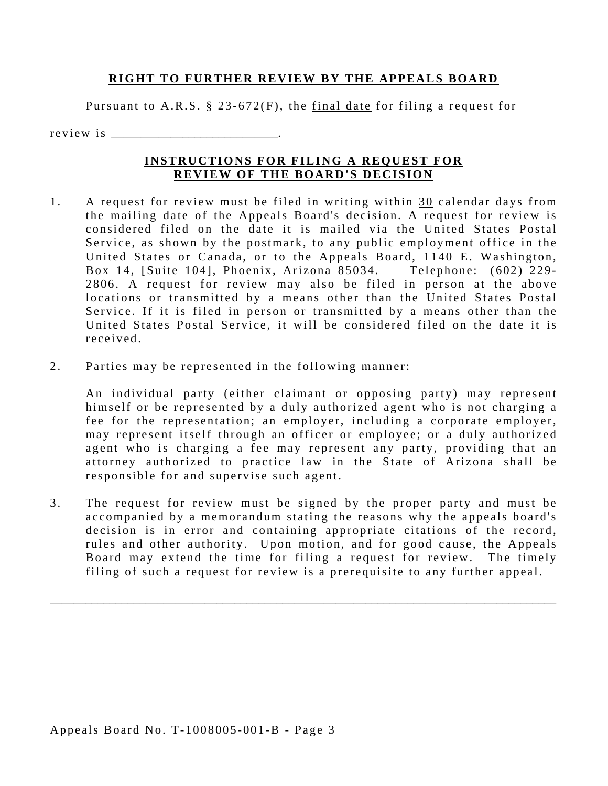#### **RIGHT TO FURTHER REVIEW BY THE APPEALS BOARD**

Pursuant to A.R.S. § 23-672(F), the final date for filing a request for

r e v i e w i s

#### **INSTRUCTIONS FOR FILING A REQUEST FOR REVIEW OF THE BOARD'S DECISION**

- received 1. A request for review must be filed in writing within 30 calendar days from the mailing date of the Appeals Board's decision. A request for review is considered filed on the date it is mailed via the United States Postal Service, as shown by the postmark, to any public employment office in the United States or Canada, or to the Appeals Board, 1140 E. Washington, Box 14, [Suite 104], Phoenix, Arizona 85034. Telephone: (602) 229-2806. A request for review may also be filed in person at the above locations or transmitted by a means other than the United States Postal Service. If it is filed in person or transmitted by a means other than the United States Postal Service, it will be considered filed on the date it is
- 2. Parties may be represented in the following manner:

An individual party (either claimant or opposing party) may represent himself or be represented by a duly authorized agent who is not charging a fee for the representation; an employer, including a corporate employer, may represent itself through an officer or employee; or a duly authorized agent who is charging a fee may represent any party, providing that an attorney authorized to practice law in the State of Arizona shall be responsible for and supervise such agent.

3. The request for review must be signed by the proper party and must be accompanied by a memorandum stating the reasons why the appeals board's decision is in error and containing appropriate citations of the record, rules and other authority. Upon motion, and for good cause, the Appeals Board may extend the time for filing a request for review. The timely filing of such a request for review is a prerequisite to any further appeal.

\_\_\_\_\_\_\_\_\_\_\_\_\_\_\_\_\_\_\_\_\_\_\_\_\_\_\_\_\_\_\_\_\_\_\_\_\_\_\_\_\_\_\_\_\_\_\_\_\_\_\_\_\_\_\_\_\_\_\_\_\_\_\_\_\_\_\_\_\_\_\_\_\_\_\_\_\_\_\_\_\_\_\_\_\_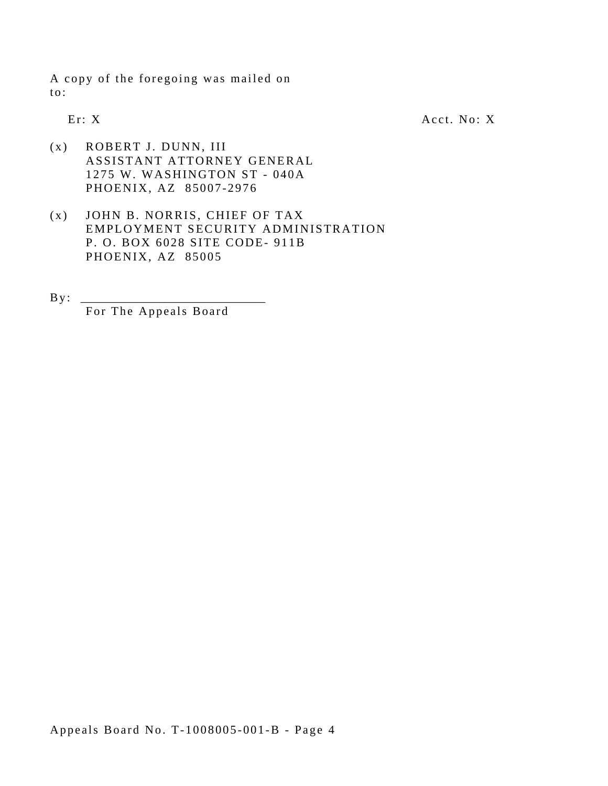A copy of the foregoing was mailed on to:

Er: X Acct. No: X

- (x) ROBERT J. DUNN, III ASSISTANT ATTORNEY GENERAL 1275 W. WASHINGTON ST - 040A PHOENIX, AZ 85007-2976
- (x) JOHN B. NORRIS, CHIEF OF TAX EMPLOYMENT SECURITY ADMINISTRATION P. O. BOX 6028 SITE CODE- 911B PHOENIX, AZ 85005

By : \_\_\_\_\_\_\_\_\_\_\_\_\_\_\_\_\_\_\_\_\_\_\_\_\_\_\_\_\_\_\_

For The Appeals Board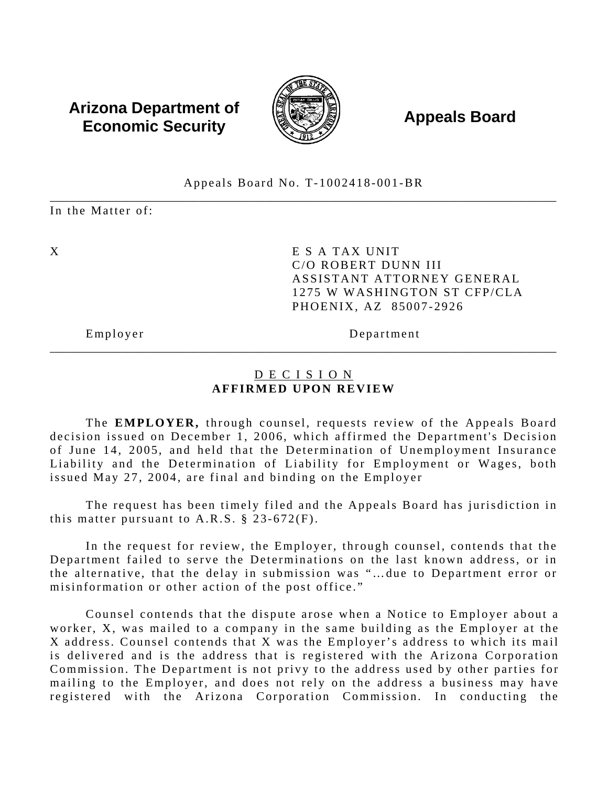### **Arizona Department of**  $\left(\begin{matrix} 1 & 0 & 0 \\ 0 & 0 & 0 \\ 0 & 0 & 0 \end{matrix}\right)$  **Appeals Board Economic Security**



#### \_\_\_\_\_\_\_\_\_\_\_\_\_\_\_\_\_\_\_\_\_\_\_\_\_\_\_\_\_\_\_\_\_\_\_\_\_\_\_\_\_\_\_\_\_\_\_\_\_\_\_\_\_\_\_\_\_\_\_\_\_\_\_\_\_\_\_\_\_\_\_\_\_\_\_\_\_\_\_\_\_\_\_\_\_ Appeals Board No. T-1002418-001-BR

In the Matter of:

X E S A TAX UNIT C/O ROBERT DUNN III ASSISTANT ATTORNEY GENERAL 1275 W WASHINGTON ST CFP/CLA PHOENIX, AZ 85007-2926

Employer Department

#### D E C I S I O N **AFFIRMED UPON REVIEW**

\_\_\_\_\_\_\_\_\_\_\_\_\_\_\_\_\_\_\_\_\_\_\_\_\_\_\_\_\_\_\_\_\_\_\_\_\_\_\_\_\_\_\_\_\_\_\_\_\_\_\_\_\_\_\_\_\_\_\_\_\_\_\_\_\_\_\_\_\_\_\_\_\_\_\_\_\_\_\_\_\_\_\_\_\_

The **EMPLOYER**, through counsel, requests review of the Appeals Board decision issued on December 1, 2006, which affirmed the Department's Decision of June 14, 2005, and held that the Determination of Unemployment Insurance Liability and the Determination of Liability for Employment or Wages, both issued May 27, 2004, are final and binding on the Employer

The request has been timely filed and the Appeals Board has jurisdiction in this matter pursuant to A.R.S.  $\S$  23-672(F).

In the request for review, the Employer, through counsel, contends that the Department failed to serve the Determinations on the last known address, or in the alternative, that the delay in submission was "…due to Department error or misinformation or other action of the post office."

Counsel contends that the dispute arose when a Notice to Employer about a worker, X, was mailed to a company in the same building as the Employer at the X address. Counsel contends that X was the Employer's address to which its mail is delivered and is the address that is registered with the Arizona Corporation Commission. The Department is not privy to the address used by other parties for mailing to the Employer, and does not rely on the address a business may have registered with the Arizona Corporation Commission. In conducting the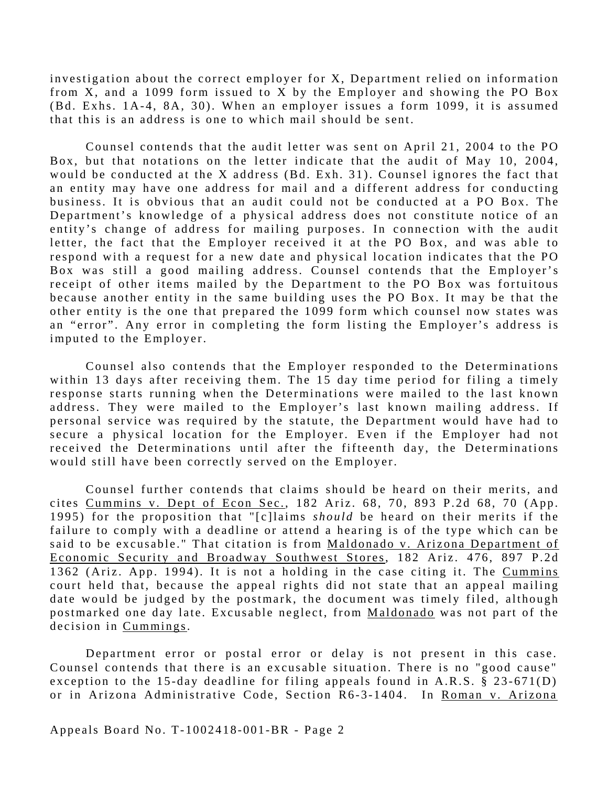investigation about the correct employer for X, Department relied on information from X, and a 1099 form issued to X by the Employer and showing the PO Box (Bd. Exhs. 1A-4, 8A, 30). When an employer issues a form 1099, it is assumed that this is an address is one to which mail should be sent.

Counsel contends that the audit letter was sent on April 21, 2004 to the PO Box, but that notations on the letter indicate that the audit of May 10, 2004, would be conducted at the X address (Bd. Exh. 31). Counsel ignores the fact that an entity may have one address for mail and a different address for conducting business. It is obvious that an audit could not be conducted at a PO Box. The Department's knowledge of a physical address does not constitute notice of an entity's change of address for mailing purposes. In connection with the audit letter, the fact that the Employer received it at the PO Box, and was able to respond with a request for a new date and physical location indicates that the PO Box was still a good mailing address. Counsel contends that the Employer's receipt of other items mailed by the Department to the PO Box was fortuitous because another entity in the same building uses the PO Box. It may be that the other entity is the one that prepared the 1099 form which counsel now states was an "error". Any error in completing the form listing the Employer's address is imputed to the Employer.

Counsel also contends that the Employer responded to the Determinations within 13 days after receiving them. The 15 day time period for filing a timely response starts running when the Determinations were mailed to the last known address. They were mailed to the Employer's last known mailing address. If personal service was required by the statute, the Department would have had to secure a physical location for the Employer. Even if the Employer had not received the Determinations until after the fifteenth day, the Determinations would still have been correctly served on the Employer.

Counsel further contends that claims should be heard on their merits, and cites Cummins v. Dept of Econ Sec., 182 Ariz. 68, 70, 893 P.2d 68, 70 (App. 1995) for the proposition that "[c]laims *should* be heard on their merits if the failure to comply with a deadline or attend a hearing is of the type which can be said to be excusable." That citation is from Maldonado v. Arizona Department of Economic Security and Broadway Southwest Stores, 182 Ariz. 476, 897 P.2d 1362 (Ariz. App. 1994). It is not a holding in the case citing it. The Cummins court held that, because the appeal rights did not state that an appeal mailing date would be judged by the postmark, the document was timely filed, although postmarked one day late. Excusable neglect, from Maldonado was not part of the decision in Cummings.

Department error or postal error or delay is not present in this case. Counsel contends that there is an excusable situation. There is no "good cause" exception to the 15-day deadline for filing appeals found in A.R.S. § 23-671(D) or in Arizona Administrative Code, Section R6-3-1404. In Roman v. Arizona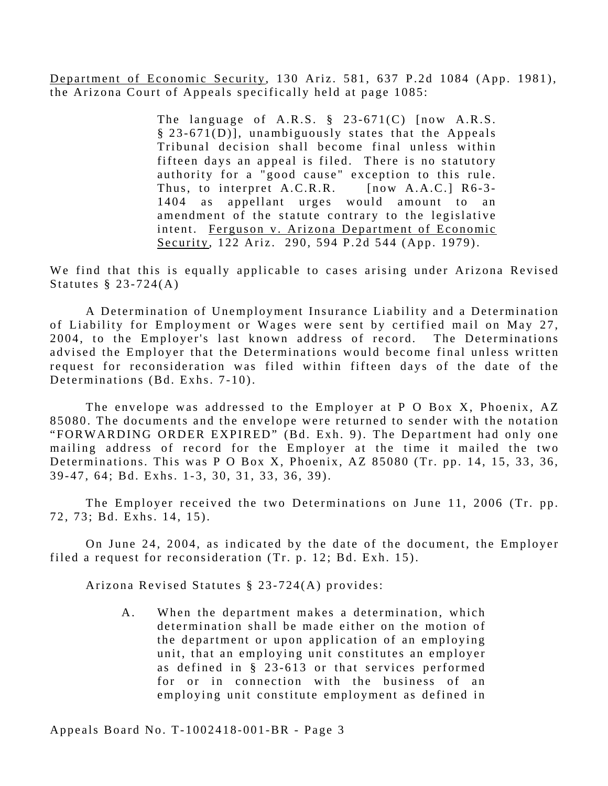Department of Economic Security, 130 Ariz. 581, 637 P.2d 1084 (App. 1981), the Arizona Court of Appeals specifically held at page 1085:

> The language of A.R.S. § 23-671(C) [now A.R.S.  $§$  23-671(D)], unambiguously states that the Appeals Tribunal decision shall become final unless within fifteen days an appeal is filed. There is no statutory authority for a "good cause" exception to this rule. Thus, to interpret A.C.R.R. [now A.A.C.] R6-3-1404 as appellant urges would amount to an amendment of the statute contrary to the legislative intent. Ferguson v. Arizona Department of Economic Security, 122 Ariz. 290, 594 P.2d 544 (App. 1979).

We find that this is equally applicable to cases arising under Arizona Revised Statutes § 23-724(A)

A Determination of Unemployment Insurance Liability and a Determination of Liability for Employment or Wages were sent by certified mail on May 27, 2004, to the Employer's last known address of record. The Determinations advised the Employer that the Determinations would become final unless written request for reconsideration was filed within fifteen days of the date of the Determinations (Bd. Exhs. 7-10).

The envelope was addressed to the Employer at P O Box X, Phoenix, AZ 85080. The documents and the envelope were returned to sender with the notation "FORWARDING ORDER EXPIRED" (Bd. Exh. 9). The Department had only one mailing address of record for the Employer at the time it mailed the two Determinations. This was P O Box X, Phoenix, AZ 85080 (Tr. pp. 14, 15, 33, 36, 39-47, 64; Bd. Exhs. 1-3, 30, 31, 33, 36, 39).

The Employer received the two Determinations on June 11, 2006 (Tr. pp. 72, 73; Bd. Exhs. 14, 15).

On June 24, 2004, as indicated by the date of the document, the Employer filed a request for reconsideration (Tr. p. 12; Bd. Exh. 15).

Arizona Revised Statutes § 23-724(A) provides:

A. When the department makes a determination, which determination shall be made either on the motion of the department or upon application of an employing unit, that an employing unit constitutes an employer as defined in § 23-613 or that services performed for or in connection with the business of an employing unit constitute employment as defined in

Appeals Board No. T-1002418-001-BR - Page 3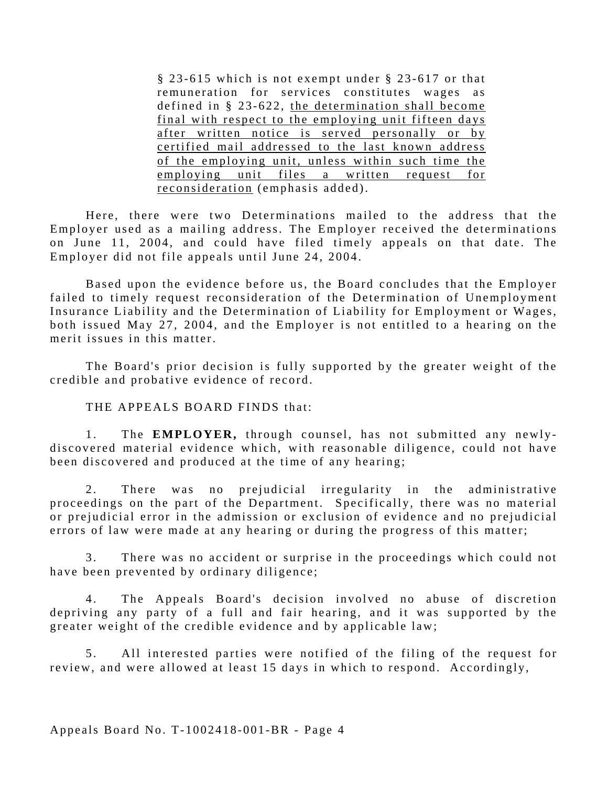§ 23-615 which is not exempt under § 23-617 or that remuneration for services constitutes wages as defined in § 23-622, the determination shall become final with respect to the employing unit fifteen days after written notice is served personally or by certified mail addressed to the last known address of the employing unit, unless within such time the employing unit files a written request for reconsideration (emphasis added).

Here, there were two Determinations mailed to the address that the Employer used as a mailing address. The Employer received the determinations on June 11, 2004, and could have filed timely appeals on that date. The Employer did not file appeals until June 24, 2004.

Based upon the evidence before us, the Board concludes that the Employer failed to timely request reconsideration of the Determination of Unemployment Insurance Liability and the Determination of Liability for Employment or Wages, both issued May 27, 2004, and the Employer is not entitled to a hearing on the merit issues in this matter.

The Board's prior decision is fully supported by the greater weight of the credible and probative evidence of record.

THE APPEALS BOARD FINDS that:

1. The **EMPLOYER,** through counsel, has not submitted any newlydiscovered material evidence which, with reasonable diligence, could not have been discovered and produced at the time of any hearing;

2. There was no prejudicial irregularity in the administrative proceedings on the part of the Department. Specifically, there was no material or prejudicial error in the admission or exclusion of evidence and no prejudicial errors of law were made at any hearing or during the progress of this matter;

3. There was no accident or surprise in the proceedings which could not have been prevented by ordinary diligence;

4. The Appeals Board's decision involved no abuse of discretion depriving any party of a full and fair hearing, and it was supported by the greater weight of the credible evidence and by applicable law;

5. All interested parties were notified of the filing of the request for review, and were allowed at least 15 days in which to respond. Accordingly,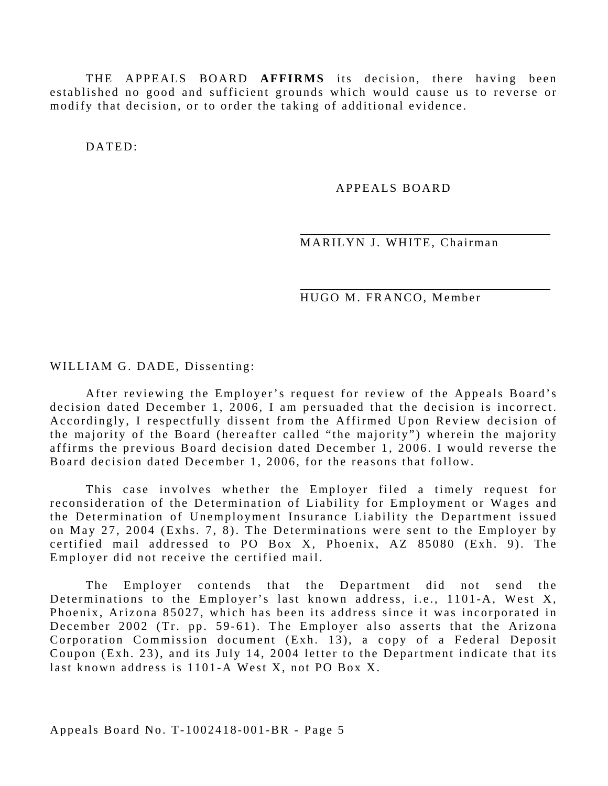THE APPEALS BOARD **AFFIRMS** its decision, there having been established no good and sufficient grounds which would cause us to reverse or modify that decision, or to order the taking of additional evidence.

DATED:

#### APPEALS BOARD

#### MARILYN J. WHITE, Chairman

HUGO M. FRANCO, Member

WILLIAM G. DADE, Dissenting:

After reviewing the Employer's request for review of the Appeals Board's decision dated December 1, 2006, I am persuaded that the decision is incorrect. Accordingly, I respectfully dissent from the Affirmed Upon Review decision of the majority of the Board (hereafter called "the majority") wherein the majority affirms the previous Board decision dated December 1, 2006. I would reverse the Board decision dated December 1, 2006, for the reasons that follow.

This case involves whether the Employer filed a timely request for reconsideration of the Determination of Liability for Employment or Wages and the Determination of Unemployment Insurance Liability the Department issued on May 27, 2004 (Exhs. 7, 8). The Determinations were sent to the Employer by certified mail addressed to PO Box X, Phoenix, AZ 85080 (Exh. 9). The Employer did not receive the certified mail.

The Employer contends that the Department did not send the Determinations to the Employer's last known address, i.e., 1101-A, West X, Phoenix, Arizona 85027, which has been its address since it was incorporated in December 2002 (Tr. pp. 59-61). The Employer also asserts that the Arizona Corporation Commission document (Exh. 13), a copy of a Federal Deposit Coupon (Exh. 23), and its July 14, 2004 letter to the Department indicate that its last known address is 1101-A West X, not PO Box X.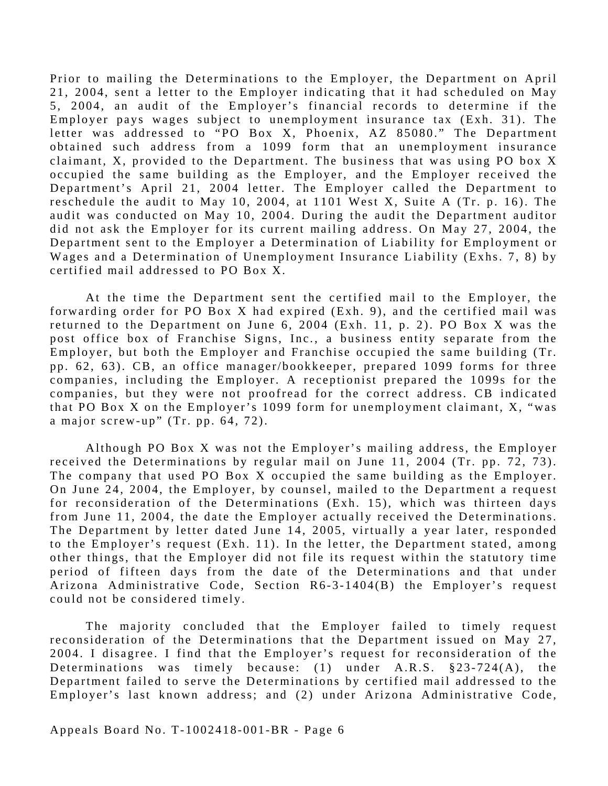Prior to mailing the Determinations to the Employer, the Department on April 21, 2004, sent a letter to the Employer indicating that it had scheduled on May 5, 2004, an audit of the Employer's financial records to determine if the Employer pays wages subject to unemployment insurance tax (Exh. 31). The letter was addressed to "PO Box X, Phoenix, AZ 85080." The Department obtained such address from a 1099 form that an unemployment insurance claimant, X, provided to the Department. The business that was using PO box X occupied the same building as the Employer, and the Employer received the Department's April 21, 2004 letter. The Employer called the Department to reschedule the audit to May 10, 2004, at 1101 West X, Suite A (Tr. p. 16). The audit was conducted on May 10, 2004. During the audit the Department auditor did not ask the Employer for its current mailing address. On May 27, 2004, the Department sent to the Employer a Determination of Liability for Employment or Wages and a Determination of Unemployment Insurance Liability (Exhs. 7, 8) by certified mail addressed to PO Box X.

At the time the Department sent the certified mail to the Employer, the forwarding order for PO Box X had expired (Exh. 9), and the certified mail was returned to the Department on June 6, 2004 (Exh. 11, p. 2). PO Box X was the post office box of Franchise Signs, Inc., a business entity separate from the Employer, but both the Employer and Franchise occupied the same building (Tr. pp. 62, 63). CB, an office manager/bookkeeper, prepared 1099 forms for three companies, including the Employer. A receptionist prepared the 1099s for the companies, but they were not proofread for the correct address. CB indicated that PO Box X on the Employer's 1099 form for unemployment claimant, X, "was a major screw-up" (Tr. pp. 64, 72).

Although PO Box  $X$  was not the Employer's mailing address, the Employer received the Determinations by regular mail on June 11, 2004 (Tr. pp. 72, 73). The company that used PO Box X occupied the same building as the Employer. On June 24, 2004, the Employer, by counsel, mailed to the Department a request for reconsideration of the Determinations (Exh. 15), which was thirteen days from June 11, 2004, the date the Employer actually received the Determinations. The Department by letter dated June 14, 2005, virtually a year later, responded to the Employer's request (Exh. 11). In the letter, the Department stated, among other things, that the Employer did not file its request within the statutory time period of fifteen days from the date of the Determinations and that under Arizona Administrative Code, Section  $R6-3-1404(B)$  the Employer's request could not be considered timely.

The majority concluded that the Employer failed to timely request reconsideration of the Determinations that the Department issued on May 27, 2004. I disagree. I find that the Employer's request for reconsideration of the Determinations was timely because:  $(1)$  under A.R.S.  $§23-724(A)$ , the Department failed to serve the Determinations by certified mail addressed to the Employer's last known address; and (2) under Arizona Administrative Code,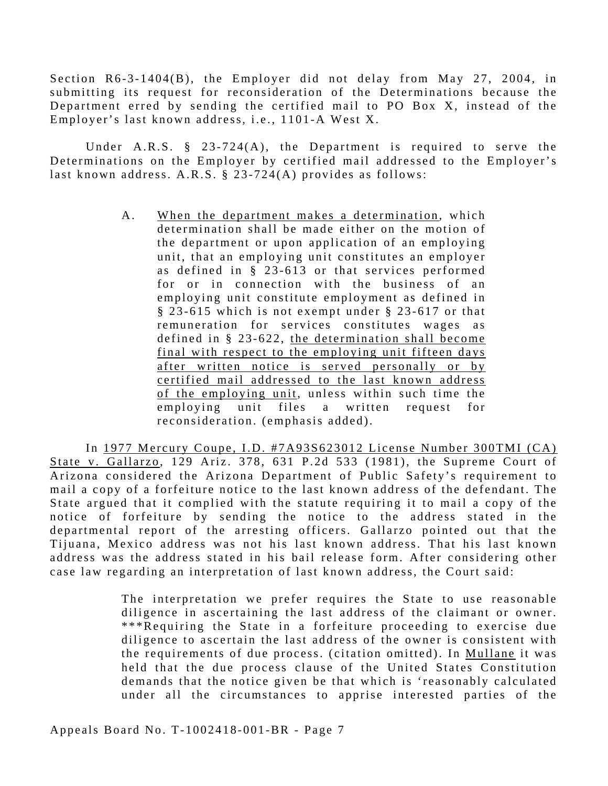Section R6-3-1404(B), the Employer did not delay from May 27, 2004, in submitting its request for reconsideration of the Determinations because the Department erred by sending the certified mail to PO Box X, instead of the Employer's last known address, i.e., 1101-A West X.

Under A.R.S. § 23-724(A), the Department is required to serve the Determinations on the Employer by certified mail addressed to the Employer's last known address. A.R.S. § 23-724(A) provides as follows:

> A. When the department makes a determination, which determination shall be made either on the motion of the department or upon application of an employing unit, that an employing unit constitutes an employer as defined in § 23-613 or that services performed for or in connection with the business of an employing unit constitute employment as defined in § 23-615 which is not exempt under § 23-617 or that remuneration for services constitutes wages as defined in § 23-622, the determination shall become final with respect to the employing unit fifteen days after written notice is served personally or by certified mail addressed to the last known address of the employing unit, unless within such time the employing unit files a written request for reconsideration. (emphasis added).

In 1977 Mercury Coupe, I.D. #7A93S623012 License Number 300TMI (CA) State v. Gallarzo, 129 Ariz. 378, 631 P.2d 533 (1981), the Supreme Court of Arizona considered the Arizona Department of Public Safety's requirement to mail a copy of a forfeiture notice to the last known address of the defendant. The State argued that it complied with the statute requiring it to mail a copy of the notice of forfeiture by sending the notice to the address stated in the departmental report of the arresting officers. Gallarzo pointed out that the Tijuana, Mexico address was not his last known address. That his last known address was the address stated in his bail release form. After considering other case law regarding an interpretation of last known address, the Court said:

> The interpretation we prefer requires the State to use reasonable diligence in ascertaining the last address of the claimant or owner. \*\*\*Requiring the State in a forfeiture proceeding to exercise due diligence to ascertain the last address of the owner is consistent with the requirements of due process. (citation omitted). In Mullane it was held that the due process clause of the United States Constitution demands that the notice given be that which is 'reasonably calculated under all the circumstances to apprise interested parties of the

Appeals Board No. T-1002418-001-BR - Page 7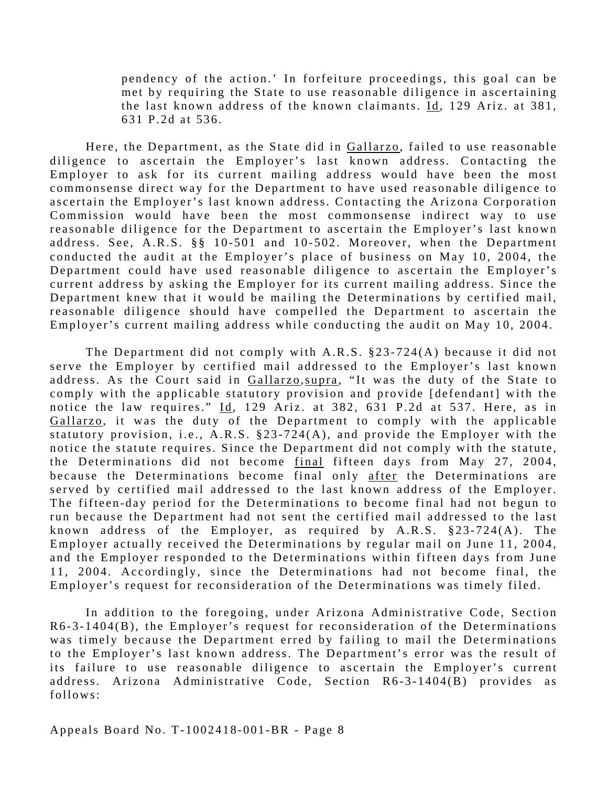pendency of the action.' In forfeiture proceedings, this goal can be met by requiring the State to use reasonable diligence in ascertaining the last known address of the known claimants. Id, 129 Ariz. at 381, 631 P.2d at 536.

Here, the Department, as the State did in Gallarzo, failed to use reasonable diligence to ascertain the Employer's last known address. Contacting the Employer to ask for its current mailing address would have been the most commonsense direct way for the Department to have used reasonable diligence to ascertain the Employer's last known address. Contacting the Arizona Corporation Commission would have been the most commonsense indirect way to use reasonable diligence for the Department to ascertain the Employer's last known address. See, A.R.S. §§ 10-501 and 10-502. Moreover, when the Department conducted the audit at the Employer's place of business on May 10, 2004, the Department could have used reasonable diligence to ascertain the Employer's current address by asking the Employer for its current mailing address. Since the Department knew that it would be mailing the Determinations by certified mail, reasonable diligence should have compelled the Department to ascertain the Employer's current mailing address while conducting the audit on May 10, 2004.

The Department did not comply with A.R.S. §23-724(A) because it did not serve the Employer by certified mail addressed to the Employer's last known address. As the Court said in Gallarzo, supra, "It was the duty of the State to comply with the applicable statutory provision and provide [defendant] with the notice the law requires."  $\underline{Id}$ , 129 Ariz. at 382, 631 P.2d at 537. Here, as in Gallarzo, it was the duty of the Department to comply with the applicable statutory provision, i.e., A.R.S. §23-724(A), and provide the Employer with the notice the statute requires. Since the Department did not comply with the statute, the Determinations did not become final fifteen days from May 27, 2004, because the Determinations become final only after the Determinations are served by certified mail addressed to the last known address of the Employer. The fifteen-day period for the Determinations to become final had not begun to run because the Department had not sent the certified mail addressed to the last known address of the Employer, as required by A.R.S. §23-724(A). The Employer actually received the Determinations by regular mail on June 11, 2004, and the Employer responded to the Determinations within fifteen days from June 11, 2004. Accordingly, since the Determinations had not become final, the Employer's request for reconsideration of the Determinations was timely filed.

In addition to the foregoing, under Arizona Administrative Code, Section  $R6-3-1404(B)$ , the Employer's request for reconsideration of the Determinations was timely because the Department erred by failing to mail the Determinations to the Employer's last known address. The Department's error was the result of its failure to use reasonable diligence to ascertain the Employer's current address. Arizona Administrative Code, Section R6-3-1404(B) provides as follows: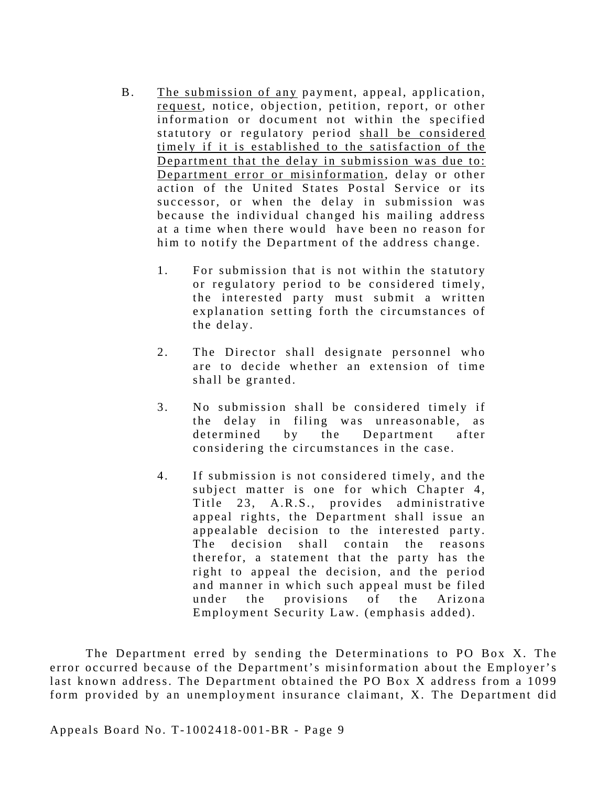- B. The submission of any payment, appeal, application, request, notice, objection, petition, report, or other information or document not within the specified statutory or regulatory period shall be considered timely if it is established to the satisfaction of the Department that the delay in submission was due to: Department error or misinformation, delay or other action of the United States Postal Service or its successor, or when the delay in submission was because the individual changed his mailing address at a time when there would have been no reason for him to notify the Department of the address change.
	- 1. For submission that is not within the statutory or regulatory period to be considered timely, the interested party must submit a written explanation setting forth the circumstances of the delay.
	- 2. The Director shall designate personnel who are to decide whether an extension of time shall be granted.
	- 3. No submission shall be considered timely if the delay in filing was unreasonable, as determined by the Department after considering the circumstances in the case.
	- appealable decision to the interested party. The decision shall contain the reasons 4. If submission is not considered timely, and the subject matter is one for which Chapter 4, Title 23, A.R.S., provides administrative appeal rights, the Department shall issue an therefor, a statement that the party has the right to appeal the decision, and the period and manner in which such appeal must be filed under the provisions of the Arizona Employment Security Law. (emphasis added).

The Department erred by sending the Determinations to PO Box X. The error occurred because of the Department's misinformation about the Employer's last known address. The Department obtained the PO Box X address from a 1099 form provided by an unemployment insurance claimant, X. The Department did

Appeals Board No. T-1002418-001-BR - Page 9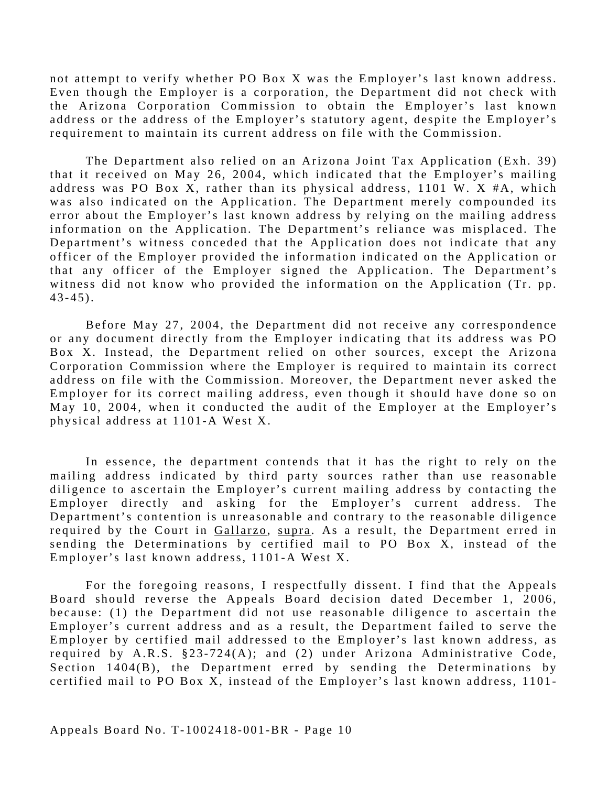not attempt to verify whether PO Box X was the Employer's last known address. Even though the Employer is a corporation, the Department did not check with the Arizona Corporation Commission to obtain the Employer's last known address or the address of the Employer's statutory agent, despite the Employer's requirement to maintain its current address on file with the Commission.

The Department also relied on an Arizona Joint Tax Application (Exh. 39) that it received on May 26, 2004, which indicated that the Employer's mailing address was PO Box X, rather than its physical address,  $1101$  W. X #A, which was also indicated on the Application. The Department merely compounded its error about the Employer's last known address by relying on the mailing address information on the Application. The Department's reliance was misplaced. The Department's witness conceded that the Application does not indicate that any officer of the Employer provided the information indicated on the Application or that any officer of the Employer signed the Application. The Department's witness did not know who provided the information on the Application (Tr. pp. 43-45).

Before May 27, 2004, the Department did not receive any correspondence or any document directly from the Employer indicating that its address was PO Box X. Instead, the Department relied on other sources, except the Arizona Corporation Commission where the Employer is required to maintain its correct address on file with the Commission. Moreover, the Department never asked the Employer for its correct mailing address, even though it should have done so on May 10, 2004, when it conducted the audit of the Employer at the Employer's physical address at 1101-A West X.

In essence, the department contends that it has the right to rely on the mailing address indicated by third party sources rather than use reasonable diligence to ascertain the Employer's current mailing address by contacting the Employer directly and asking for the Employer's current address. The Department's contention is unreasonable and contrary to the reasonable diligence required by the Court in Gallarzo, supra . As a result, the Department erred in sending the Determinations by certified mail to PO Box X, instead of the Employer's last known address, 1101-A West X.

For the foregoing reasons, I respectfully dissent. I find that the Appeals Board should reverse the Appeals Board decision dated December 1, 2006, because: (1) the Department did not use reasonable diligence to ascertain the Employer's current address and as a result, the Department failed to serve the Employer by certified mail addressed to the Employer's last known address, as required by A.R.S.  $§23-724(A);$  and (2) under Arizona Administrative Code, Section 1404(B), the Department erred by sending the Determinations by certified mail to PO Box X, instead of the Employer's last known address, 1101-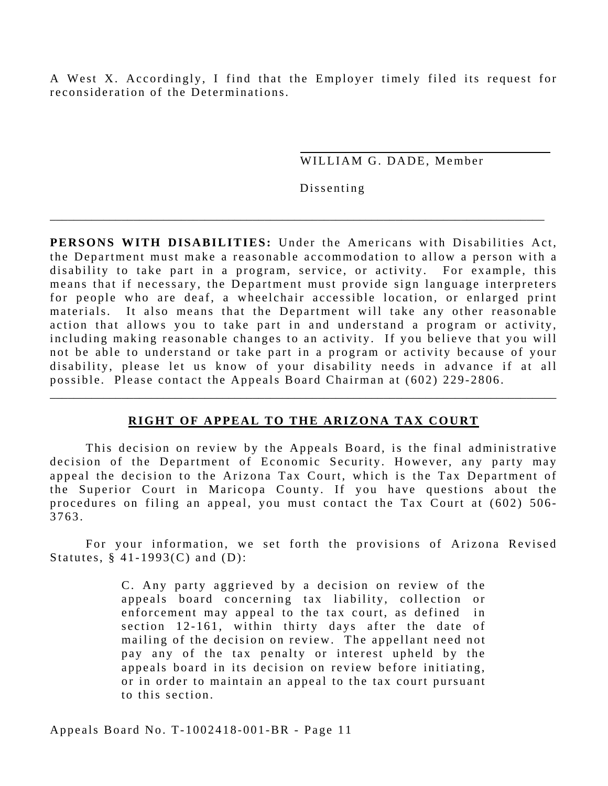A West X. Accordingly, I find that the Employer timely filed its request for reconsideration of the Determinations.

WILLIAM G. DADE, Member

Dissenting

**PERSONS WITH DISABILITIES:** Under the Americans with Disabilities Act, the Department must make a reasonable accommodation to allow a person with a disability to take part in a program, service, or activity. For example, this means that if necessary, the Department must provide sign language interpreters for people who are deaf, a wheelchair accessible location, or enlarged print materials. It also means that the Department will take any other reasonable action that allows you to take part in and understand a program or activity, including making reasonable changes to an activity. If you believe that you will not be able to understand or take part in a program or activity because of your disability, please let us know of your disability needs in advance if at all possible. Please contact the Appeals Board Chairman at (602) 229-2806.

\_\_\_\_\_\_\_\_\_\_\_\_\_\_\_\_\_\_\_\_\_\_\_\_\_\_\_\_\_\_\_\_\_\_\_\_\_\_\_\_\_\_\_\_\_\_\_\_\_\_\_\_\_\_\_\_\_\_\_\_\_\_\_\_\_\_\_\_\_\_\_\_\_\_\_\_\_\_\_\_\_\_\_

## **RIGHT OF APPEAL TO THE ARIZONA TAX COURT**

\_\_\_\_\_\_\_\_\_\_\_\_\_\_\_\_\_\_\_\_\_\_\_\_\_\_\_\_\_\_\_\_\_\_\_\_\_\_\_\_\_\_\_\_\_\_\_\_\_\_\_\_\_\_\_\_\_\_\_\_\_\_\_\_\_\_\_\_\_\_\_\_\_\_\_\_\_\_\_\_\_\_\_\_\_

This decision on review by the Appeals Board, is the final administrative decision of the Department of Economic Security. However, any party may appeal the decision to the Arizona Tax Court, which is the Tax Department of the Superior Court in Maricopa County. If you have questions about the procedures on filing an appeal, you must contact the Tax Court at (602) 506- 3763.

For your information, we set forth the provisions of Arizona Revised Statutes, § 41-1993(C) and (D):

> C . Any party aggrieved by a decision on review of the appeals board concerning tax liability, collection or enforcement may appeal to the tax court, as defined in section 12-161, within thirty days after the date of mailing of the decision on review. The appellant need not pay any of the tax penalty or interest upheld by the appeals board in its decision on review before initiating, or in order to maintain an appeal to the tax court pursuant to this section.

Appeals Board No. T-1002418-001-BR - Page 11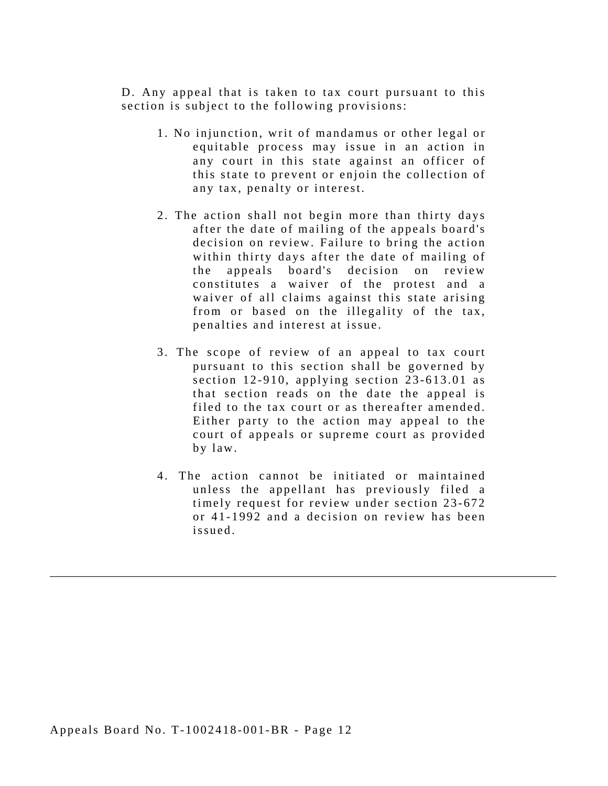D. Any appeal that is taken to tax court pursuant to this section is subject to the following provisions:

- 1 . No injunction, writ of mandamus or other legal or equitable process may issue in an action in any court in this state against an officer of this state to prevent or enjoin the collection of any tax, penalty or interest.
- 2. The action shall not begin more than thirty days after the date of mailing of the appeals board's decision on review. Failure to bring the action within thirty days after the date of mailing of the appeals board's decision on review constitutes a waiver of the protest and a waiver of all claims against this state arising from or based on the illegality of the tax, penalties and interest at issue.
- 3. The scope of review of an appeal to tax court pursuant to this section shall be governed by section 12-910, applying section 23-613.01 as that section reads on the date the appeal is filed to the tax court or as thereafter amended. Either party to the action may appeal to the court of appeals or supreme court as provided by law.
- 4. The action cannot be initiated or maintained unless the appellant has previously filed a timely request for review under section 23-672 or 41-1992 and a decision on review has been issued.

\_\_\_\_\_\_\_\_\_\_\_\_\_\_\_\_\_\_\_\_\_\_\_\_\_\_\_\_\_\_\_\_\_\_\_\_\_\_\_\_\_\_\_\_\_\_\_\_\_\_\_\_\_\_\_\_\_\_\_\_\_\_\_\_\_\_\_\_\_\_\_\_\_\_\_\_\_\_\_\_\_\_\_\_\_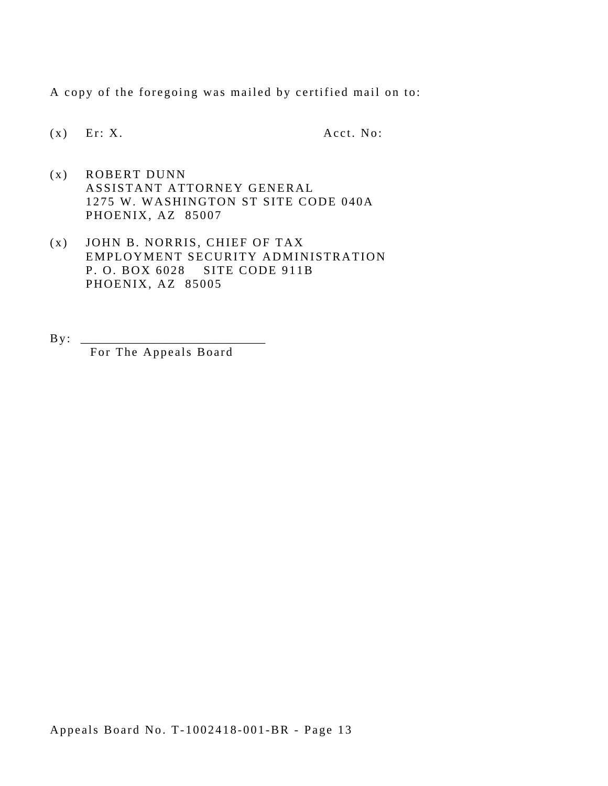A copy of the foregoing was mailed by certified mail on to:

 $(x)$  Er: X. Acct. No:

- $(x)$  ROBERT DUNN ASSISTANT ATTORNEY GENERAL 1275 W. WASHINGTON ST SITE CODE 040A PHOENIX, AZ 85007
- P. O. BOX 6028 SITE CODE 911B (x) JOHN B. NORRIS, CHIEF OF TAX EMPLOYMENT SECURITY ADMINISTRATION PHOENIX, AZ 85005
- $\mathbf{B} \mathbf{y}$ : For The Appeals Board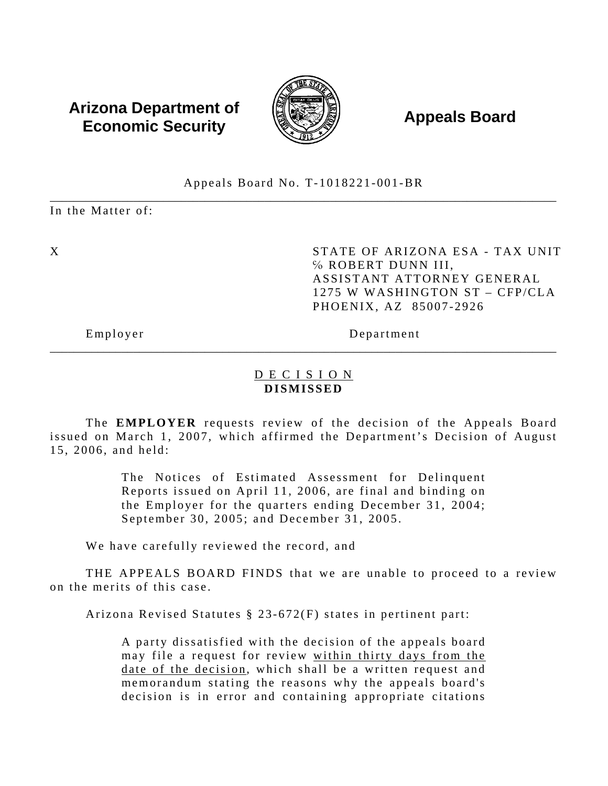# **Arizona Department of**  $\left(\begin{matrix} 1 & 0 & 0 \\ 0 & 0 & 0 \\ 0 & 0 & 0 \end{matrix}\right)$  **Appeals Board Economic Security**



### \_\_\_\_\_\_\_\_\_\_\_\_\_\_\_\_\_\_\_\_\_\_\_\_\_\_\_\_\_\_\_\_\_\_\_\_\_\_\_\_\_\_\_\_\_\_\_\_\_\_\_\_\_\_\_\_\_\_\_\_\_\_\_\_\_\_\_\_\_\_\_\_\_\_\_\_\_\_\_\_\_\_\_\_\_ Appeals Board No. T-1018221-001-BR

In the Matter of:

X STATE OF ARIZONA ESA - TAX UNIT ℅ ROBERT DUNN III, ASSISTANT ATTORNEY GENERAL 1275 W WASHINGTON ST – CFP/CLA PHOENIX, AZ 85007-2926

Employer Department

## D E C I S I O N **DISMISSED**

\_\_\_\_\_\_\_\_\_\_\_\_\_\_\_\_\_\_\_\_\_\_\_\_\_\_\_\_\_\_\_\_\_\_\_\_\_\_\_\_\_\_\_\_\_\_\_\_\_\_\_\_\_\_\_\_\_\_\_\_\_\_\_\_\_\_\_\_\_\_\_\_\_\_\_\_\_\_\_\_\_\_\_\_\_

The **EMPLOYER** requests review of the decision of the Appeals Board issued on March 1, 2007, which affirmed the Department's Decision of August 15, 2006, and held:

> The Notices of Estimated Assessment for Delinquent Reports issued on April 11, 2006, are final and binding on the Employer for the quarters ending December 31, 2004; September 30, 2005; and December 31, 2005.

We have carefully reviewed the record, and

THE APPEALS BOARD FINDS that we are unable to proceed to a review on the merits of this case.

Arizona Revised Statutes § 23-672(F) states in pertinent part:

A party dissatisfied with the decision of the appeals board may file a request for review within thirty days from the date of the decision, which shall be a written request and memorandum stating the reasons why the appeals board's decision is in error and containing appropriate citations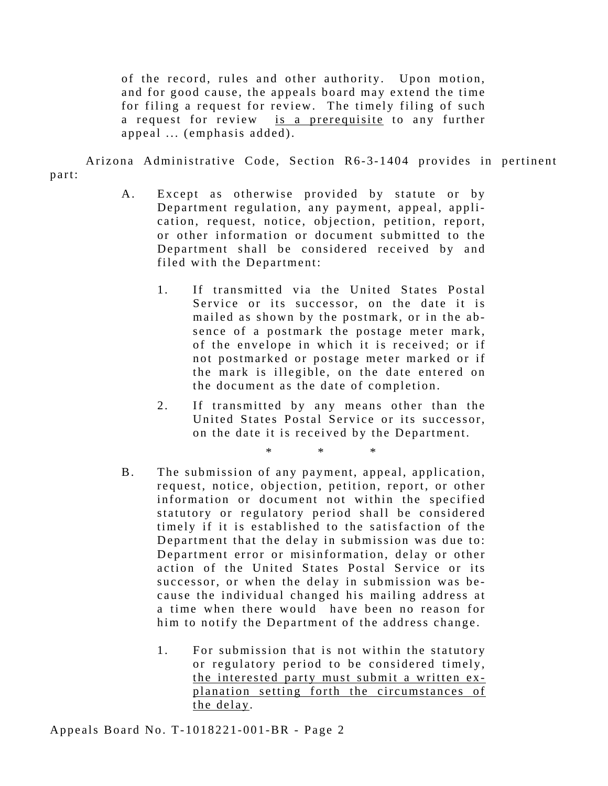of the record, rules and other authority. Upon motion, and for good cause, the appeals board may extend the time for filing a request for review. The timely filing of such a request for review is a prerequisite to any further appeal ... (emphasis added).

Arizona Administrative Code, Section R6-3-1404 provides in pertinent part:

- A. Except as otherwise provided by statute or by Department regulation, any payment, appeal, application, request, notice, objection, petition, report, or other information or document submitted to the Department shall be considered received by and filed with the Department:
	- 1. If transmitted via the United States Postal Service or its successor, on the date it is mailed as shown by the postmark, or in the absence of a postmark the postage meter mark, of the envelope in which it is received; or if not postmarked or postage meter marked or if the mark is illegible, on the date entered on the document as the date of completion.
	- 2. If transmitted by any means other than the United States Postal Service or its successor, on the date it is recei ved by the Department.

\* \* \*

- B. The submission of any payment, appeal, application, request, notice, objection, petition, report, or other information or document not within the specified statutory or regulatory period shall be considered timely if it is established to the satisfaction of the Department that the delay in submission was due to: Department error or misinformation, delay or other action of the United States Postal Service or its successor, or when the delay in submission was be cause the individual changed his mailing address at a time when there would have been no reason for him to notify the Department of the address change.
	- 1. For submission that is not within the statutory or regulatory period to be considered timely, the interested party must submit a written explanation setting forth the circumstances of the delay.

Appeals Board No. T-1018221-001-BR - Page 2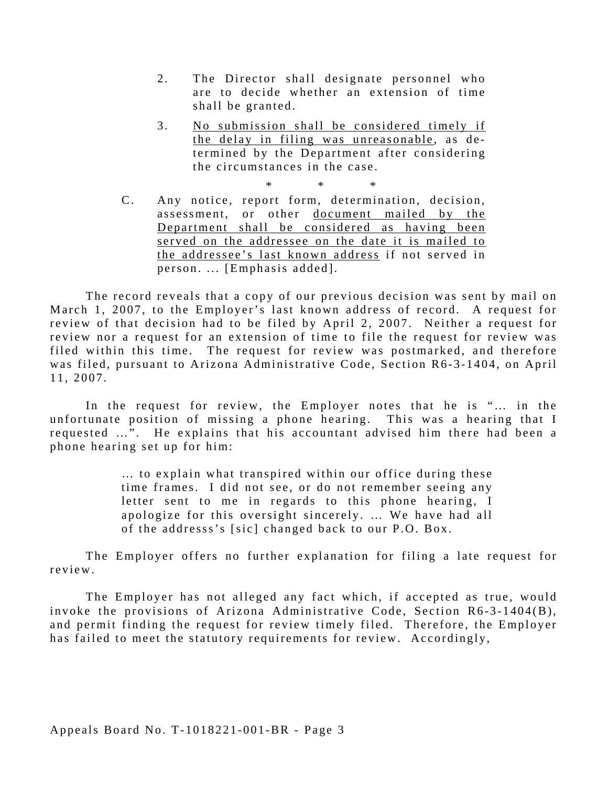- 2. The Director shall designate personnel who are to decide whether an extension of time shall be granted.
- 3. No submission shall be considered timely if the delay in filing was unreasonable, as  $de$ termined by the Department after considering the circumstances in the case.

\* \* \*

C. Any notice, report form, determination, decision, assessment, or other document mailed by the Department shall be considered as having been served on the addressee on the date it is mailed to the addressee's last known address if not served in person. ... [Emphasis added].

The record reveals that a copy of our previous decision was sent by mail on March 1, 2007, to the Employer's last known address of record. A request for review of that decision had to be filed by April 2, 2007. Neither a request for review nor a request for an extension of time to file the request for review was filed within this time. The request for review was postmarked, and therefore was filed, pursuant to Arizona Administrative Code, Section R6-3-1404, on April 11, 2007.

In the request for review, the Employer notes that he is "... in the unfortunate position of missing a phone hearing. This was a hearing that I requested …". He explains that his accountant advised him there had been a phone hearing set up for him:

> … to explain what transpired within our office during these time frames. I did not see, or do not remember seeing any letter sent to me in regards to this phone hearing, I apologize for this oversight sincerely. ... We have had all of the addresss's [sic] changed back to our P.O. Box.

The Employer offers no further explanation for filing a late request for review.

The Employer has not alleged any fact which, if accepted as true, would invoke the provisions of Arizona Administrative Code, Section R6-3-1404(B), and permit finding the request for review timely filed. Therefore, the Employer has failed to meet the statutory requirements for review. Accordingly,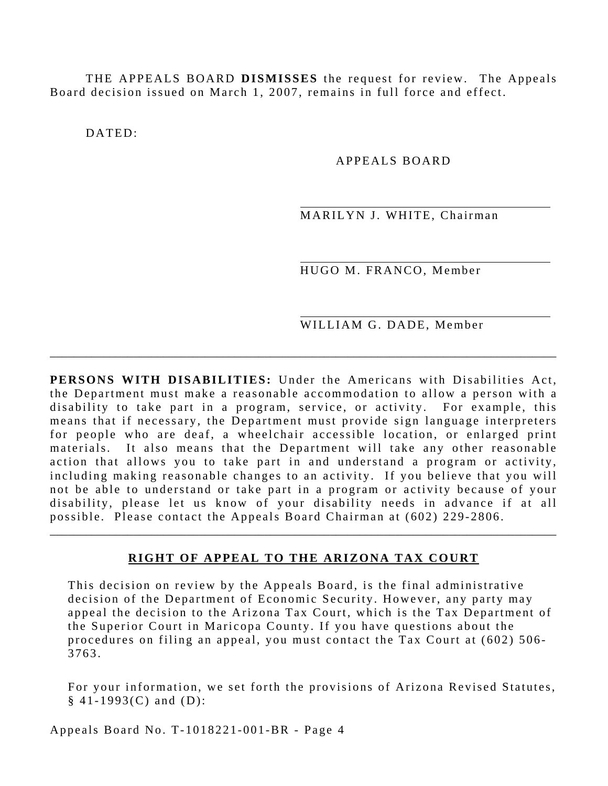THE APPEALS BOARD **DISMISSES** the request for review. The Appeals Board decision issued on March 1, 2007, remains in full force and effect.

DATED:

### APPEALS BOARD

MARILYN J. WHITE, Chairman

HUGO M. FRANCO, Member

WILLIAM G. DADE, Member

**PERSONS WITH DISABILITIES:** Under the Americans with Disabilities Act, the Department must make a reasonable accommodation to allow a person with a disability to take part in a program, service, or activity. For example, this means that if necessary, the Department must provide sign language interpreters for people who are deaf, a wheelchair accessible location, or enlarged print materials. It also means that the Department will take any other reasonable action that allows you to take part in and understand a program or activity, including making reasonable changes to an activity. If you believe that you will not be able to understand or take part in a program or activity because of your disability, please let us know of your disability needs in advance if at all possible. Please contact the Appeals Board Chairman at (602) 229-2806.

\_\_\_\_\_\_\_\_\_\_\_\_\_\_\_\_\_\_\_\_\_\_\_\_\_\_\_\_\_\_\_\_\_\_\_\_\_\_\_\_\_\_\_\_\_\_\_\_\_\_\_\_\_\_\_\_\_\_\_\_\_\_\_\_\_\_\_\_\_\_\_\_\_\_\_\_\_\_\_\_\_\_\_\_\_

#### **RIGHT OF APPEAL TO THE ARIZONA TAX COURT**

\_\_\_\_\_\_\_\_\_\_\_\_\_\_\_\_\_\_\_\_\_\_\_\_\_\_\_\_\_\_\_\_\_\_\_\_\_\_\_\_\_\_\_\_\_\_\_\_\_\_\_\_\_\_\_\_\_\_\_\_\_\_\_\_\_\_\_\_\_\_\_\_\_\_\_\_\_\_\_\_\_\_\_\_\_

This decision on review by the Appeals Board, is the final administrative decision of the Department of Economic Security. However, any party may appeal the decision to the Arizona Tax Court, which is the Tax Department of the Superior Court in Maricopa County. If you have questions about the procedures on filing an appeal, you must contact the Tax Court at (602) 506 - 3763.

For your information, we set forth the provisions of Arizona Revised Statutes,  $§ 41-1993(C)$  and  $(D)$ :

Appeals Board No. T-1018221-001-BR - Page 4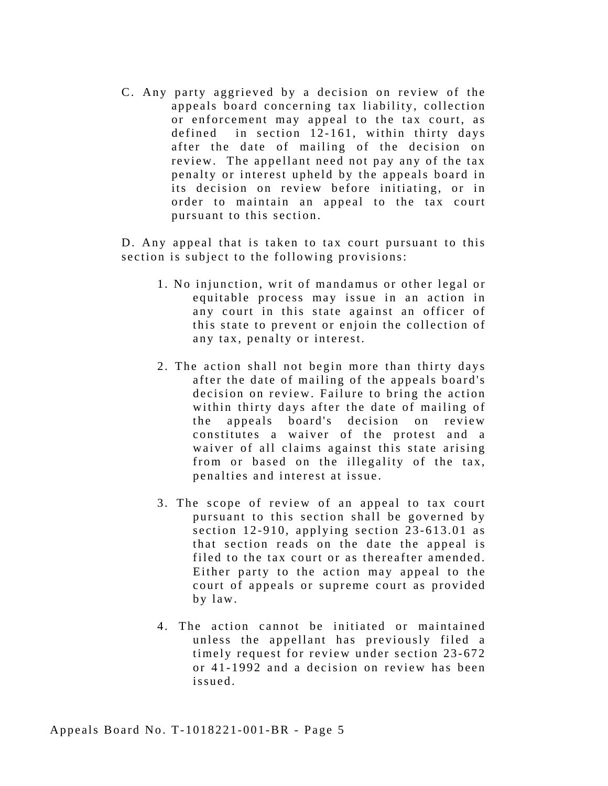C . Any party aggrieved by a decision on review of the appeals board concerning tax liability, collection or enforcement may appeal to the tax court, as defined in section 12-161, within thirty days after the date of mailing of the decision on review. The appellant need not pay any of the tax penalty or interest upheld by the appeals board in its decision on review before initiating, or in order to maintain an appeal to the tax court pursuant to this section.

D. Any appeal that is taken to tax court pursuant to this section is subject to the following provisions:

- 1 . No injunction, writ of mandamus or other legal or equitable process may issue in an action in any court in this state against an officer of this state to prevent or enjoin the collection of any tax, penalty or interest.
- 2. The action shall not begin more than thirty days after the date of mailing of the appeals board's decision on review. Failure to bring the action within thirty days after the date of mailing of the appeals board's decision on review constitutes a waiver of the protest and a waiver of all claims against this state arising from or based on the illegality of the tax, penalties and interest at issue.
- 3. The scope of review of an appeal to tax court pursuant to this section shall be governed by section 12-910, applying section 23-613.01 as that section reads on the date the appeal is filed to the tax court or as thereafter amended. Either party to the action may appeal to the court of appeals or supreme court as provided by law.
- 4. The action cannot be initiated or maintained unless the appellant has previously filed a timely request for review under section 23-672 or 41-1992 and a decision on review has been issued.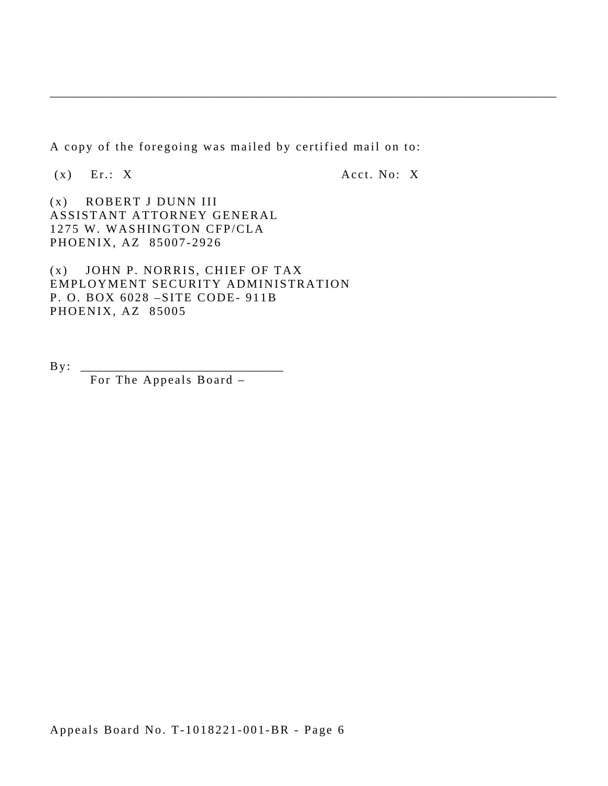A copy of the foregoing was mailed by certified mail on to:

\_\_\_\_\_\_\_\_\_\_\_\_\_\_\_\_\_\_\_\_\_\_\_\_\_\_\_\_\_\_\_\_\_\_\_\_\_\_\_\_\_\_\_\_\_\_\_\_\_\_\_\_\_\_\_\_\_\_\_\_\_\_\_\_\_\_\_\_\_\_\_\_\_\_\_\_\_\_\_\_\_\_\_\_\_

 $(x)$  Er.: X  $Acct. No: X$ 

(x) ROBERT J DUNN III ASSISTANT ATTORNEY GENERAL 1275 W. WASHINGTON CFP/CLA PHOENIX, AZ 85007-2926

(x) JOHN P. NORRIS, CHIEF OF TAX EMPLOYMENT SECURITY ADMINISTRATION P. O. BOX 6028 –SITE CODE- 911B PHOENIX, AZ 85005

 $\mathbf{By:}$ 

For The Appeals Board –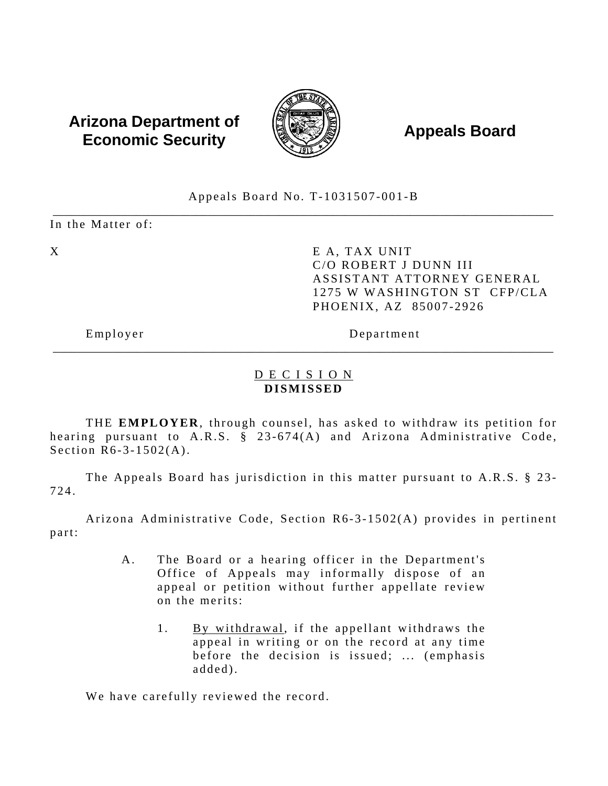# **Arizona Department of**  $\left(\begin{matrix} 1 & 0 & 0 \\ 0 & 0 & 0 \\ 0 & 0 & 0 \end{matrix}\right)$  **Appeals Board Economic Security**



### Appeals Board No. T-1031507-001-B \_\_\_\_\_\_\_\_\_\_\_\_\_\_\_\_\_\_\_\_\_\_\_\_\_\_\_\_\_\_\_\_\_\_\_\_\_\_\_\_\_\_\_\_\_\_\_\_\_\_\_\_\_\_\_\_\_\_\_\_\_\_\_\_\_\_\_\_\_\_\_\_\_\_\_\_\_\_\_\_\_\_\_\_

In the Matter of:

X E A, TAX UNIT C/O ROBERT J DUNN III ASSISTANT ATTORNEY GENERAL 1275 W WASHINGTON ST CFP/CLA PHOENIX, AZ 85007-2926

Employer Department

## D E C I S I O N **DISMISSED**

\_\_\_\_\_\_\_\_\_\_\_\_\_\_\_\_\_\_\_\_\_\_\_\_\_\_\_\_\_\_\_\_\_\_\_\_\_\_\_\_\_\_\_\_\_\_\_\_\_\_\_\_\_\_\_\_\_\_\_\_\_\_\_\_\_\_\_\_\_\_\_\_\_\_\_\_\_\_\_\_\_\_\_\_

THE **EMPLOYER**, through counsel, has asked to withdraw its petition for hearing pursuant to A.R.S. § 23-674(A) and Arizona Administrative Code, Section R6-3-1502(A).

The Appeals Board has jurisdiction in this matter pursuant to A.R.S. § 23-724.

Arizona Administrative Code, Section R6-3-1502(A) provides in pertinent part:

- A. The Board or a hearing officer in the Department's Office of Appeals may informally dispose of an appeal or petition without further appellate review on the merits:
	- 1. By withdrawal, if the appellant withdraws the appeal in writing or on the record at any time before the decision is issued; ... (emphasis added).

We have carefully reviewed the record.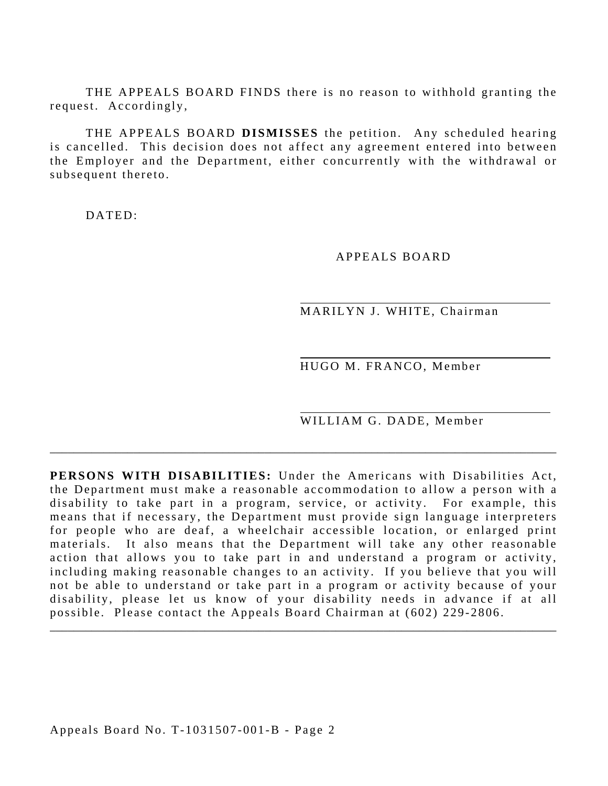THE APPEALS BOARD FINDS there is no reason to withhold granting the request. Accordingly,

THE APPEALS BOARD **DISMISSES** the petition. Any scheduled hearing is cancelled. This decision does not affect any agreement entered into between the Employer and the Department, either concurrently with the withdrawal or subsequent thereto.

DATED:

APPEALS BOARD

MARILYN J. WHITE, Chairman

HUGO M. FRANCO, Member

WILLIAM G. DADE, Member

**PERSONS WITH DISABILITIES:** Under the Americans with Disabilities Act, the Department must make a reasonable accommodation to allow a person with a disability to take part in a program, service, or activity. For example, this means that if necessary, the Department must provide sign language interpreters for people who are deaf, a wheelchair accessible location, or enlarged print materials. It also means that the Department will take any other reasonable action that allows you to take part in and understand a program or activity, including making reasonable changes to an activity. If you believe that you will not be able to understand or take part in a program or activity because of your disability, please let us know of your disability needs in advance if at all possible. Please contact the Appeals Board Chairman at (602) 229-2806.

\_\_\_\_\_\_\_\_\_\_\_\_\_\_\_\_\_\_\_\_\_\_\_\_\_\_\_\_\_\_\_\_\_\_\_\_\_\_\_\_\_\_\_\_\_\_\_\_\_\_\_\_\_\_\_\_\_\_\_\_\_\_\_\_\_\_\_\_\_\_\_\_\_\_\_\_\_\_\_\_\_\_\_\_\_

\_\_\_\_\_\_\_\_\_\_\_\_\_\_\_\_\_\_\_\_\_\_\_\_\_\_\_\_\_\_\_\_\_\_\_\_\_\_\_\_\_\_\_\_\_\_\_\_\_\_\_\_\_\_\_\_\_\_\_\_\_\_\_\_\_\_\_\_\_\_\_\_\_\_\_\_\_\_\_\_\_\_\_\_\_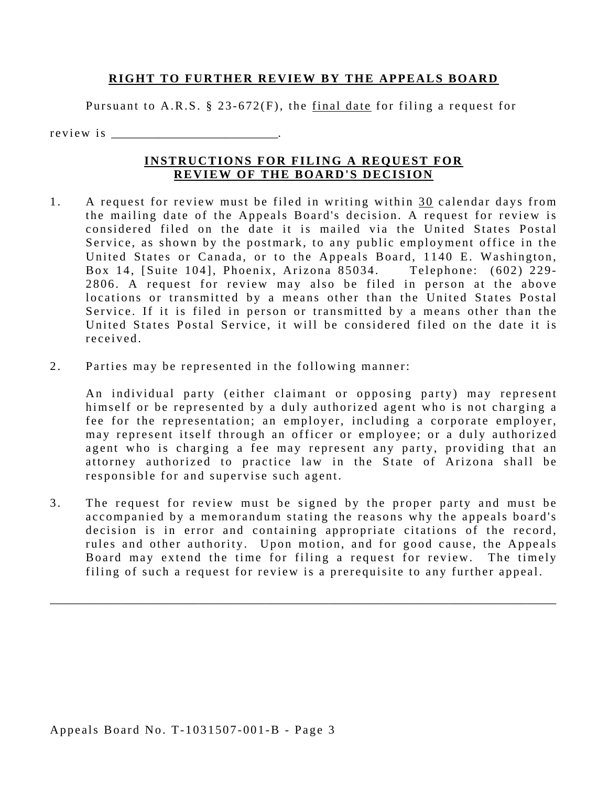### **RIGHT TO FURTHER REVIEW BY THE APPEALS BOARD**

Pursuant to A.R.S. § 23-672(F), the final date for filing a request for

r e v i e w i s

## **INSTRUCTIONS FOR FILING A REQUEST FOR REVIEW OF THE BOARD'S DECISION**

- received 1. A request for review must be filed in writing within 30 calendar days from the mailing date of the Appeals Board's decision. A request for review is considered filed on the date it is mailed via the United States Postal Service, as shown by the postmark, to any public employment office in the United States or Canada, or to the Appeals Board, 1140 E. Washington, Box 14, [Suite 104], Phoenix, Arizona 85034. Telephone: (602) 229-2806. A request for review may also be filed in person at the above locations or transmitted by a means other than the United States Postal Service. If it is filed in person or transmitted by a means other than the United States Postal Service, it will be considered filed on the date it is
- 2. Parties may be represented in the following manner:

An individual party (either claimant or opposing party) may represent himself or be represented by a duly authorized agent who is not charging a fee for the representation; an employer, including a corporate employer, may represent itself through an officer or employee; or a duly authorized agent who is charging a fee may represent any party, providing that an attorney authorized to practice law in the State of Arizona shall be responsible for and supervise such agent.

3. The request for review must be signed by the proper party and must be accompanied by a memorandum stating the reasons why the appeals board's decision is in error and containing appropriate citations of the record, rules and other authority. Upon motion, and for good cause, the Appeals Board may extend the time for filing a request for review. The timely filing of such a request for review is a prerequisite to any further appeal.

\_\_\_\_\_\_\_\_\_\_\_\_\_\_\_\_\_\_\_\_\_\_\_\_\_\_\_\_\_\_\_\_\_\_\_\_\_\_\_\_\_\_\_\_\_\_\_\_\_\_\_\_\_\_\_\_\_\_\_\_\_\_\_\_\_\_\_\_\_\_\_\_\_\_\_\_\_\_\_\_\_\_\_\_\_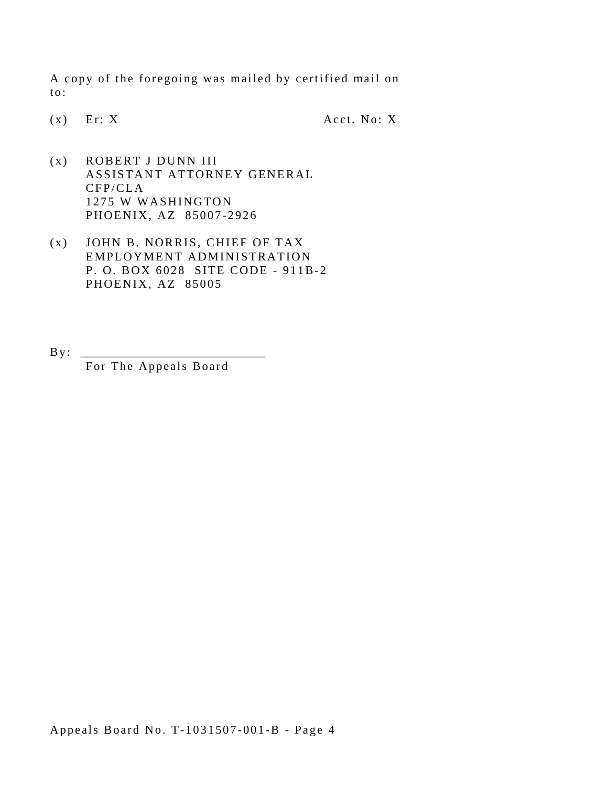A copy of the foregoing was mailed by certified mail on to:

(x) Er: X Acct. No: X

- (x) ROBERT J DUNN III ASSISTANT ATTORNEY GENERAL CFP/CLA 1275 W WASHINGTON PHOENIX, AZ 85007-2926
- (x) JOHN B. NORRIS, CHIEF OF TAX EMPLOYMENT ADMINISTRATION P. O. BOX 6028 SITE CODE - 911B-2 PHOENIX, AZ 85005
- $B y$ :

For The Appeals Board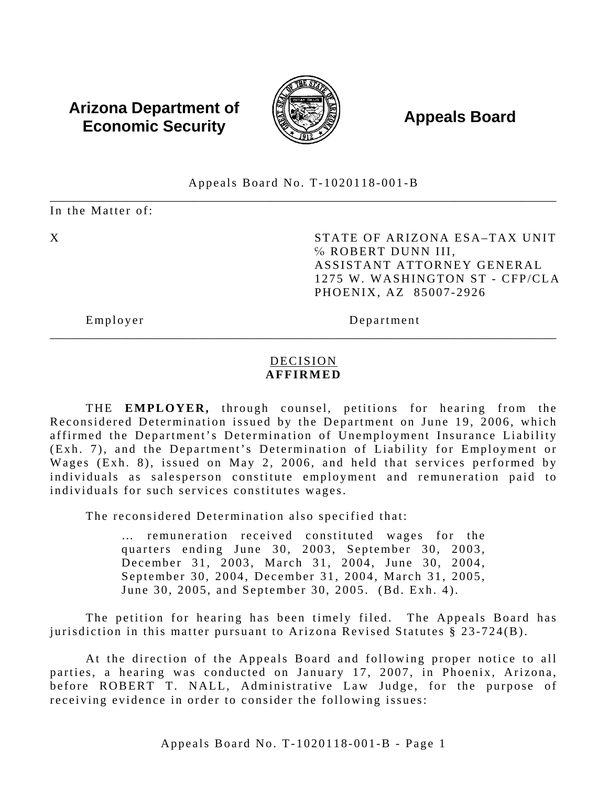# **Arizona Department of**  $\left(\begin{matrix} 1 & 0 & 0 \\ 0 & 0 & 0 \\ 0 & 0 & 0 \end{matrix}\right)$  **Appeals Board Economic Security**



#### \_\_\_\_\_\_\_\_\_\_\_\_\_\_\_\_\_\_\_\_\_\_\_\_\_\_\_\_\_\_\_\_\_\_\_\_\_\_\_\_\_\_\_\_\_\_\_\_\_\_\_\_\_\_\_\_\_\_\_\_\_\_\_\_\_\_\_\_\_\_\_\_\_\_\_\_\_\_\_\_\_\_\_\_\_ Appeals Board No. T-1020118-001-B

In the Matter of:

X STATE OF ARIZONA ESA-TAX UNIT ℅ ROBERT DUNN III, ASSISTANT ATTORNEY GENERAL 1275 W. WASHINGTON ST - CFP/CLA PHOENIX, AZ 85007-2926

Employer Department

## DECISION **AFFIRMED**

\_\_\_\_\_\_\_\_\_\_\_\_\_\_\_\_\_\_\_\_\_\_\_\_\_\_\_\_\_\_\_\_\_\_\_\_\_\_\_\_\_\_\_\_\_\_\_\_\_\_\_\_\_\_\_\_\_\_\_\_\_\_\_\_\_\_\_\_\_\_\_\_\_\_\_\_\_\_\_\_\_\_\_\_\_

THE **EMPLOYER,** through counsel, petitions for hearing from the Reconsidered Determination issued by the Department on June 19, 2006, which affirmed the Department's Determination of Unemployment Insurance Liability (Exh. 7), and the Department's Determination of Liability for Employment or Wages (Exh. 8), issued on May 2, 2006, and held that services performed by individuals as salesperson constitute employment and remuneration paid to individuals for such services constitutes wages.

The reconsidered Determination also specified that:

… remuneration received constituted wages for the quarters ending June 30, 2003, September 30, 2003, December 31, 2003, March 31, 2004, June 30, 2004, September 30, 2004, December 31, 2004, March 31, 2005, June 30, 2005, and September 30, 2005. (Bd. Exh. 4).

The petition for hearing has been timely filed. The Appeals Board has jurisdiction in this matter pursuant to Arizona Revised Statutes § 23-724(B).

At the direction of the Appeals Board and following proper notice to all parties, a hearing was conducted on January 17, 2007, in Phoenix, Arizona, before ROBERT T. NALL, Administrative Law Judge, for the purpose of receiving evidence in order to consider the following issues: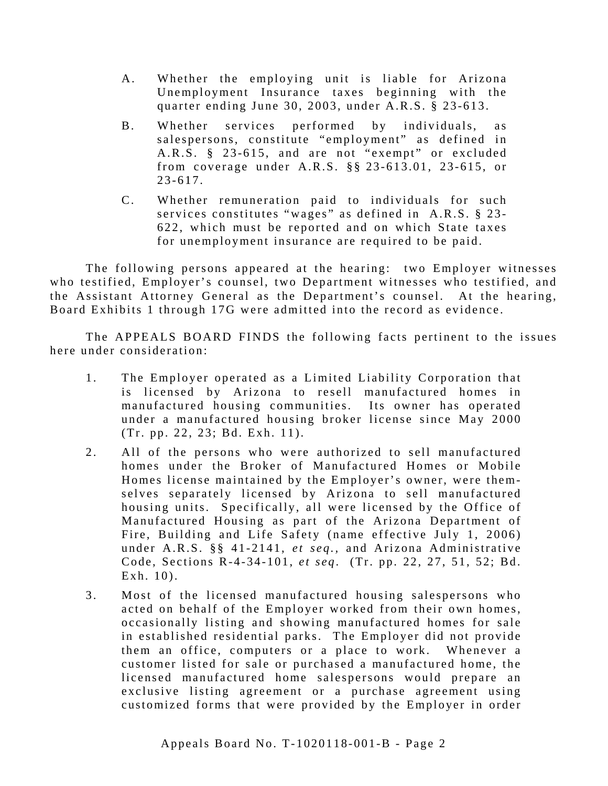- A. Whether the employing unit is liable for Arizona Unemployment Insurance taxes beginning with the quarter ending June 30, 2003, under A.R.S. § 23-613.
- B. Whether services performed by individuals, as salespersons, constitute "employment" as defined in A.R.S. § 23-615, and are not "exempt" or excluded from coverage under A.R.S.  $\S$  23-613.01, 23-615, or 23-617.
- C. Whether remuneration paid to individuals for such services constitutes "wages" as defined in A.R.S. § 23-622, which must be reported and on which State taxes for unemployment insurance are required to be paid.

The following persons appeared at the hearing: two Employer witnesses who testified, Employer's counsel, two Department witnesses who testified, and the Assistant Attorney General as the Department's counsel. At the hearing, Board Exhibits 1 through 17G were admitted into the record as evidence.

The APPEALS BOARD FINDS the following facts pertinent to the issues here under consideration:

- 1. The Employer operated as a Limited Liability Corporation that is licensed by Arizona to resell manufactured homes in manufactured housing communities. Its owner has operated under a manufactured housing broker license since May 2000 (Tr. pp. 22, 23; Bd. Exh. 11).
- 2. All of the persons who were authorized to sell manufactured homes under the Broker of Manufactured Homes or Mobile Homes license maintained by the Employer's owner, were themselves separately licensed by Arizona to sell manufactured housing units. Specifically, all were licensed by the Office of Manufactured Housing as part of the Arizona Department of Fire, Building and Life Safety (name effective July 1, 2006) under A.R.S. §§ 41-2141, *et seq.,* and Arizona Administrative Code, Sections R-4-34-101, *et seq*. (Tr. pp. 22, 27, 51, 52; Bd. Exh. 10).
- 3. Most of the licensed manufactured housing salespersons who acted on behalf of the Employer worked from their own homes, occasionally listing and showing manufactured homes for sale in established residential parks. The Employer did not provide them an office, computers or a place to work. Whenever a customer listed for sale or pu rchased a manufactured home, the licensed manufactured home salespersons would prepare an exclusive listing agreement or a purchase agreement using customized forms that were provided by the Employer in order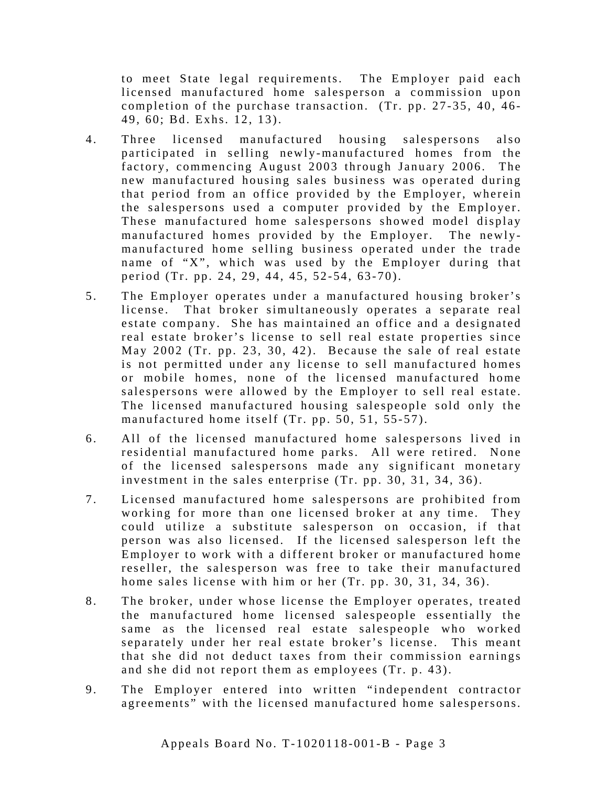to meet State legal requirements. The Employer paid each licensed manufactured home salesperson a commission upon completion of the purchase transaction. (Tr. pp. 27-35, 40, 46-49, 60; Bd. Exhs. 12, 13).

- 4. Three licensed manufactured housing salespersons also participated in selling newly-manufactured homes from the factory, commencing August 2003 through January 2006. The new manufactured housing sales business was operated during that period from an office provided by the Employer, wherein the salespersons used a computer provided by the Employer. These manufactured home salespersons showed model display manufactured homes provided by the Employer. The newlymanufactured home selling business operated under the trade name of "X", which was used by the Employer during that period (Tr. pp. 24, 29, 44, 45, 52-54, 63-70).
- salespersons were allowed by the Employer to sell real estate. 5. The Employer operates under a manufactured housing broker's license. That broker simultaneously operates a separate real estate company. She has maintained an office and a designated real estate broker's license to sell real estate properties since May 2002 (Tr. pp. 23, 30, 42). Because the sale of real estate is not permitted under any license to sell manufactured homes or mobile homes, none of the licensed manufactured home The licensed manufactured housing salespeople sold only the manufactured home itself (Tr. pp. 50, 51, 55-57).
- 6. All of the licensed manufactured home salespersons lived in residential manufactured home parks. All were retired. None of the licensed salespersons ma de any significant monetary investment in the sales enterprise  $(Tr. pp. 30, 31, 34, 36)$ .
- 7. Licensed manufactured home salespersons are prohibited from working for more than one licensed broker at any time. They could utilize a substitute salesperson on occasion, if that person was also licensed. If the licensed salesperson left the Employer to work with a different broker or manufactured home reseller, the salesperson was free to take their manufactured home sales license with him or her (Tr. pp. 30, 31, 34, 36).
- 8. The broker, under whose license the Employer operates, treated the manufactured home licensed salespeople essentially the same as the licensed real estate salespeople who worked separately under her real estate broker's license. This meant that she did not deduct taxes from their commission earnings and she did not report them as employees (Tr. p. 43).
- 9. The Employer entered into written "independent contractor agreements" with the licensed manufactured home salespersons.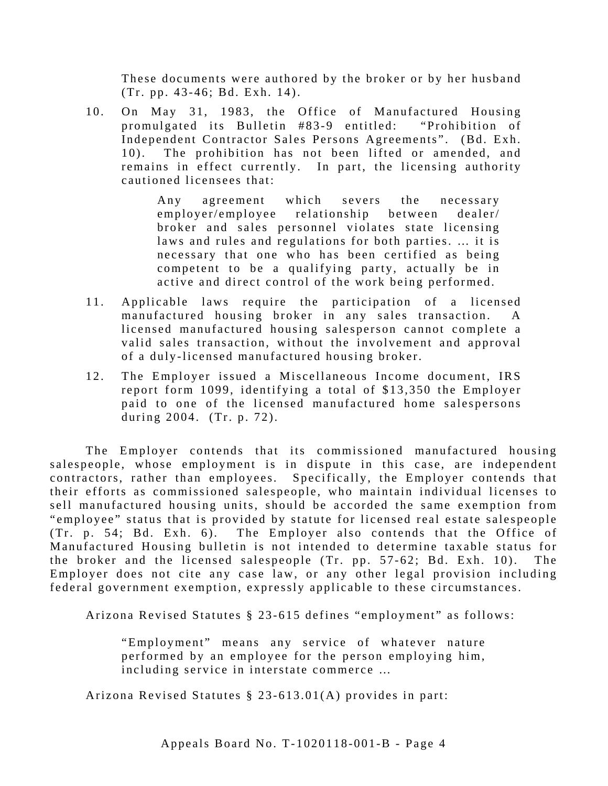These documents were authored by the broker or by her husband (Tr. pp. 43-46; Bd. Exh. 14).

10. On May 31, 1983, the Office of Manufactured Housing promulgated its Bulletin #83-9 entitled: "Prohibition of Independent Contractor Sales Persons Agreements". (Bd. Exh. 10). The prohibition has not been lifted or amended, and remains in effect currently. In part, the licensing authority cautioned licensees that:

> Any agreement which severs the necessary employer/employee relationship between dealer/ broker and sales personnel violates state licensing laws and rules and regulations for both parties. … it is necessary that one who has been certified as being competent to be a qualifying party, actually be in active and direct control of the work being performed.

- 11. Applicable laws require the participation of a licensed manufactured housing broker in any sales transaction. A licensed manufactured housing salesperson cannot complete a valid sales transaction, without the involvement and approval of a duly-licensed manufactured housing broker.
- 12. The Employer issued a Miscellaneous Income document, IRS report form 1099, identifying a total of \$13,350 the Employer paid to one of the licensed manufactured home salespersons during 2004. (Tr. p. 72).

The Employer contends that its commissioned manufactured housing salespeople, whose employment is in dispute in this case, are independent contractors, rather than employees. Specifically, the Employer contends that their efforts as commissioned salespeople, who maintain individual licenses to sell manufactured housing units, should be accorded the same exemption from "employee" status that is provided by statute for licensed real estate salespeople (Tr. p. 54; Bd. Exh. 6). The Employer also contends that the Office of Manufactured Housing bulletin is not intended to determine taxable status for the broker and the licensed salespeople  $(Tr. pp. 57-62; Bd. Exh. 10)$ . The Employer does not cite any case law, or any other legal provision including federal government exemption, expressly applicable to these circumstances.

Arizona Revised Statutes § 23-615 defines "employment" as follows:

"Employment" means any service of whatever nature performed by an employee for the person employing him, including service in interstate commerce …

Arizona Revised Statutes § 23-613.01(A) provides in part: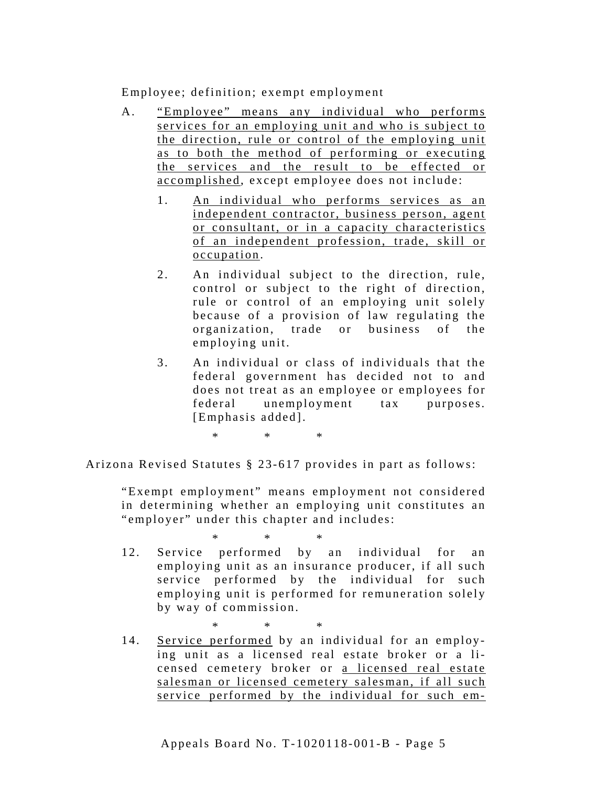Employee; definition; exempt employment

- A. "Employee" means any individual who performs services for an employing unit and who is subject to the direction, rule or control of the employing unit as to both the method of performing or executing the services and the result to be effected or accomplished, except employee does not include:
	- 1. An individual who performs services as an independent contractor, business person, agent or consultant, or in a capacity characteristics of an independent profession, trade, skill or occupation.
	- 2. An individual subject to the direction, rule, control or subject to the right of direction, rule or control of an employing unit solely because of a provision of law regulating the organization, trade or business of the employing unit.
	- 3. An individual or class of individuals that the federal government has decided not to and does not treat as an employee or employees for federal unemployment tax purposes. [Emphasis added].

\* \* \*

Arizona Revised Statutes § 23-617 provides in part as follows:

"Exempt employment" means employment not considered in determining whether an employing unit constitutes an "employer" under this chapter and includes:

\* \* \*

12. Service performed by an individual for an employing unit as an insurance producer, if all such service performed by the individual for such employing unit is performed for remuneration solely by way of commission.

\* \* \*

14. Service performed by an individual for an employing unit as a licensed real estate broker or a licensed cemetery broker or a licensed real estate salesman or licensed cemetery salesman, if all such service performed by the individual for such em-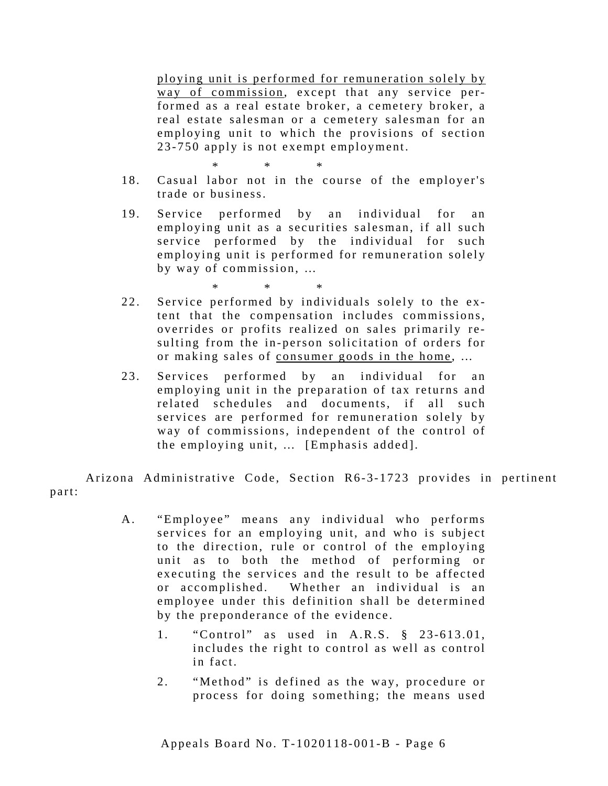ploying unit is performed for remuneration solely by way of commission, except that any service performed as a real estate broker, a cemetery broker, a real estate salesman or a cemetery salesman for an employing unit to which the provisions of section 23-750 apply is not exempt employment.

\* \* \*

- 18. Casual labor not in the course of the employer's trade or business.
- 19. Service performed by an individual for an employing unit as a securities salesman, if all such service performed by the individual for such employing unit is performed for remuneration solely by way of commission, …

\* \* \*

- 22. Service performed by individuals solely to the extent that the compensation includes commissions, overrides or profits realized on sales primarily re sulting from the in-person solicitation of orders for or making sales of consumer goods in the home, ...
- 23. Services performed by an individual for an employing unit in the preparation of tax returns and related schedules and documents, if all such services are performed for remuneration solely by way of commissions, independent of the control of the employing unit, … [Emphasis added].

Arizona Administrative Code, Section R6-3-1723 provides in pertinent part:

- A. "Employee" means any individual who performs services for an employing unit, and who is subject to the direction, rule or control of the employing unit as to both the method of performing or executing the services and the result to be affected or accomplished. Whether an individual is an employee under this definition shall be determined by the preponderance of the evidence.
	- 1. "Control" as used in A.R.S. § 23-613.01, includes the right to control as well as control in fact.
	- 2. "Method" is defined as the way, procedure or process for doing something; the means used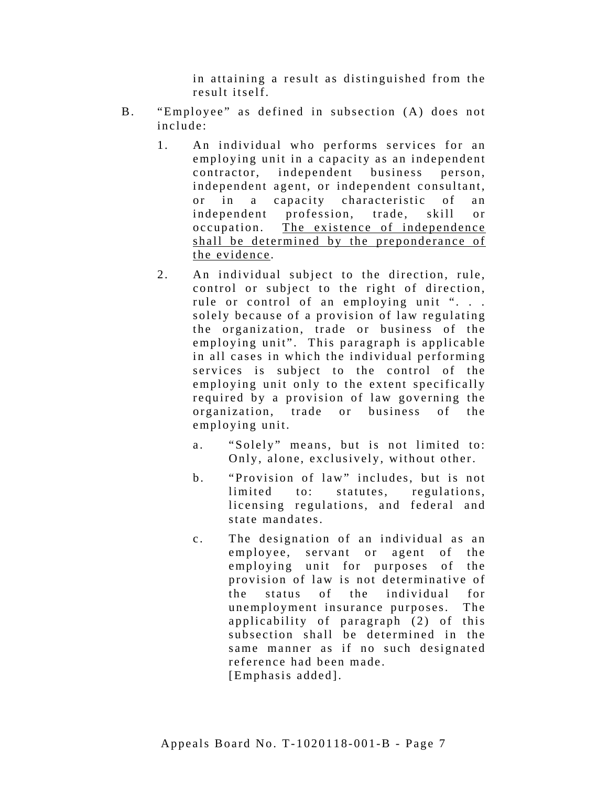in attaining a result as distinguished from the result itself.

- B. "Employee" as defined in subsection (A) does not include:
	- 1. An individual who performs services for an employing unit in a capacity as an independent contractor, independent business person, independent agent, or independent consultant, or in a capacity characteristic of an independent profession, trade, skill or occupation. The existence of independence shall be determined by the preponderance of the evidence .
	- 2. An individual subject to the direction, rule, control or subject to the right of direction, rule or control of an employing unit ". . . solely because of a provision of law regulating the organization, trade or business of the employing unit". This paragraph is applicable in all cases in which the individual performing services is subject to the control of the employing unit only to the extent specifically required by a provision of law governing the organization, trade or business of the employing unit.
		- a. "Solely" means, but is not limited to: Only, alone, exclusively, without other.
		- b. "Provision of law" includes, but is not limited to: statutes, regulations, licensing regulations, and federal and state mandates.
		- c. The designation of an individual as an employee, servant or agent of the employing unit for purposes of the provision of law is not determinative of the status of the individual for unemployment insurance purposes. The applicability of paragraph (2) of this subsection shall be determined in the same manner as if no such designated reference had been made. [Emphasis added].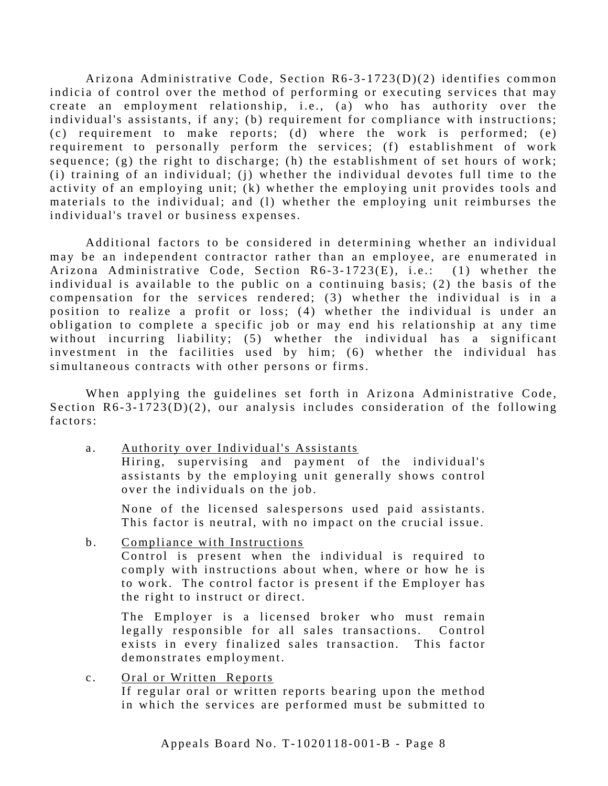Arizona Administrative Code, Section R6-3-1723(D)(2) identifies common indicia of control over the method of performing or executing services that may create an employment relationship, i.e., (a) who has authority over the individual's assistants, if any; (b) requirement for compliance with instructions; (c) requirement to make reports; (d) where the work is performed; (e) requirement to personally perform the services; (f) establishment of work sequence; (g) the right to discharge; (h) the establishment of set hours of work; (i) training of an individual; (j) whether the individual devotes full time to the activity of an employing unit; (k) whether the employing unit provides tools and materials to the individual; and (1) whether the employing unit reimburses the individual's travel or business expenses.

Additional factors to be considered in determining whether an individual may be an independent contractor rather than an employee, are enumerated in Arizona Administrative Code, Section R6-3-1723(E), i.e.: (1) whether the individual is available to the public on a continuing basis; (2) the basis of the compensation for the services rendered; (3) whether the individual is in a position to realize a profit or loss; (4) whether the individual is under an obligation to complete a specific job or may end his relationship at any time without incurring liability; (5) whether the individual has a significant investment in the facilities used by him; (6) whether the individual has simultaneous contracts with other persons or firms.

When applying the guidelines set forth in Arizona Administrative Code, Section  $R6-3-1723(D)(2)$ , our analysis includes consideration of the following factors:

a. Authority over Individual's Assistants Hiring, supervising and payment of the individual's assistants by the employing unit generally shows control over the individuals on the job.

None of the licensed salespersons used paid assistants. This factor is neutral, with no impact on the crucial issue.

b. Compliance with Instructions Control is present when the individual is required to comply with instructions about when, where or how he is to work. The control factor is present if the Employer has the right to instruct or direct.

The Employer is a licensed broker who must remain legally responsible for all sales transactions. Control exists in every finalized sales transaction. This factor demonstrates employment.

c. Oral or Written Reports If regular oral or written reports bearing upon the method in which the services are performed must be submitted to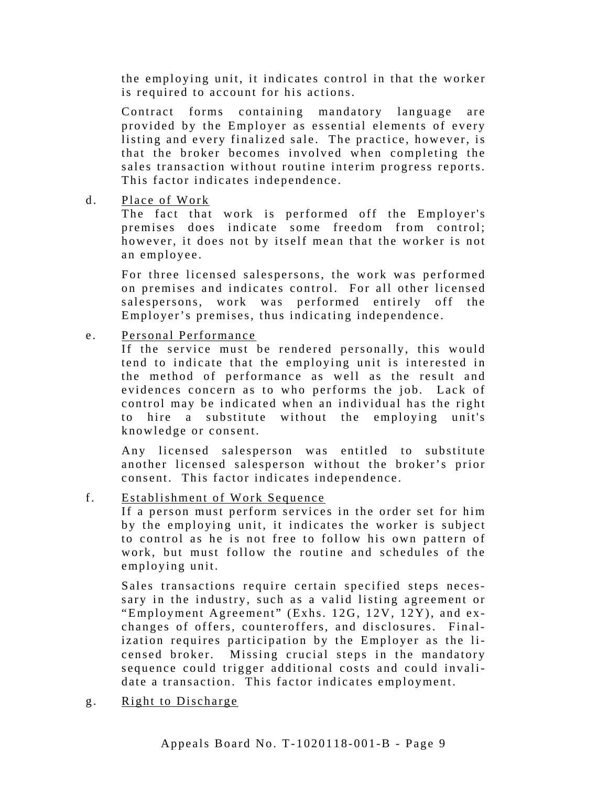the employing unit, it indicates control in that the worker is required to account for his actions.

Contract forms containing mandatory language are provided by the Employer as essential elements of every listing and every finalized sale. The practice, however, is that the broker becomes involved when completing the sales transaction without routine interim progress reports. This factor indicates independence.

d. Place of Work

The fact that work is performed off the Employer's premises does indicate some freedom from control; however, it does not by itself mean that the worker is not an employee.

For three licensed salespersons, the work was performed on premises and indicates control. For all other licensed salespersons, work was performed entirely off the Employer's premises, thus indicating independence.

e. Personal Performance

If the service must be rendered personally, this would tend to indicate that the employing unit is interested in the method of performance as well as the result and evidences concern as to who performs the job. Lack of control may be indicated when an individual has the right to hire a substitute without the employing unit's knowledge or consent.

Any licensed salesperson was entitled to substitute another licensed salesperson without the broker's prior consent. This factor indicates independence.

f. Establishment of Work Sequence

If a person must perform services in the order set for him by the employing unit, it indicates the worker is subject to control as he is not free to follow his own pattern of work, but must follow the routine and schedules of the employing unit.

Sales transactions require certain specified steps necessary in the industry, such as a valid listing agreement or "Employment Agreement" (Exhs. 12G, 12V, 12Y), and ex changes of offers, counteroffers, and disclosures. Finalization requires participation by the Employer as the licensed broker. Missing crucial steps in the mandatory sequence could trigger additional costs and could invalidate a transaction. This factor indicates employment.

g. Right to Discharge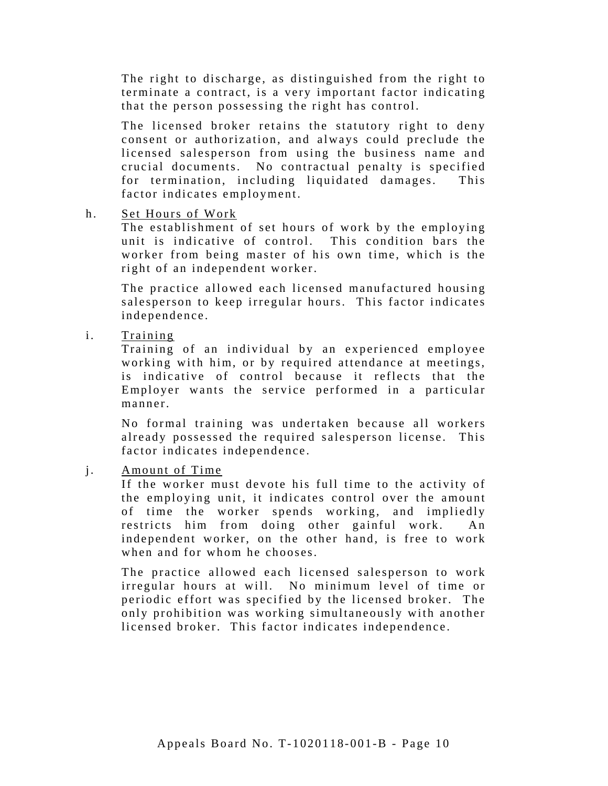The right to discharge, as distinguished from the right to terminate a contract, is a very important factor indicating that the person possessing the right has control.

The licensed broker retains the statutory right to deny consent or authorization, and always could preclude the licensed salesperson from using the business name and crucial documents. No contractual penalty is specified for termination, including liquidated damages. This factor indicates employment.

h. Set Hours of Work

The establishment of set hours of work by the employing unit is indicative of control. This condition bars the worker from being master of his own time, which is the right of an independent worker.

The practice allowed each licensed manufactured housing salesperson to keep irregular hours. This factor indicates independence.

i. Training

Training of an individual by an experienced employee working with him, or by required attendance at meetings, is indicative of control because it reflects that the Employer wants the service performed in a particular manner.

No formal training was undertaken because all workers already possessed the required salesperson license. This factor indicates independence.

j. Amount of Time

If the worker must devote his full time to the activity of the employing unit, it indicates control over the amount of time the worker spends working, and impliedly restricts him from doing other gainful work. An independent worker, on the other hand, is free to work when and for whom he chooses.

The practice allowed each licensed salesperson to work irregular hours at will. No minimum level of time or periodic effort was specified by the licensed broker. The only prohibition was working simultaneously with another licensed broker. This factor indicates independence.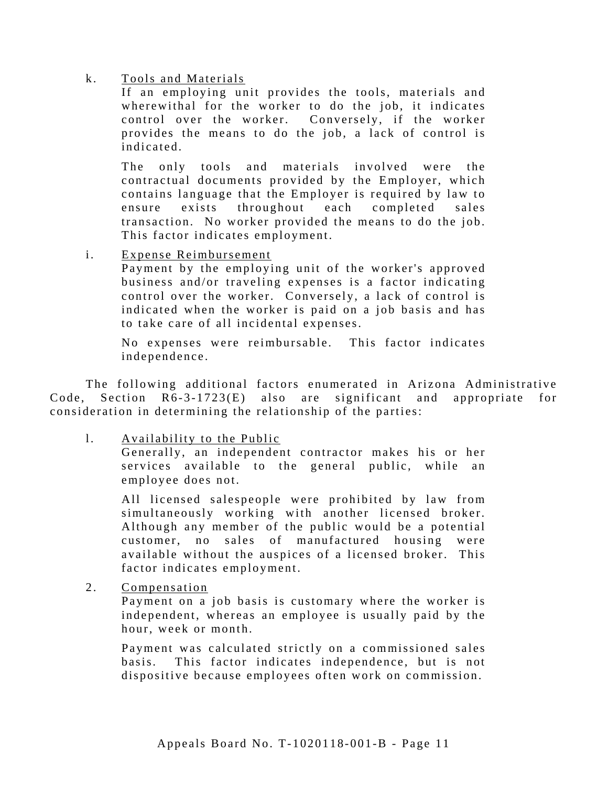### k. Tools and Materials

If an employing unit provides the tools, materials and wherewithal for the worker to do the job, it indicates control over the worker. Conversely, if the worker provides the means to do the job, a lack of control is indicated.

The only tools and materials involved were the contractual documents provided by the Employer, which contains language that the Employer is required by law to ensure exists throughout each completed sales transaction. No worker provided the means to do the job. This factor indicates employment.

i. Expense Reimbursement

Payment by the employing unit of the worker's approved business and/or traveling expenses is a factor indicating control over the worker. Conversely, a lack of control is indicated when the worker is paid on a job basis and has to take care of all incidental expenses.

No expenses were reimbursable. This factor indicates independence.

The following additional factors enumerated in Arizona Administrative Code, Section  $R6-3-1723(E)$  also are significant and appropriate for consideration in determining the relationship of the parties:

l. Availability to the Public

Generally, an independent contractor makes his or her services available to the general public, while an employee does not.

All licensed salespeople were prohibited by law from simultaneously working with another licensed broker. Although any member of the public would be a potential customer, no sales of manufactured housing were available without the auspices of a licensed broker. This factor indicates employment.

2. Compensation

Payment on a job basis is customary where the worker is independent, whereas an employee is usually paid by the hour, week or month.

Payment was calculated strictly on a commissioned sales basis. This factor indicates independence, but is not dispositive because employees often work on commission.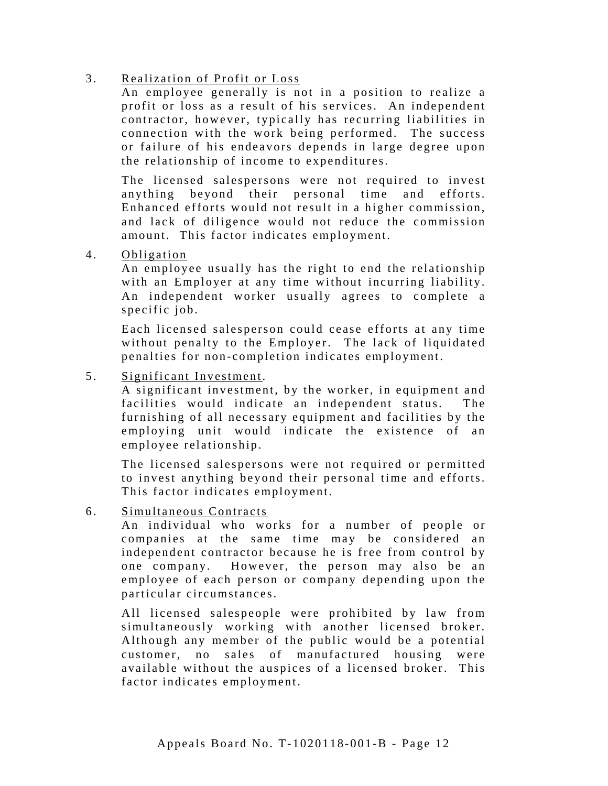## 3. Realization of Profit or Loss

An employee generally is not in a position to realize a profit or loss as a result of his services. An independent contractor, however, typically has recurring liabilities in connection with the work being performed. The success or failure of his endeavors depends in large degree upon the relationship of income to expenditures.

The licensed salespersons were not required to invest anything beyond their personal time and efforts. Enhanced efforts would not re sult in a higher commission, and lack of diligence would not reduce the commission amount. This factor indicates employment.

4. Obligation

An employee usually has the right to end the relationship with an Employer at any time without incurring liability. An independent worker usually agrees to complete a specific job.

Each licensed salesperson could cease efforts at any time without penalty to the Employer. The lack of liquidated penalties for non-completion indicates employment.

5. Significant Investme nt.

A significant investment, by the worker, in equipment and facilities would indicate an independent status. The furnishing of all necessary equipment and facilities by the employing unit would indicate the existence of an employee relationship.

The licensed salespersons were not required or permitted to invest anything beyond their personal time and efforts. This factor indicates employment.

6. Simultaneous Contracts

An individual who works for a number of people or companies at the same time may be considered an independent contractor because he is free from control by one company. However, the person may also be an employee of each person or company depending upon the particular circumstances.

All licensed salespeople were prohibited by law from simultaneously working with another licensed broker. Although any member of the public would be a potential customer, no sales of manufactured housing were available without the auspices of a licensed broker. This factor indicates employment.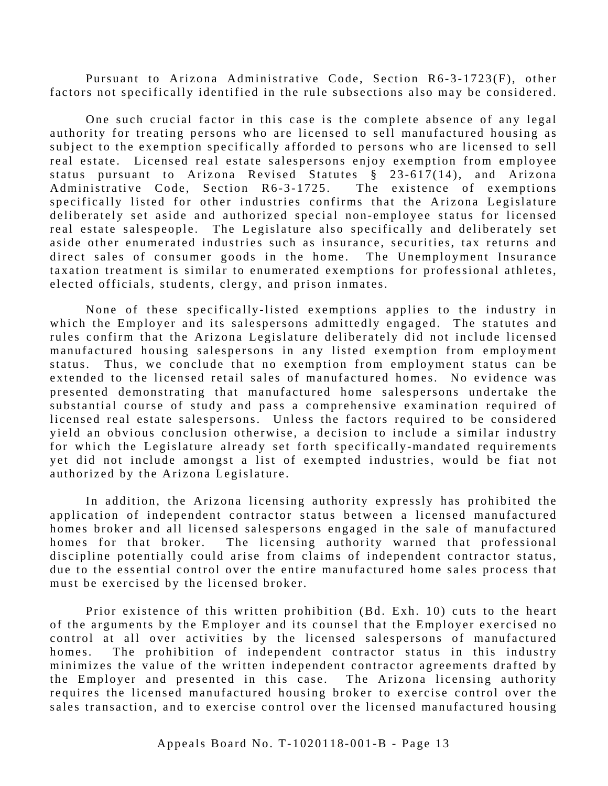Pursuant to Arizona Administrative Code, Section R6-3-1723(F), other factors not specifically identified in the rule subsections also may be considered.

One such crucial factor in this case is the complete absence of any legal authority for treating persons who are licensed to sell manufactured housing as subject to the exemption specifically afforded to persons who are licensed to sell real estate. Licensed real estate salespersons enjoy exemption from employee status pursuant to Arizona Revised Statutes § 23-617(14), and Arizona Administrative Code, Section R6-3-1725. The existence of exemptions specifically listed for other industries confirms that the Arizona Legislature deliberately set aside and authorized special non-employee status for licensed real estate salespeople. The Legislature also specifically and deliberately set aside other enumerated industries such as insurance, securities, tax returns and direct sales of consumer goods in the home. The Unemployment Insurance taxation treatment is similar to enumerated exemptions for professional athletes, elected officials, students, clergy, and prison inmates.

None of these specifically-listed exemptions applies to the industry in which the Employer and its salespersons admittedly engaged. The statutes and rules confirm that the Arizona Legislature deliberately did not include licensed manufactured housing salespersons in any listed exemption from employment status. Thus, we conclude that no exemption from employment status can be extended to the licensed retail sales of manufactured homes. No evidence was presented demonstrating that manufactured home salespersons undertake the substantial course of study and pass a comprehensive examination required of licensed real estate salespersons. Unless the factors required to be considered yield an obvious conclusion otherwise, a decision to include a similar industry for which the Legislature already set forth specifically-mandated requirements yet did not include amongst a list of exempted industries, would be fiat not authorized by the Arizona Legislature.

In addition, the Arizona licensing authority expressly has prohibited the application of independent contractor status between a licensed manufactured homes broker and all licensed salespersons engaged in the sale of manufactured homes for that broker. The licensing authority warned that professional discipline potentially could arise from claims of independent contractor status, due to the essential control over the entire manufactured home sales process that must be exercised by the licensed broker.

Prior existence of this written prohibition (Bd. Exh. 10) cuts to the heart of the arguments by the Employer and its counsel that the Employer exercised no control at all over activities by the licensed salespersons of manufactured homes. The prohibition of independent contractor status in this industry minimizes the value of the written independent contractor agreements drafted by the Employer and presented in this case. The Arizona licensing authority requires the licensed manufactured housing broker to exercise control over the sales transaction, and to exercise control over the licensed manufactured housing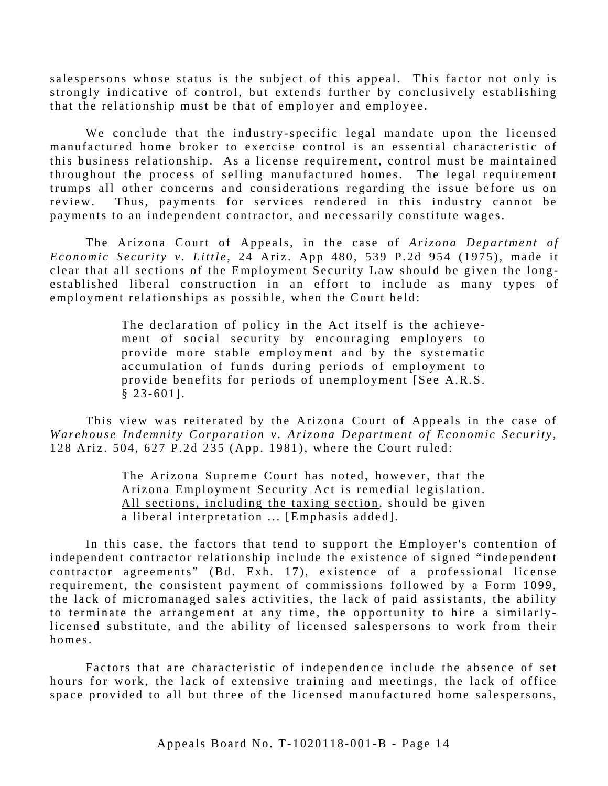salespersons whose status is the subject of this appeal. This factor not only is strongly indicative of control, but extends further by conclusively establishing that the relationship must be that of employer and employee.

We conclude that the industry-specific legal mandate upon the licensed manufactured home broker to exercise control is an essential characteristic of this business relationship. As a license requirement, control must be maintained throughout the process of selling manufactured homes. The legal requirement trumps all other concerns and considerations regarding the issue before us on review. Thus, payments for services rendered in this industry cannot be payments to an independent contractor, and necessarily constitute wages.

The Arizona Court of Appeals, in the case of *Arizona Department of Economic Security v. Little*, 24 Ariz. App 480, 539 P.2d 954 (1975), made it clear that all sections of the Employment Security Law should be given the longestablished liberal construction in an effort to include as many types of employment relationships as possible, when the Court held:

> The declaration of policy in the Act itself is the achievement of social security by encouraging employers to provide more stable employment and by the systematic accumulation of funds during periods of employment to provide benefits for periods of unemployment [See A.R.S.  $§ 23-601].$

This view was reiterated by the Arizona Court of Appeals in the case of *Warehouse Indemnity Corporation v. Arizona Department of Economic Security* , 128 Ariz. 504, 627 P.2d 235 (App. 1981), where the Court ruled:

> The Arizona Supreme Court has noted, however, that the Arizona Employment Security Act is remedial legislation. All sections, including the taxing section, should be given a liberal interpretation ... [Emphasis added].

In this case, the factors that tend to support the Employer's contention of independent contractor relationship include the existence of signed "independent" contractor agreements" (Bd. Exh. 17), existence of a professional license requirement, the consistent payment of commissions followed by a Form 1099, the lack of micromanaged sales activities, the lack of paid assistants, the ability to terminate the arrangement at any time, the opportunity to hire a similarlylicensed substitute, and the ability of licensed salespersons to work from their homes.

Factors that are characteristic of independence include the absence of set hours for work, the lack of extensive training and meetings, the lack of office space provided to all but three of the licensed manufactured home salespersons,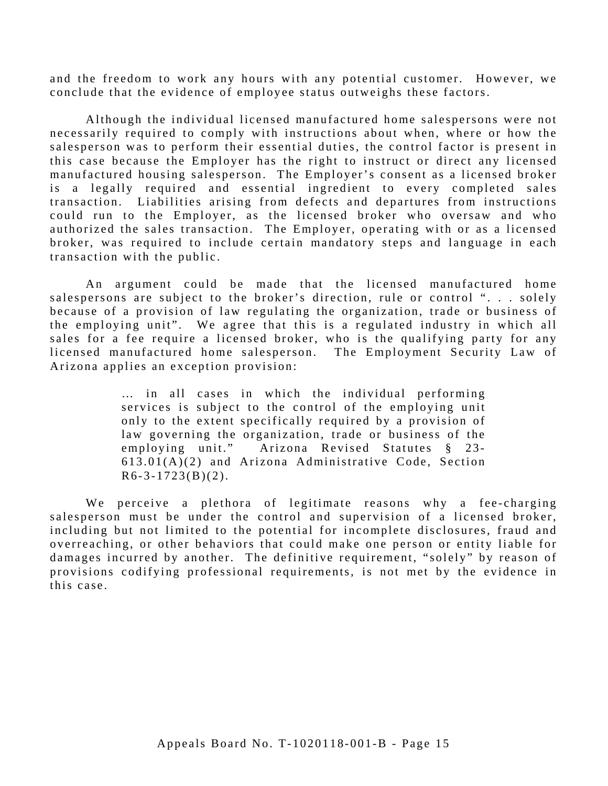and the freedom to work any hours with any potential customer. However, we conclude that the evidence of employee status outweighs these factors.

Although the individual licensed manufactured home salespersons were not necessarily required to comply with instructions about when, where or how the salesperson was to perform their essential duties, the control factor is present in this case because the Employer has the right to instruct or direct any licensed manufactured housing salesperson. The Employer's consent as a licensed broker is a legally required and essential ingredient to every completed sales transaction. Liabilities arising from defects and departures from instructions could run to the Employer, as the licensed broker who oversaw and who authorized the sales transaction. The Employer, operating with or as a licensed broker, was required to include certain mandatory steps and language in each transaction with the public.

An argument could be made that the licensed manufactured home salespersons are subject to the broker's direction, rule or control "... solely because of a provision of law regulating the organization, trade or business of the employing unit". We agree that this is a regulated industry in which all sales for a fee require a licensed broker, who is the qualifying party for any licensed manufactured home salesperson. The Employment Security Law of Arizona applies an exception provision:

> … in all cases in which the individual performing services is subject to the control of the employing unit only to the extent specifically required by a provision of law governing the organization, trade or business of the employing unit." Arizona Revised Statutes § 23- $613.01(A)(2)$  and Arizona Administrative Code, Section  $R6-3-1723(B)(2)$ .

this case. We perceive a plethora of legitimate reasons why a fee-charging salesperson must be under the control and supervision of a licensed broker, including but not limited to the potential for incomplete disclosures, fraud and overreaching, or other behaviors that could make one person or entity liable for damages incurred by another. The definitive requirement, "solely" by reason of provisions codifying professional requirements, is not met by the evidence in this case.<br>Appeals Board No. T-1020118-001-B - Page 15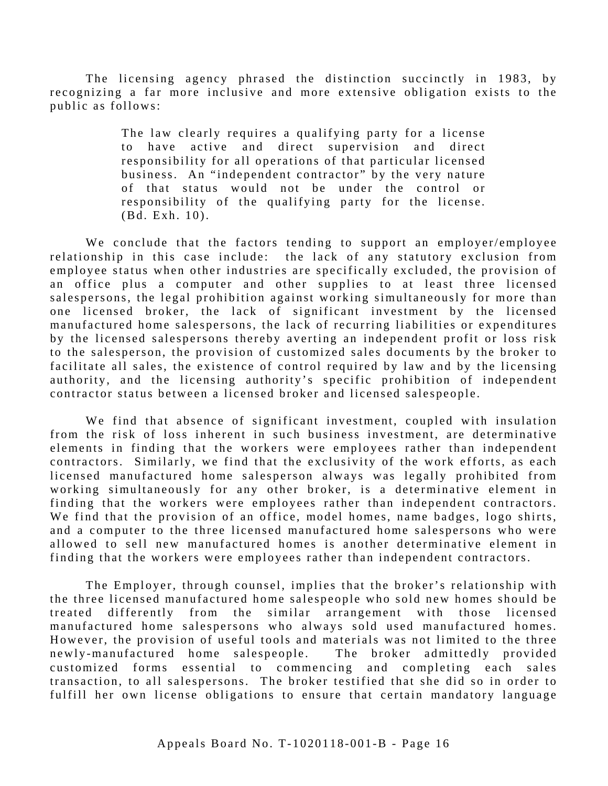The licensing agency phrased the distinction succinctly in 1983, by recognizing a far more inclusive and more extensive obligation exists to the public as follows:

> The law clearly requires a qualifying party for a license to have active and direct supervision and direct responsibility for all operations of that particular licensed business. An "independent contractor" by the very nature of that status would not be under the control or responsibility of the qualifying party for the license. (Bd. Exh. 10).

We conclude that the factors tending to support an employer/employee relationship in this case include: the lack of any statutory exclusion from employee status when other industries are specifically excluded, the provision of an office plus a computer and other supplies to at least three licensed salespersons, the legal prohibition against working simultaneously for more than one licensed broker, the lack of significant investment by the licensed manufactured home salespersons, the lack of recurring liabilities or expenditures by the licensed salespersons thereby averting an independent profit or loss risk to the salesperson, the provision of cu stomized sales documents by the broker to facilitate all sales, the existence of control required by law and by the licensing authority, and the licensing authority's specific prohibition of independent contractor status between a licensed broker and licensed salespeople.

We find that absence of significant investment, coupled with insulation from the risk of loss inherent in such business investment, are determinative elements in finding that the workers were employees rather than independent contractors. Similarly, we find that the exclusivity of the work efforts, as each licensed manufactured home salesperson always was legally prohibited from working simultaneously for any other broker, is a determinative element in finding that the workers were employees rather than independent contractors. We find that the provision of an office, model homes, name badges, logo shirts, and a computer to the three licensed manufactured home salespersons who were allowed to sell new manufactured homes is another determinative element in finding that the workers were employees rather than independent contractors.

The Employer, through counsel, implies that the broker's relationship with the three licensed manufactured home salespeople who sold new homes should be treated differently from the similar arrangement with those licensed manufactured home salespersons who always sold used manufactured homes. However, the provision of useful tools and materials was not limited to the three newly-manufactured home salespeople. The broker admittedly provided customized forms essential to commencing and completing each sales transaction, to all salespersons. The broker testified that she did so in order to fulfill her own license obligations to ensure that certain mandatory language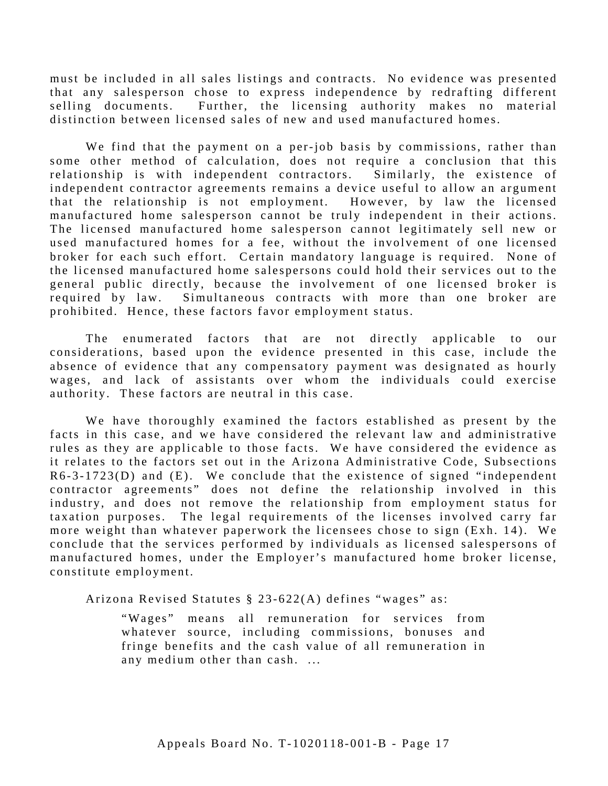must be included in all sales listings and contracts. No evidence was presented that any salesperson chose to express independence by redrafting different selling documents. Further, the licensing authority makes no material distinction between licensed sales of new and used manufactured homes.

We find that the payment on a per-job basis by commissions, rather than some other method of calculation, does not require a conclusion that this relationship is with independent contractors. Similarly, the existence of independent contractor agreements remains a device useful to allow an argument that the relationship is not employment. However, by law the licensed manufactured home salesperson cannot be truly independent in their actions. The licensed manufactured home salesperson cannot legitimately sell new or used manufactured homes for a fee, without the involvement of one licensed broker for each such effort. Certain mandatory language is required. None of the licensed manufactured home salespersons could hold their services out to the general public directly, because the involvement of one licensed broker is required by law. Simultaneous contracts with more than one broker are prohibited. Hence, these factors favor employment status.

The enumerated factors that are not directly applicable to our considerations, based upon the evidence presented in this case, include the absence of evidence that any compensatory payment was designated as hourly wages, and lack of assistants over whom the individuals could exercise authority. These factors are neutral in this case.

We have thoroughly examined the factors established as present by the facts in this case, and we have considered the relevant law and administrative rules as they are applicable to those facts. We have considered the evidence as it relates to the factors set out in the Arizona Administrative Code, Subsections R6-3-1723(D) and (E). We conclude that the existence of signed "independent contractor agreements" does not define the relationship involved in this industry, and does not remove the relationship from employment status for taxation purposes. The legal requirements of the licenses involved carry far more weight than whatever paperwork the licensees chose to sign (Exh. 14). We conclude that the services performed by individuals as licensed salespersons of manufactured homes, under the Employer's manufactured home broker license, constitute employment.

Arizona Revised Statutes § 23-622(A) defines "wages" as:

"Wages" means all remuneration for services from whatever source, including commissions, bonuses and fringe benefits and the cash value of all remuneration in any medium other than cash. ...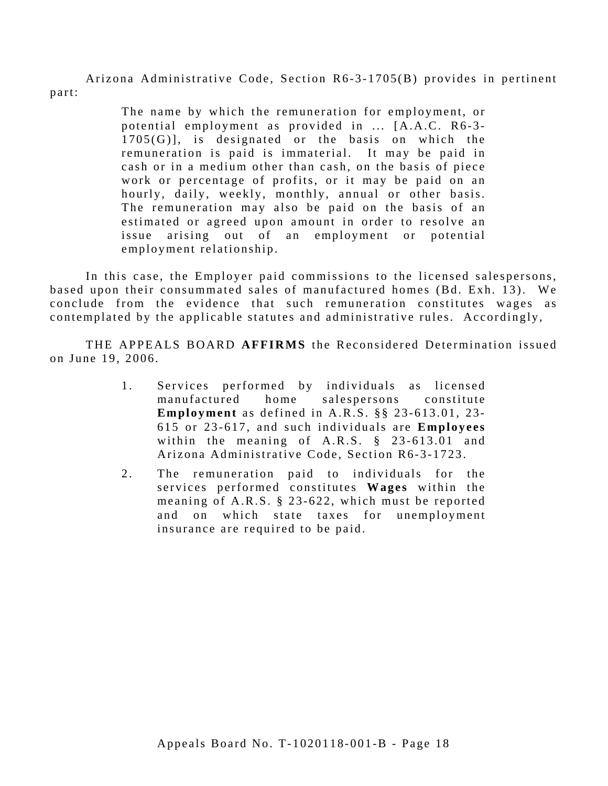Arizona Administrative Code, Section R6-3-1705(B) provides in pertinent part:

> The name by which the remuneration for employment, or potential employment as provided in ... [A.A.C. R6-3-1705(G)], is designated or the basis on which the remuneration is paid is immaterial. It may be paid in cash or in a medium other than cash, on the basis of piece work or percentage of profits, or it may be paid on an hourly, daily, weekly, monthly, annual or other basis. The remuneration may also be paid on the basis of an estimated or agreed upon amount in order to resolve an issue arising out of an employment or potential employment relationship.

In this case, the Employer paid commissions to the licensed salespersons, based upon their consummated sales of manufactured homes (Bd. Exh. 13). We conclude from the evidence that such remuneration constitutes wages as contemplated by the applicable statutes and administrative rules. Accordingly,

THE APPEALS BOARD **AFFIRMS** the Reconsidered Determination issued on June 19, 2006.

- 1. Services performed by individuals as licensed manufactured home salespersons constitute **Employment** as defined in A.R.S. §§ 23-613.01, 23-615 or 23-617, and such individuals are **Employees**  within the meaning of A.R.S. § 23-613.01 and Arizona Administrative Code, Section R6-3-1723.
- 2. The remuneration paid to individuals for the services performed constitutes **Wages** within the meaning of A.R.S. § 23-622, which must be reported and on which state taxes for unemployment insurance are required to be paid.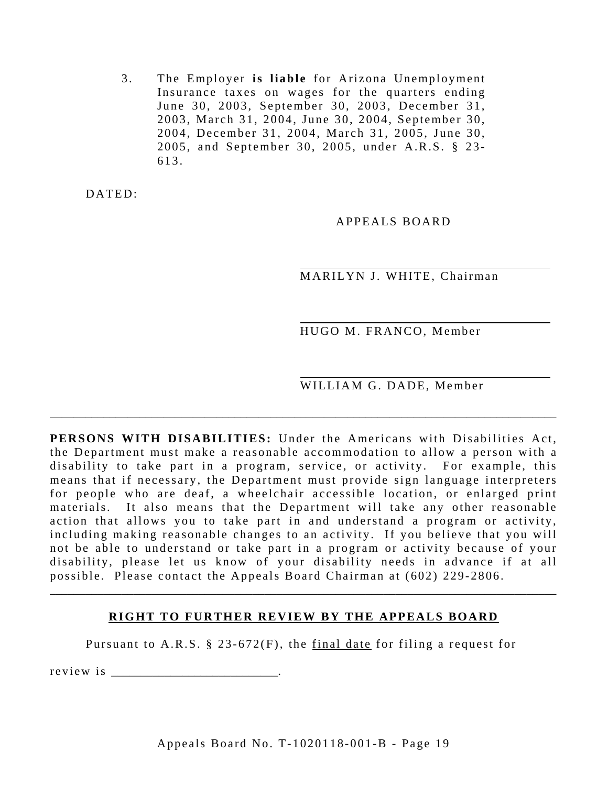3. The Employer is liable for Arizona Unemployment Insurance taxes on wages for the quarters ending June 30, 2003, September 30, 2003, December 31, 2003, March 31, 2004, June 30, 2004, September 30, 2004, December 31, 2004, March 31, 2005, June 30, 2005, and September 30, 2005, under A.R.S. § 23 - 613.

DATED:

APPEALS BOARD

MARILYN J. WHITE, Chairman

HUGO M. FRANCO, Member

WILLIAM G. DADE, Member

**PERSONS WITH DISABILITIES:** Under the Americans with Disabilities Act, the Department must make a reasonable accommodation to allow a person with a disability to take part in a program, service, or activity. For example, this means that if necessary, the Department must provide sign language interpreters for people who are deaf, a wheelchair accessible location, or enlarged print materials. It also means that the Department will take any other reasonable action that allows you to take part in and understand a program or activity, including making reasonable changes to an activity. If you believe that you will not be able to understand or take part in a program or activity because of your disability, please let us know of your disability needs in advance if at all possible. Please contact the Appeals Board Chairman at (602) 229-2806.

\_\_\_\_\_\_\_\_\_\_\_\_\_\_\_\_\_\_\_\_\_\_\_\_\_\_\_\_\_\_\_\_\_\_\_\_\_\_\_\_\_\_\_\_\_\_\_\_\_\_\_\_\_\_\_\_\_\_\_\_\_\_\_\_\_\_\_\_\_\_\_\_\_\_\_\_\_\_\_\_\_\_\_\_\_

## **RIGHT TO FURTHER REVIEW BY THE APPEALS BOARD**

\_\_\_\_\_\_\_\_\_\_\_\_\_\_\_\_\_\_\_\_\_\_\_\_\_\_\_\_\_\_\_\_\_\_\_\_\_\_\_\_\_\_\_\_\_\_\_\_\_\_\_\_\_\_\_\_\_\_\_\_\_\_\_\_\_\_\_\_\_\_\_\_\_\_\_\_\_\_\_\_\_\_\_\_\_

Pursuant to A.R.S. § 23-672(F), the final date for filing a request for

r e v i e w i s  $\cdot$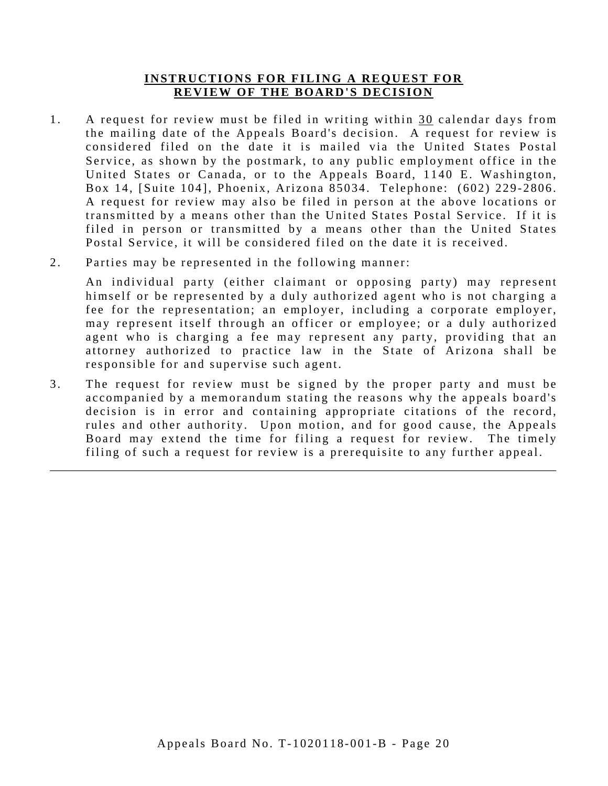### **INSTRUCTIONS FOR FILING A REQUEST FOR REVIEW OF THE BOARD'S DECISION**

- 1. A request for review must be filed in writing within 30 calendar days from the mailing date of the Appeals Board's decision. A request for review is considered filed on the date it is mailed via the United States Postal Service, as shown by the postmark, to any public employment office in the United States or Canada, or to the Appeals Board, 1140 E. Washington, Box 14, [Suite 104], Phoenix, Arizona 85034. Telephone: (602) 229-2806. A request for review may also be filed in person at the above locations or transmitted by a means other than the United States Postal Service. If it is filed in person or transmitted by a means other than the United States Postal Service, it will be considered filed on the date it is received.
- 2. Parties may be represented in the following manner:

An individual party (either claimant or opposing party) may represent himself or be represented by a duly authorized agent who is not charging a fee for the representation; an employer, including a corporate employer, may represent itself through an officer or employee; or a duly authorized agent who is charging a fee may represent any party, providing that an attorney authorized to practice law in the State of Arizona shall be responsible for and supervise such agent.

3. The request for review must be signed by the proper party and must be accompanied by a memorandum stating the reasons why the appeals board's decision is in error and containing appropriate citations of the record, rules and other authority. Upon motion, and for good cause, the Appeals Board may extend the time for filing a request for review. The timely filing of such a request for review is a prerequisite to any further appeal.

\_\_\_\_\_\_\_\_\_\_\_\_\_\_\_\_\_\_\_\_\_\_\_\_\_\_\_\_\_\_\_\_\_\_\_\_\_\_\_\_\_\_\_\_\_\_\_\_\_\_\_\_\_\_\_\_\_\_\_\_\_\_\_\_\_\_\_\_\_\_\_\_\_\_\_\_\_\_\_\_\_\_\_\_\_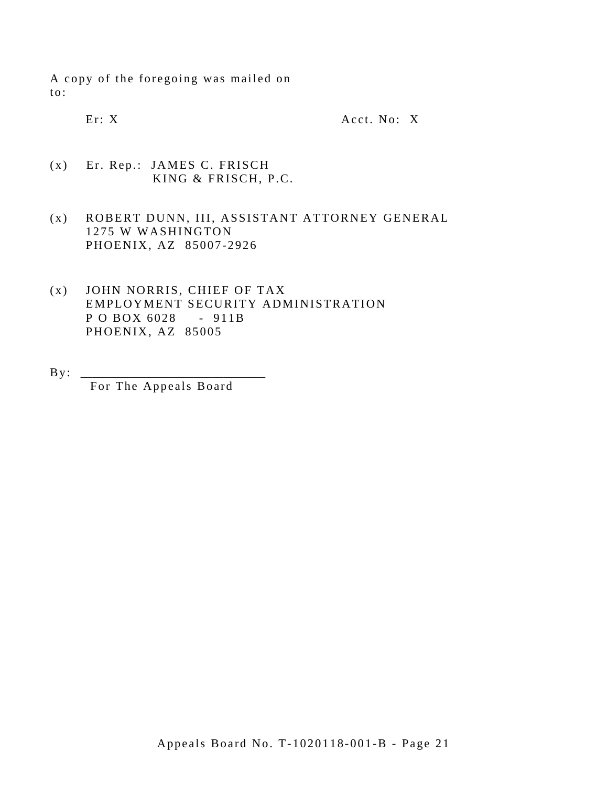A copy of the foregoing was mailed on to:

Er: X Acct. No: X

- $(x)$ Er. Rep.: JAMES C. FRISCH KING & FRISCH, P.C.
- (x) ROBERT DUNN, III, ASSISTANT ATTORNEY GENERAL 1275 W WASHINGTON PHOENIX, AZ 85007-2926
- P O BOX 6028 911B (x) JOHN NORRIS, CHIEF OF TAX EMPLOYMENT SECURITY ADMINISTRATION PHOENIX, AZ 85005
- $B y$ :

For The Appeals Board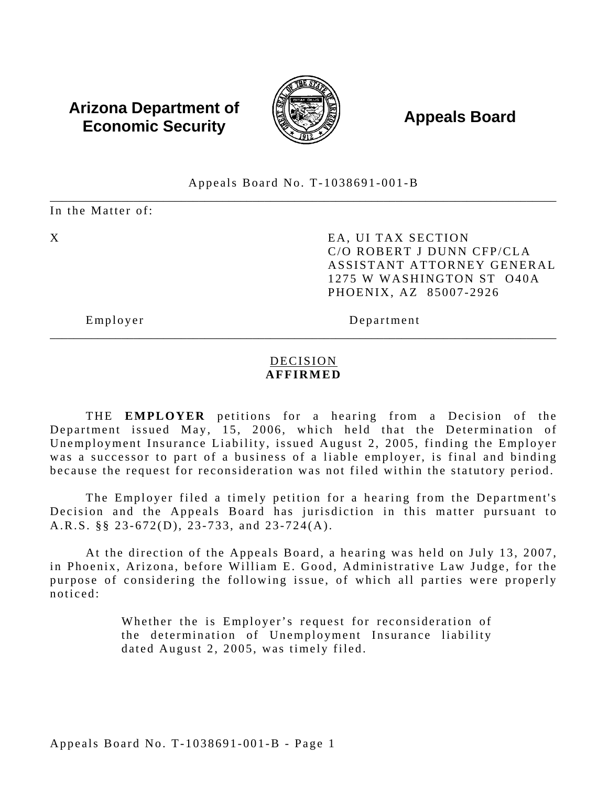# **Arizona Department of**  $\left(\begin{matrix} 1 & 0 & 0 \\ 0 & 0 & 0 \\ 0 & 0 & 0 \end{matrix}\right)$  **Appeals Board Economic Security**



#### \_\_\_\_\_\_\_\_\_\_\_\_\_\_\_\_\_\_\_\_\_\_\_\_\_\_\_\_\_\_\_\_\_\_\_\_\_\_\_\_\_\_\_\_\_\_\_\_\_\_\_\_\_\_\_\_\_\_\_\_\_\_\_\_\_\_\_\_\_\_\_\_\_\_\_\_\_\_\_\_\_\_\_\_\_ Appeals Board No. T-1038691-001-B

In the Matter of:

X EA, UI TAX SECTION C/O ROBERT J DUNN CFP/CLA ASSISTANT ATTORNEY GENERAL 1275 W WASHINGTON ST O40A PHOENIX, AZ 85007-2926

Employer Department

## DECISION **AFFIRMED**

\_\_\_\_\_\_\_\_\_\_\_\_\_\_\_\_\_\_\_\_\_\_\_\_\_\_\_\_\_\_\_\_\_\_\_\_\_\_\_\_\_\_\_\_\_\_\_\_\_\_\_\_\_\_\_\_\_\_\_\_\_\_\_\_\_\_\_\_\_\_\_\_\_\_\_\_\_\_\_\_\_\_\_\_\_

THE **EMPLOYER** petitions for a hearing from a Decision of the Department issued May, 15, 2006, which held that the Determination of Unemployment Insurance Liability, issued August 2, 2005, finding the Employer was a successor to part of a business of a liable employer, is final and binding because the request for reconsideration was not filed within the statutory period.

The Employer filed a timely petition for a hearing from the Department's Decision and the Appeals Board has jurisdiction in this matter pursuant to A.R.S. §§ 23-672(D), 23-733, and 23-724(A).

At the direction of the Appeals Board, a hearing was held on July 13, 2007, in Phoenix, Arizona, before William E. Good, Administrative Law Judge, for the purpose of considering the following issue, of which all parties were properly noticed:

> Whether the is Employer's request for reconsideration of the determination of Unemployment Insurance liability dated August 2, 2005, was timely filed.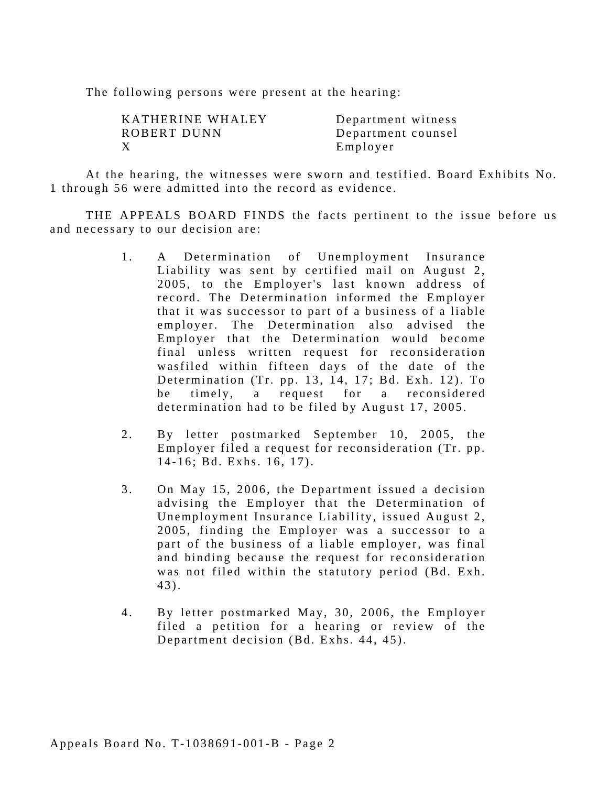The following persons were present at the hearing:

| KATHERINE WHALEY | Department witness |
|------------------|--------------------|
| ROBERT DUNN      | Department counsel |
| Х                | Employer           |

 1 through 56 were admitted into the record as evidence. At the hearing, the witnesses were sworn and testified. Board Exhibits No.

THE APPEALS BOARD FINDS the facts pertinent to the issue before us and necessary to our decision are:

- 1. A Determination of Unemployment Insurance Liability was sent by certified mail on August 2, 2005, to the Employer's last known address of record. The Determination informed the Employer that it was successor to part of a business of a liable employer. The Determination also advised the Employer that the Determination would become final unless written request for reconsideration wasfiled within fifteen days of the date of the Determination (Tr. pp. 13, 14, 17; Bd. Exh. 12). To be timely, a request for a reconsidered determination had to be filed by August 17, 2005.
- 2. By letter postmarked September 10, 2005, the Employer filed a request for reconsideration (Tr. pp. 14-16; Bd. Exhs. 16, 17).
- 3. On May 15, 2006, the Department issued a decision advising the Employer that the Determination of Unemployment Insurance Liability, issued August 2, 2005, finding the Employer was a successor to a part of the business of a liable employer, was final and binding because the request for reconsideration was not filed within the statutory period (Bd. Exh. 43).
- 4. By letter postmarked May, 30, 2006, the Employer filed a petition for a hearing or review of the Department decision (Bd. Exhs. 44, 45).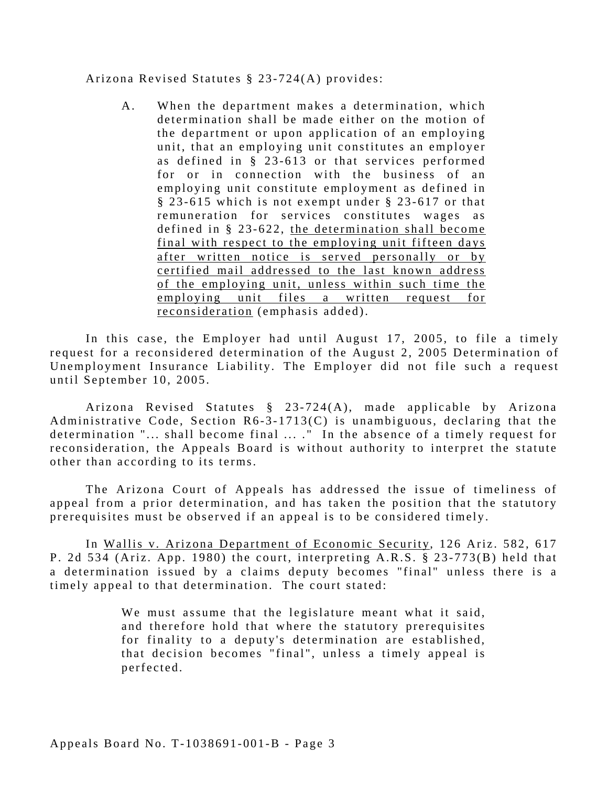#### Arizona Revised Statutes § 23-724(A) provides:

A. When the department makes a determination, which determination shall be made either on the motion of the department or upon application of an employing unit, that an employing unit constitutes an employer as defined in § 23-613 or that services performed for or in connection with the business of an employing unit constitute employment as defined in § 23-615 which is not exempt under § 23-617 or that remuneration for services constitutes wages as defined in § 23-622, the determination shall become final with respect to the employing unit fifteen days after written notice is served personally or by certified mail addressed to the last known address of the employing unit, unless within such time the employing unit files a written request for reconsideration (emphasis added).

In this case, the Employer had until August 17, 2005, to file a timely request for a reconsidered determination of the August 2, 2005 Determination of Unemployment Insurance Liability. The Employer did not file such a request until September 10, 2005.

Arizona Revised Statutes § 23-724(A), made applicable by Arizona Administrative Code, Section R6-3-1713(C) is unambiguous, declaring that the determination "... shall become final ... ." In the absence of a timely request for reconsideration, the Appeals Board is without authority to interpret the statute other than according to its terms.

The Arizona Court of Appeals has addressed the issue of timeliness of appeal from a prior determination, and has taken the position that the statutory prerequisites must be observed if an appeal is to be considered timely.

In Wallis v. Arizona Department of Economic Security, 126 Ariz. 582, 617 P. 2d 534 (Ariz. App. 1980) the court, interpreting A.R.S.  $\S$  23-773(B) held that a determination issued by a claims deputy becomes "final" unless there is a timely appeal to that determination. The court stated:

> We must assume that the legislature meant what it said, and therefore hold that where the statutory prerequisites for finality to a deputy's determination are established, that decision becomes "final", unless a timely appeal is perfected.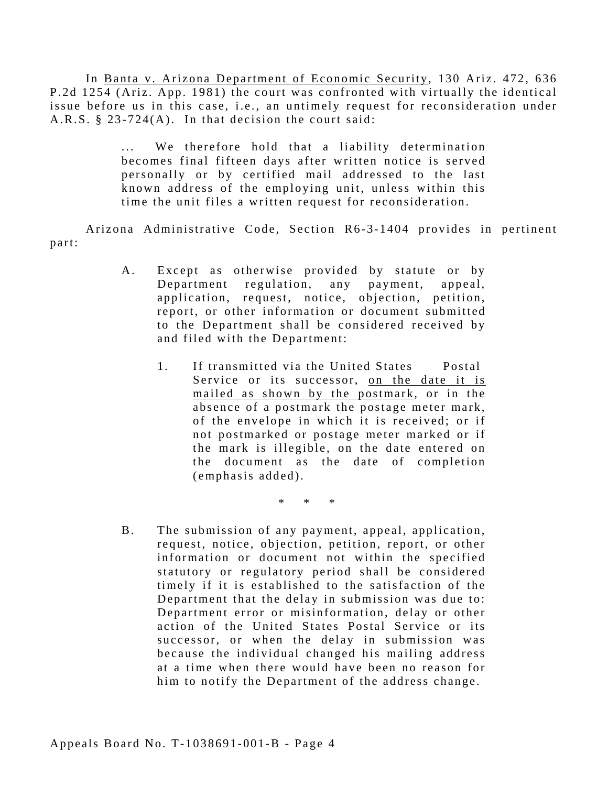In Banta v. Arizona Department of Economic Security, 130 Ariz. 472, 636 P.2d 1254 (Ariz. App. 1981) the court was confronted with virtually the identical issue before us in this case, i.e., an untimely request for reconsideration under A.R.S. § 23-724(A). In that decision the court said:

> ... We therefore hold that a liability determination becomes final fifteen days after written notice is served personally or by certified mail addressed to the last known address of the employing unit, unless within this time the unit files a written request for reconsideration.

Arizona Administrative Code, Section R6-3-1404 provides in pertinent part:

- A. Except as otherwise provided by statute or by Department regulation, any payment, appeal, application, request, notice, objection, petition, report, or other information or document submitted to the Department shall be considered received by and filed with the Department:
	- 1. If transmitted via the United States Postal Service or its successor, on the date it is mailed as shown by the postmark, or in the absence of a postmark the postage meter mark, of the envelope in which it is received; or if not postmarked or postage meter marked or if the mark is illegible, on the date entered on the document as the date of completion (emphasis added).

\* \* \*

B. The submission of any payment, appeal, application, request, notice, objection, petition, report, or other information or document not within the specified statutory or regulatory period shall be considered timely if it is established to the satisfaction of the Department that the delay in submission was due to: Department error or misinformation, delay or other action of the United States Postal Service or its successor, or when the delay in submission was because the individual changed his mailing address at a time when there would have been no reason for him to notify the Department of the address change.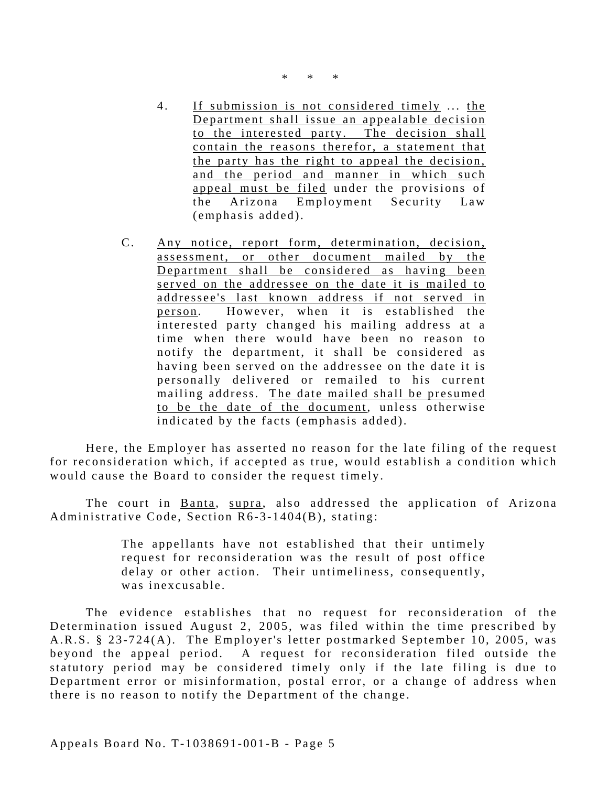- 4. If submission is not considered timely ... the Department shall issue an appealable decision to the interested party. The decision shall contain the reasons therefor, a statement that the party has the right to appeal the decision, and the period and manner in which such appeal must be filed under the provisions of the Arizona Employment Security Law (emphasis added).
- C. Any notice, report form, determination, decision, assessment, or other document mailed by the Department shall be considered as having been served on the addressee on the date it is mailed to addressee's last known address if not served in person . However, when it is established the interested party changed his mailing address at a time when there would have been no reason to notify the department, it shall be considered as having been served on the addressee on the date it is personally delivered or remailed to his current mailing address. The date mailed shall be presumed to be the date of the document, unless otherwise indicated by the facts (emphasis added).

Here, the Employer has asserted no reason for the late filing of the request for reconsideration which, if accepted as true, would establish a condition which would cause the Board to consider the request timely.

The court in Banta, supra, also addressed the application of Arizona Administrative Code, Section R6-3-1404(B), stating:

> The appellants have not established that their untimely request for reconsideration was the result of post office delay or other action. Their untimeliness, consequently, was inexcusable.

The evidence establishes that no request for reconsideration of the Determination issued August 2, 2005, was filed within the time prescribed by A.R.S. § 23-724(A). The Employer's letter postmarked September 10, 2005, was beyond the appeal period. A request for reconsideration filed outside the statutory period may be considered timely only if the late filing is due to Department error or misinformation, postal error, or a change of address when there is no reason to notify the Department of the change.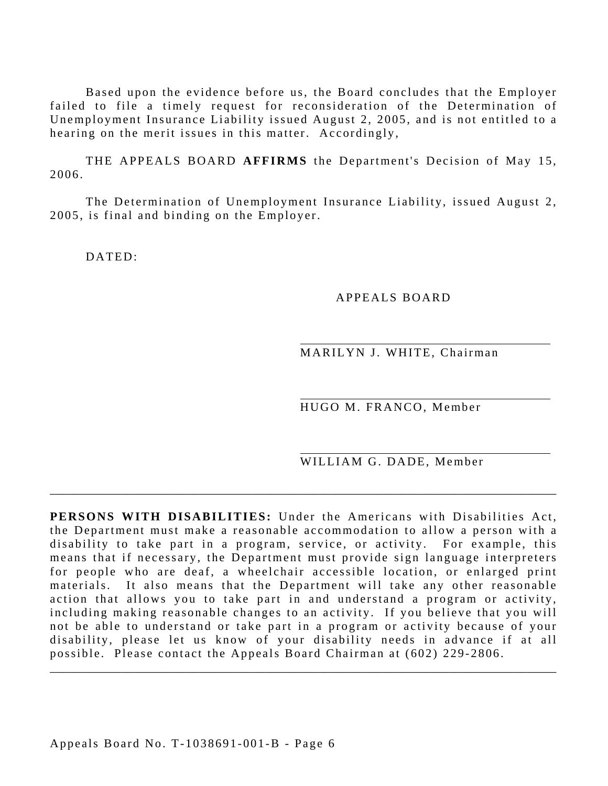Based upon the evidence before us, the Board concludes that the Employer failed to file a timely request for reconsideration of the Determination of Unemployment Insurance Liability issued August 2, 2005, and is not entitled to a hearing on the merit issues in this matter. Accordingly,

THE APPEALS BOARD **AFFIRMS** the Department's Decision of May 15, 2006.

The Determination of Unemployment Insurance Liability, issued August 2, 2005, is final and binding on the Employer.

DATED:

#### APPEALS BOARD

MARILYN J. WHITE, Chairman

HUGO M. FRANCO, Member

WILLIAM G. DADE, Member

**PERSONS WITH DISABILITIES:** Under the Americans with Disabilities Act, the Department must make a reasonable accommodation to allow a person with a disability to take part in a program, service, or activity. For example, this means that if necessary, the Department must provide sign language interpreters for people who are deaf, a wheelchair accessible location, or enlarged print materials. It also means that the Department will take any other reasonable action that allows you to take part in and understand a program or activity, including making reasonable changes to an activity. If you believe that you will not be able to understand or take part in a program or activity because of your disability, please let us know of your disability needs in advance if at all possible. Please contact the Appeals Board Chairman at (602) 229-2806.

\_\_\_\_\_\_\_\_\_\_\_\_\_\_\_\_\_\_\_\_\_\_\_\_\_\_\_\_\_\_\_\_\_\_\_\_\_\_\_\_\_\_\_\_\_\_\_\_\_\_\_\_\_\_\_\_\_\_\_\_\_\_\_\_\_\_\_\_\_\_\_\_\_\_\_\_\_\_\_\_\_\_\_\_\_

\_\_\_\_\_\_\_\_\_\_\_\_\_\_\_\_\_\_\_\_\_\_\_\_\_\_\_\_\_\_\_\_\_\_\_\_\_\_\_\_\_\_\_\_\_\_\_\_\_\_\_\_\_\_\_\_\_\_\_\_\_\_\_\_\_\_\_\_\_\_\_\_\_\_\_\_\_\_\_\_\_\_\_\_\_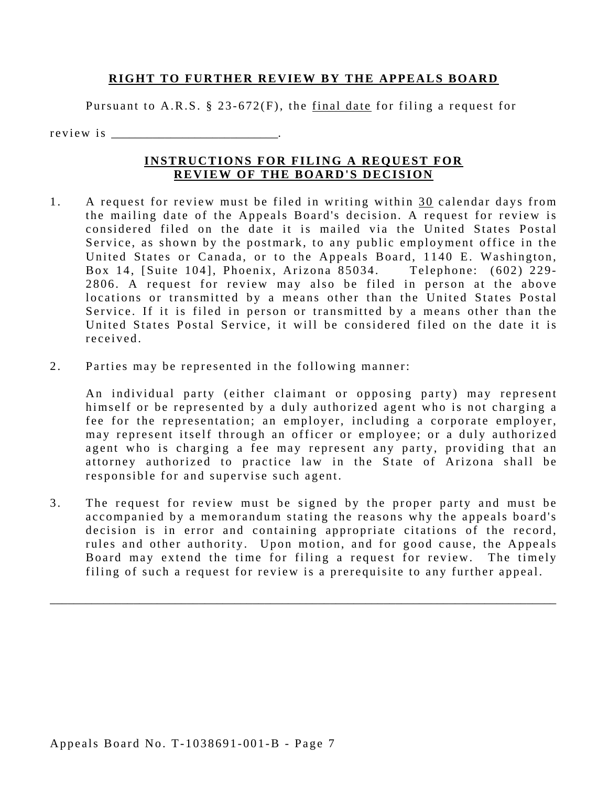#### **RIGHT TO FURTHER REVIEW BY THE APPEALS BOARD**

Pursuant to A.R.S. § 23-672(F), the final date for filing a request for

r e v i e w i s

#### **INSTRUCTIONS FOR FILING A REQUEST FOR REVIEW OF THE BOARD'S DECISION**

- received 1. A request for review must be filed in writing within 30 calendar days from the mailing date of the Appeals Board's decision. A request for review is considered filed on the date it is mailed via the United States Postal Service, as shown by the postmark, to any public employment office in the United States or Canada, or to the Appeals Board, 1140 E. Washington, Box 14, [Suite 104], Phoenix, Arizona 85034. Telephone: (602) 229-2806. A request for review may also be filed in person at the above locations or transmitted by a means other than the United States Postal Service. If it is filed in person or transmitted by a means other than the United States Postal Service, it will be considered filed on the date it is
- 2. Parties may be represented in the following manner:

An individual party (either claimant or opposing party) may represent himself or be represented by a duly authorized agent who is not charging a fee for the representation; an employer, including a corporate employer, may represent itself through an officer or employee; or a duly authorized agent who is charging a fee may represent any party, providing that an attorney authorized to practice law in the State of Arizona shall be responsible for and supervise such agent.

3. The request for review must be signed by the proper party and must be accompanied by a memorandum stating the reasons why the appeals board's decision is in error and containing appropriate citations of the record, rules and other authority. Upon motion, and for good cause, the Appeals Board may extend the time for filing a request for review. The timely filing of such a request for review is a prerequisite to any further appeal.

\_\_\_\_\_\_\_\_\_\_\_\_\_\_\_\_\_\_\_\_\_\_\_\_\_\_\_\_\_\_\_\_\_\_\_\_\_\_\_\_\_\_\_\_\_\_\_\_\_\_\_\_\_\_\_\_\_\_\_\_\_\_\_\_\_\_\_\_\_\_\_\_\_\_\_\_\_\_\_\_\_\_\_\_\_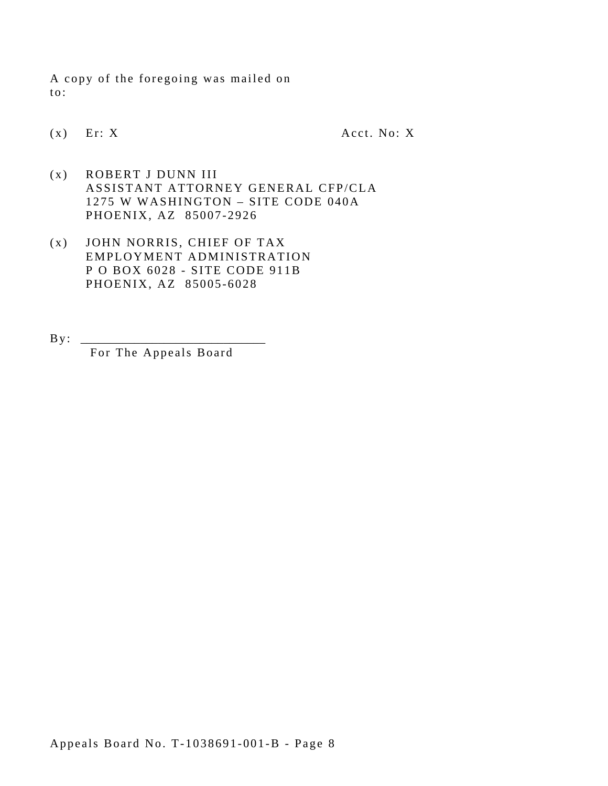A copy of the foregoing was mailed on to:

 $(x)$  Er: X Acct. No: X

- (x) ROBERT J DUNN III ASSISTANT ATTORNEY GENERAL CFP/CLA 1275 W WASHINGTON – SITE CODE 040A PHOENIX, AZ 85007-2926
- (x) JOHN NORRIS, CHIEF OF TAX EMPLOYMENT ADMINISTRATION P O BOX 6028 - SITE CODE 911B PHOENIX, AZ 85005-6028
- By : \_\_\_\_\_\_\_\_\_\_\_\_\_\_\_\_\_\_\_\_\_\_\_\_\_\_\_\_\_\_\_ For The Appeals Board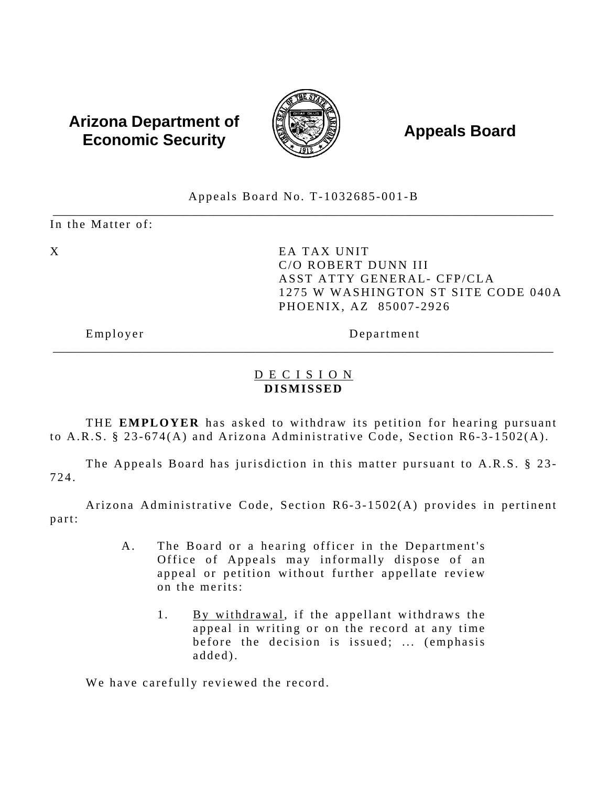# Arizona Department of  $\left(\begin{matrix} 1 & 0 & 0 \\ 0 & 0 & 0 \\ 0 & 0 & 0 \end{matrix}\right)$  Appeals Board



#### Appeals Board No. T-1032685-001-B \_\_\_\_\_\_\_\_\_\_\_\_\_\_\_\_\_\_\_\_\_\_\_\_\_\_\_\_\_\_\_\_\_\_\_\_\_\_\_\_\_\_\_\_\_\_\_\_\_\_\_\_\_\_\_\_\_\_\_\_\_\_\_\_\_\_\_\_\_\_\_\_\_\_\_\_\_\_\_\_\_\_\_\_

In the Matter of:

X EA TAX UNIT C/O ROBERT DUNN III ASST ATTY GENERAL- CFP/CLA 1275 W WASHINGTON ST SITE CODE 040A PHOENIX, AZ 85007-2926

Employer Department

### D E C I S I O N **DISMISSED**

\_\_\_\_\_\_\_\_\_\_\_\_\_\_\_\_\_\_\_\_\_\_\_\_\_\_\_\_\_\_\_\_\_\_\_\_\_\_\_\_\_\_\_\_\_\_\_\_\_\_\_\_\_\_\_\_\_\_\_\_\_\_\_\_\_\_\_\_\_\_\_\_\_\_\_\_\_\_\_\_\_\_\_\_

THE **EMPLOYER** has asked to withdraw its petition for hearing pursuant to A.R.S. § 23-674(A) and Arizona Administrative Code, Section R6-3-1502(A).

The Appeals Board has jurisdiction in this matter pursuant to A.R.S. § 23-724.

Arizona Administrative Code, Section R6-3-1502(A) provides in pertinent part:

- A. The Board or a hearing officer in the Department's Office of Appeals may informally dispose of an appeal or petition without further appellate review on the merits:
	- 1. By withdrawal, if the appellant withdraws the appeal in writing or on the record at any time before the decision is issued; ... (emphasis added).

We have carefully reviewed the record.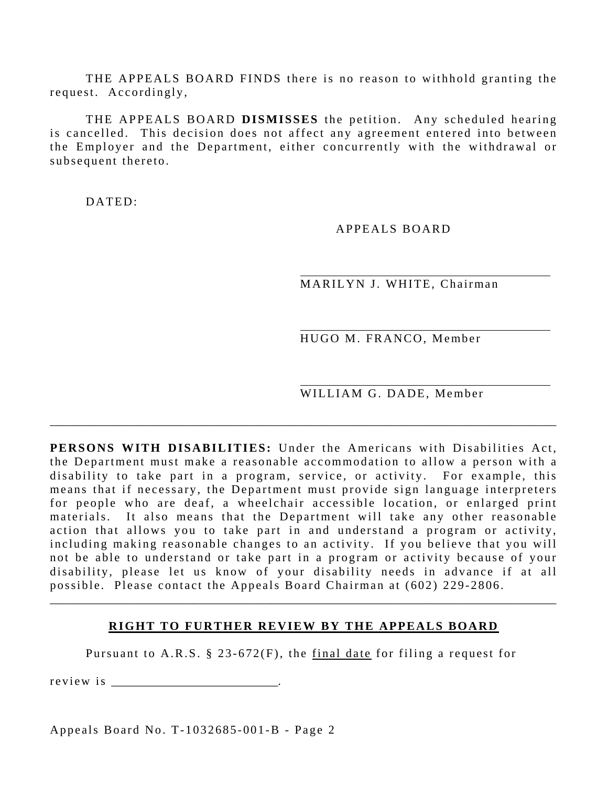THE APPEALS BOARD FINDS there is no reason to withhold granting the request. Accordingly,

THE APPEALS BOARD **DISMISSES** the petition. Any scheduled hearing is cancelled. This decision does not affect any agreement entered into between the Employer and the Department, either concurrently with the withdrawal or subsequent thereto.

DATED:

#### APPEALS BOARD

MARILYN J. WHITE, Chairman

HUGO M. FRANCO, Member

WILLIAM G. DADE, Member

**PERSONS WITH DISABILITIES:** Under the Americans with Disabilities Act, the Department must make a reasonable accommodation to allow a person with a disability to take part in a program, service, or activity. For example, this means that if necessary, the Department must provide sign language interpreters for people who are deaf, a wheelchair accessible location, or enlarged print materials. It also means that the Department will take any other reasonable action that allows you to take part in and understand a program or activity, including making reasonable changes to an activity. If you believe that you will not be able to understand or take part in a program or activity because of your disability, please let us know of your disability needs in advance if at all possible. Please contact the Appeals Board Chairman at (602) 229-2806.

\_\_\_\_\_\_\_\_\_\_\_\_\_\_\_\_\_\_\_\_\_\_\_\_\_\_\_\_\_\_\_\_\_\_\_\_\_\_\_\_\_\_\_\_\_\_\_\_\_\_\_\_\_\_\_\_\_\_\_\_\_\_\_\_\_\_\_\_\_\_\_\_\_\_\_\_\_\_\_\_\_\_\_\_\_

#### **RIGHT TO FURTHER REVIEW BY THE APPEALS BOARD**

\_\_\_\_\_\_\_\_\_\_\_\_\_\_\_\_\_\_\_\_\_\_\_\_\_\_\_\_\_\_\_\_\_\_\_\_\_\_\_\_\_\_\_\_\_\_\_\_\_\_\_\_\_\_\_\_\_\_\_\_\_\_\_\_\_\_\_\_\_\_\_\_\_\_\_\_\_\_\_\_\_\_\_\_\_

Pursuant to A.R.S. § 23-672(F), the final date for filing a request for

r e v i e w i s \_\_\_\_\_\_\_\_\_\_\_\_\_\_\_\_\_\_\_\_\_\_\_\_\_\_\_\_.

Appeals Board No. T-1032685-001-B - Page 2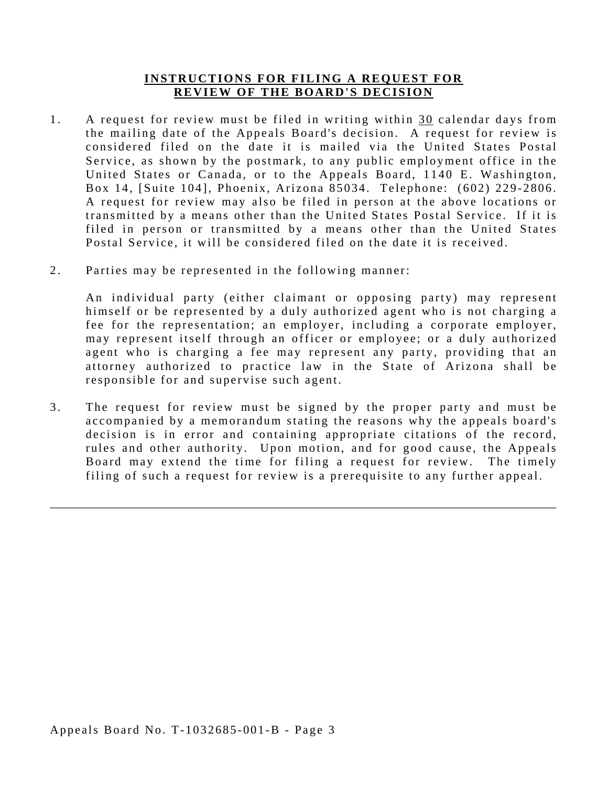#### **INSTRUCTIONS FOR FILING A REQUEST FOR REVIEW OF THE BOARD'S DECISION**

- 1. A request for review must be filed in writing within 30 calendar days from the mailing date of the Appeals Board's decision. A request for review is considered filed on the date it is mailed via the United States Postal Service, as shown by the postmark, to any public employment office in the United States or Canada, or to the Appeals Board, 1140 E. Washington, Box 14, [Suite 104], Phoenix, Arizona 85034. Telephone: (602) 229-2806. A request for review may also be filed in person at the above locations or transmitted by a means other than the United States Postal Service. If it is filed in person or transmitted by a means other than the United States Postal Service, it will be considered filed on the date it is received.
- 2. Parties may be represented in the following manner:

An individual party (either claimant or opposing party) may represent himself or be represented by a duly authorized agent who is not charging a fee for the representation; an employer, including a corporate employer, may represent itself through an officer or employee; or a duly authorized agent who is charging a fee may represent any party, providing that an attorney authorized to practice law in the State of Arizona shall be responsible for and supervise such agent.

3. The request for review must be signed by the proper party and must be accompanied by a memorandum stating the reasons why the appeals board's decision is in error and containing appropriate citations of the record, rules and other authority. Upon motion, and for good cause, the Appeals Board may extend the time for filing a request for review. The timely filing of such a request for review is a prerequisite to any further appeal.

\_\_\_\_\_\_\_\_\_\_\_\_\_\_\_\_\_\_\_\_\_\_\_\_\_\_\_\_\_\_\_\_\_\_\_\_\_\_\_\_\_\_\_\_\_\_\_\_\_\_\_\_\_\_\_\_\_\_\_\_\_\_\_\_\_\_\_\_\_\_\_\_\_\_\_\_\_\_\_\_\_\_\_\_\_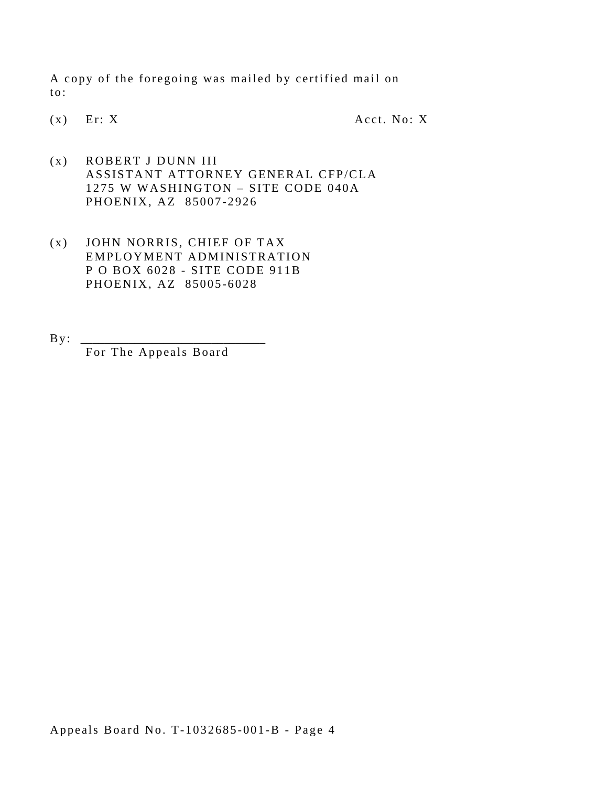A copy of the foregoing was mailed by certified mail on to:

(x) Er: X Acct. No: X

- (x) ROBERT J DUNN III ASSISTANT ATTORNEY GENERAL CFP/CLA 1275 W WASHINGTON – SITE CODE 040A PHOENIX, AZ 85007-2926
- (x) JOHN NORRIS, CHIEF OF TAX EMPLOYMENT ADMINISTRATION P O BOX 6028 - SITE CODE 911B PHOENIX, AZ 85005-6028
- $\mathbf{B} \, \mathbf{y}$ : For The Appeals Board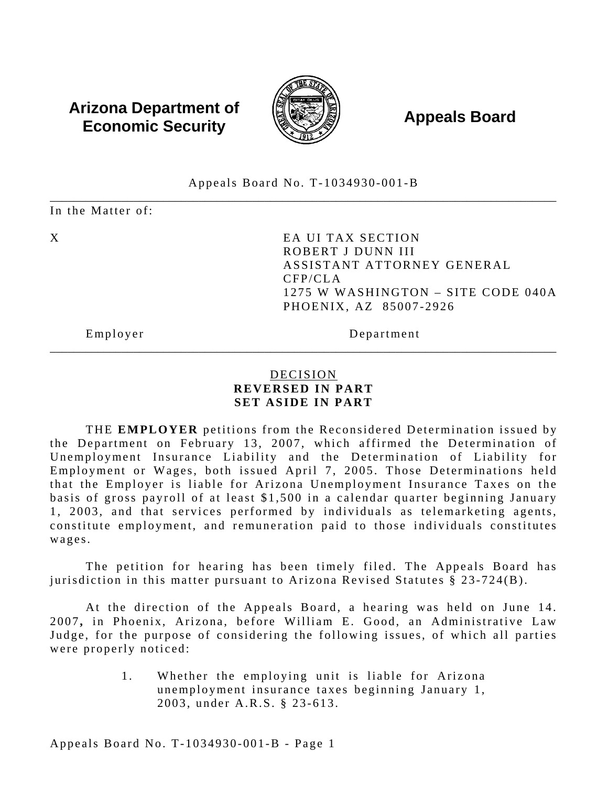## **Arizona Department of**  $\left(\begin{matrix} 1 & 0 & 0 \\ 0 & 0 & 0 \\ 0 & 0 & 0 \end{matrix}\right)$  **Appeals Board Economic Security**



#### \_\_\_\_\_\_\_\_\_\_\_\_\_\_\_\_\_\_\_\_\_\_\_\_\_\_\_\_\_\_\_\_\_\_\_\_\_\_\_\_\_\_\_\_\_\_\_\_\_\_\_\_\_\_\_\_\_\_\_\_\_\_\_\_\_\_\_\_\_\_\_\_\_\_\_\_\_\_\_\_\_\_\_\_\_ Appeals Board No. T-1034930-001-B

In the Matter of:

X EA UI TAX SECTION ROBERT J DUNN III ASSISTANT ATTORNEY GENERAL CFP/CLA 1275 W WASHINGTON – SITE CODE 040A PHOENIX, AZ 85007-2926

Employer Department

### DECISION **REVERSED IN PART SET ASIDE IN PART**

\_\_\_\_\_\_\_\_\_\_\_\_\_\_\_\_\_\_\_\_\_\_\_\_\_\_\_\_\_\_\_\_\_\_\_\_\_\_\_\_\_\_\_\_\_\_\_\_\_\_\_\_\_\_\_\_\_\_\_\_\_\_\_\_\_\_\_\_\_\_\_\_\_\_\_\_\_\_\_\_\_\_\_\_\_

THE **EMPLOYER** petitions from the Reconsidered Determination issued by the Department on February 13, 2007, which affirmed the Determination of Unemployment Insurance Liability and the Determination of Liability for Employment or Wages, both issued April 7, 2005. Those Determinations held that the Employer is liable for Arizona Unemployment Insurance Taxes on the basis of gross payroll of at least \$1,500 in a calendar quarter beginning January 1, 2003, and that services performed by individuals as telemarketing agents, constitute employment, and remuneration paid to those individuals constitutes wages.

The petition for hearing has been timely filed. The Appeals Board has jurisdiction in this matter pursuant to Arizona Revised Statutes § 23-724(B).

At the direction of the Appeals Board, a hearing was held on June 14. 2007, in Phoenix, Arizona, before William E. Good, an Administrative Law Judge, for the purpose of considering the following issues, of which all parties were properly noticed:

> 1. Whether the employing unit is liable for Arizona unemployment insurance taxes beginning January 1, 2003, under A.R.S. § 23-613.

Appeals Board No. T-1034930-001-B - Page 1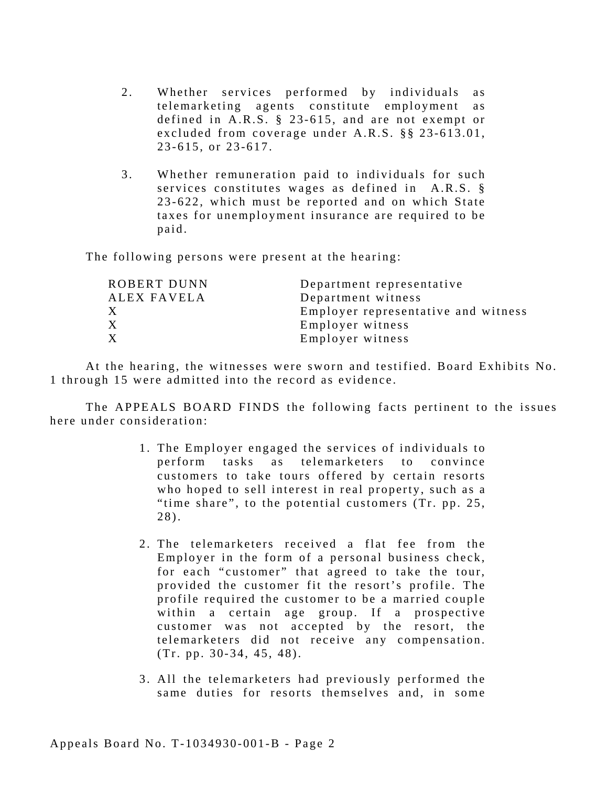- 2. Whether services performed by individuals as telemarketing agents constitute employment as defined in A.R.S. § 23-615, and are not exempt or excluded from coverage under A.R.S. §§ 23-613.01, 23-615, or 23-617.
- 3. Whether remuneration paid to individuals for such services constitutes wages as defined in A.R.S. § 23-622, which must be reported and on which State taxes for unemployment insurance are required to be paid.

The following persons were present at the hearing:

| ROBERT DUNN  | Department representative           |
|--------------|-------------------------------------|
| ALEX FAVELA  | Department witness                  |
| $\mathbf{X}$ | Employer representative and witness |
| X.           | Employer witness                    |
| $\mathbf X$  | Employer witness                    |
|              |                                     |

At the hearing, the witnesses were sworn and testified. Board Exhibits No. 1 through 15 were admitted into the record as evidence.

The APPEALS BOARD FINDS the following facts pertinent to the issues here under consideration:

- 1. The Employer engaged the services of individuals to perform tasks as telemarketers to convince customers to take tours offered by certain resorts who hoped to sell interest in real property, such as a "time share", to the potential customers (Tr. pp. 25, 28).
- 2. The telemarketers received a flat fee from the Employer in the form of a personal business check, for each "customer" that agreed to take the tour, provided the customer fit the resort's profile. The profile required the customer to be a married couple within a certain age group. If a prospective customer was not accepted by the resort, the telemarketers did not receive any compensation. (Tr. pp. 30-34, 45, 48).
- 3. All the telemarketers had previously performed the same duties for resorts themselves and, in some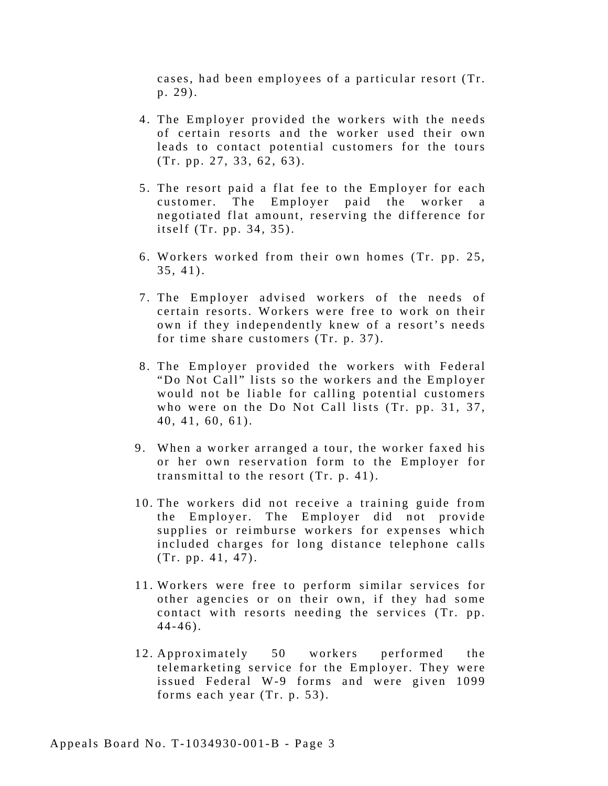cases, had been employees of a particular resort (Tr.  $p. 29$ ).

- 4. The Employer provided the workers with the needs of certain resorts and the worker used their own leads to contact potential customers for the tours (Tr. pp. 27, 33, 62, 63).
- 5. The resort paid a flat fee to the Employer for each customer. The Employer paid the worker negotiated flat amount, reserving the difference for itself (Tr. pp. 34, 35).
- 6. Workers worked from their own homes (Tr. pp. 25, 35, 41).
- 7. The Employer advised workers of the needs of certain resorts. Workers were free to work on their own if they independently knew of a resort's needs for time share customers (Tr. p. 37).
- 8. The Employer provided the workers with Federal "Do Not Call" lists so the workers and the Employer would not be liable for calling potential customers who were on the Do Not Call lists (Tr. pp. 31, 37, 40, 41, 60, 61).
- 9. When a worker arranged a tour, the worker faxed his or her own reservation form to the Employer for transmittal to the resort (Tr. p. 41).
- 10. The workers did not receive a training guide from the Employer. The Employer did not provide supplies or reimburse workers for expenses which included charges for long distance telephone calls (Tr. pp. 41, 47).
- 11. Workers were free to perform similar services for other agencies or on their own, if they had some contact with resorts needing the services (Tr. pp. 44-46).
- 12. Approximately 50 workers performed the telemarketing service for the Employer. They were issued Federal W-9 forms and were given 1099 forms each year (Tr. p. 53).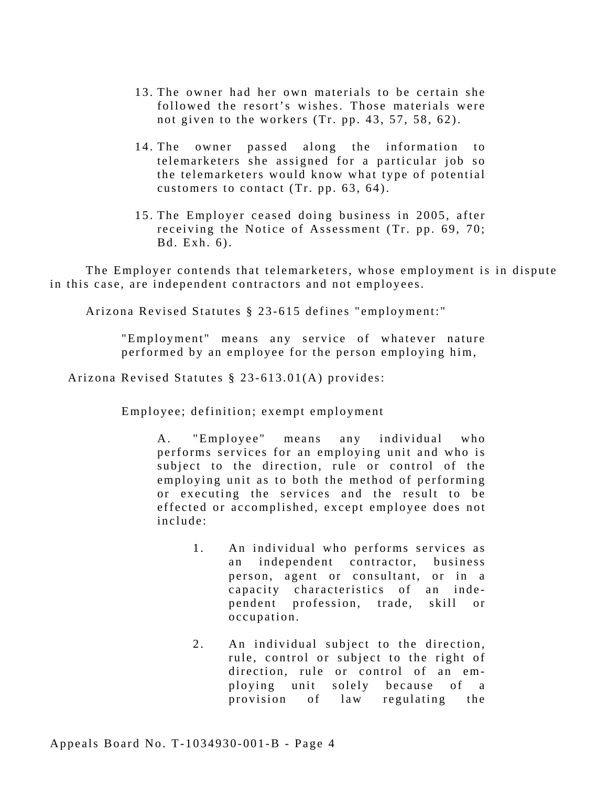- 13. The owner had her own materials to be certain she followed the resort's wishes. Those materials were not given to the workers (Tr. pp. 43, 57, 58, 62).
- 14. The owner passed along the information to telemarketers she assigned for a particular job so the telemarketers would know what type of potential customers to contact (Tr. pp. 63, 64).
- 15. The Employer ceased doing business in 2005, after receiving the Notice of Assessment (Tr. pp. 69, 70; Bd. Exh. 6).

The Employer contends that telemarketers, whose employment is in dispute in this case, are independent contractors and not employees.

Arizona Revised Statutes § 23-615 defines "employment:"

"Employment" means any service of whatever nature performed by an employee for the person employing him,

Arizona Revised Statutes § 23-613.01(A) provides:

Employee; definition; exempt employment

A. "Employee" means any individual who performs services for an employing unit and who is subject to the direction, rule or control of the employing unit as to both the method of performing or executing the services and the result to be effected or accomplished, except employee does not include:

- 1. An individual who performs services as an independent contractor, business person, agent or consultant, or in a capacity characteristics of an independent profession, trade, skill or occupation.
- 2. An individual subject to the direction, rule, control or subject to the right of direction, rule or control of an employing unit solely because of a provision of law regulating the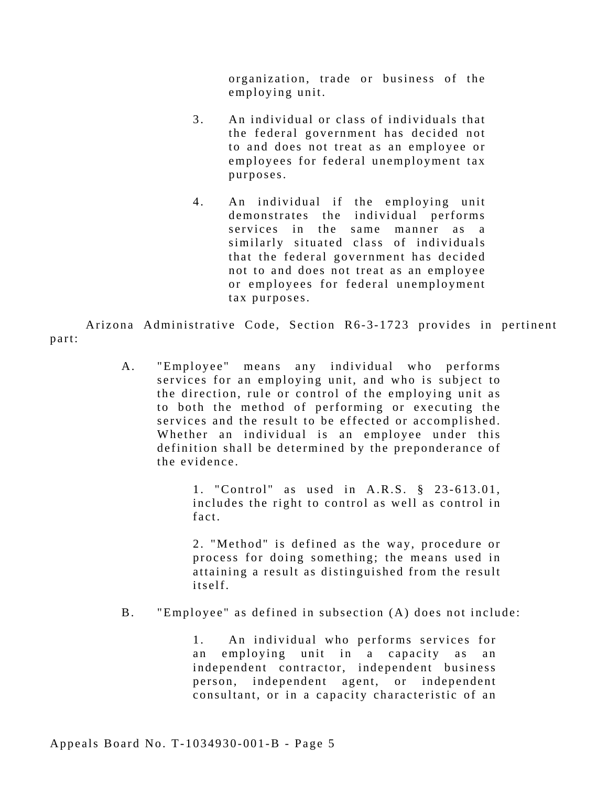organization, trade or business of the employing unit.

- 3. An individual or class of individuals that the federal government has decided not to and does not treat as an employee or employees for federal unemployment tax purposes.
- 4. An individual if the employing unit demonstrates the individual performs services in the same manner as a similarly situated class of individuals that the federal government has decided not to and does not treat as an employee or employees for federal unemployment tax purposes.

Arizona Administrative Code, Section R6-3-1723 provides in pertinent part:

> A. "Employee" means any individual who performs services for an employing unit, and who is subject to the direction, rule or control of the employing unit as to both the method of performing or executing the services and the result to be effected or accomplished. Whether an individual is an employee under this definition shall be determined by the preponderance of the evidence.

> > 1 . "Control" as used in A.R.S. § 23-613.01, includes the right to control as well as control in fact.

> > 2 . "Method" is defined as the way, procedure or process for doing something; the means used in attaining a result as distinguished from the result itself.

B. "Employee" as defined in subsection (A) does not include:

1. An individual who performs services for an employing unit in a capacity as an independent contractor, independent business person, independent agent, or independent consultant, or in a capacity characteristic of an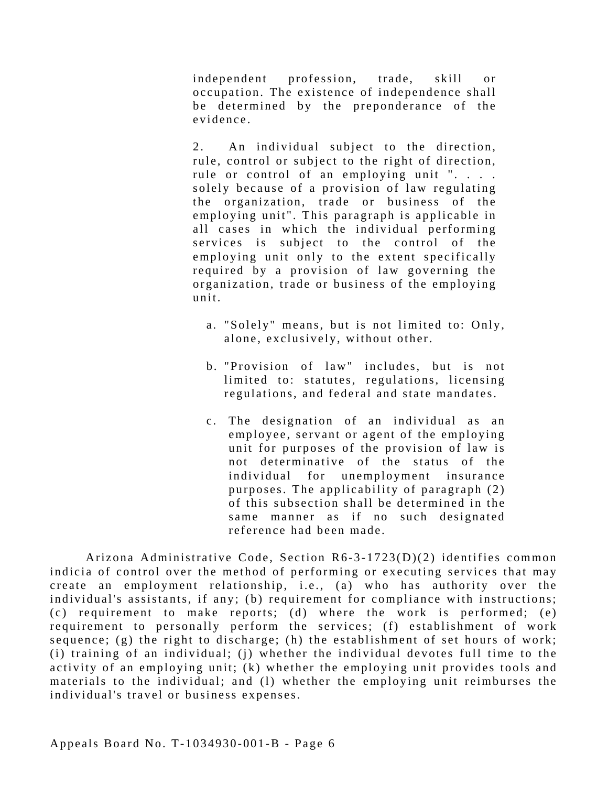independent profession, trade, skill or occupation. The existence of independence shall be determined by the preponderance of the evidence.

2. An individual subject to the direction, rule, control or subject to the right of direction, rule or control of an employing unit ". . . . solely because of a provision of law regulating the organization, trade or business of the employing unit". This paragraph is applicable in all cases in which the individual performing services is subject to the control of the employing unit only to the extent specifically required by a provision of law governing the organization, trade or business of the employing unit.

- a. "Solely" means, but is not limited to: Only, alone, exclusively, without other.
- b. "Provision of law" includes, but is not limited to: statutes, regulations, licensing regulations, and federal and state mandates.
- c . The designation of an individual as an employee, servant or agent of the employing unit for purposes of the provision of law is not determinative of the status of the individual for unemployment insurance purposes. The applicability of paragraph (2) of this subsection shall be determined in the same manner as if no such designated reference had been made.

Arizona Administrative Code, Section R6-3-1723(D)(2) identifies common indicia of control over the method of performing or executing services that may create an employment relationship, i.e., (a) who has authority over the individual's assistants, if any; (b) requirement for compliance with instructions; (c) requirement to make reports; (d) where the work is performed; (e) requirement to personally perform the services; (f) establishment of work sequence; (g) the right to discharge; (h) the establishment of set hours of work; (i) training of an individual; (j) whether the individual devotes full time to the activity of an employing unit; (k) whether the employing unit provides tools and materials to the individual; and (1) whether the employing unit reimburses the individual's travel or business expenses.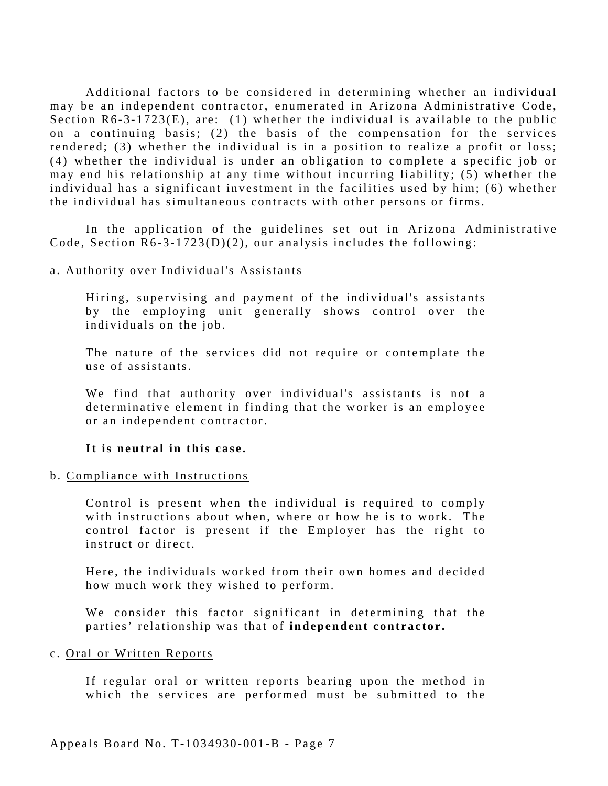Additional factors to be considered in determining whether an individual may be an independent contractor, enumerated in Arizona Administrative Code, Section R6-3-1723(E), are: (1) whether the individual is available to the public on a continuing basis; (2) the basis of the compensation for the services rendered; (3) whether the individual is in a position to realize a profit or loss; (4) whether the individual is under an obligation to complete a specific job or may end his relationship at any time without incurring liability; (5) whether the individual has a significant investment in the facilities used by him; (6) whether the individual has simultaneous contracts with other persons or firms.

In the application of the guidelines set out in Arizona Administrative Code, Section  $R6-3-1723(D)(2)$ , our analysis includes the following:

#### a. Authority over Individual's Assistants

Hiring, supervising and payment of the individual's assistants by the employing unit generally shows control over the individuals on the job.

The nature of the services did not require or contemplate the use of assistants.

We find that authority over individual's assistants is not a determinative element in finding that the worker is an employee or an independent contractor.

#### **It is neutral in this case.**

#### b. Compliance with Instructions

Control is present when the individual is required to comply with instructions about when, where or how he is to work. The control factor is present if the Employer has the right to instruct or direct.

Here, the individuals worked from their own homes and decided how much work they wished to perform.

We consider this factor significant in determining that the parties' relationship was that of **independent contractor.** 

#### c. Oral or Written Reports

If regular oral or written reports bearing upon the method in which the services are performed must be submitted to the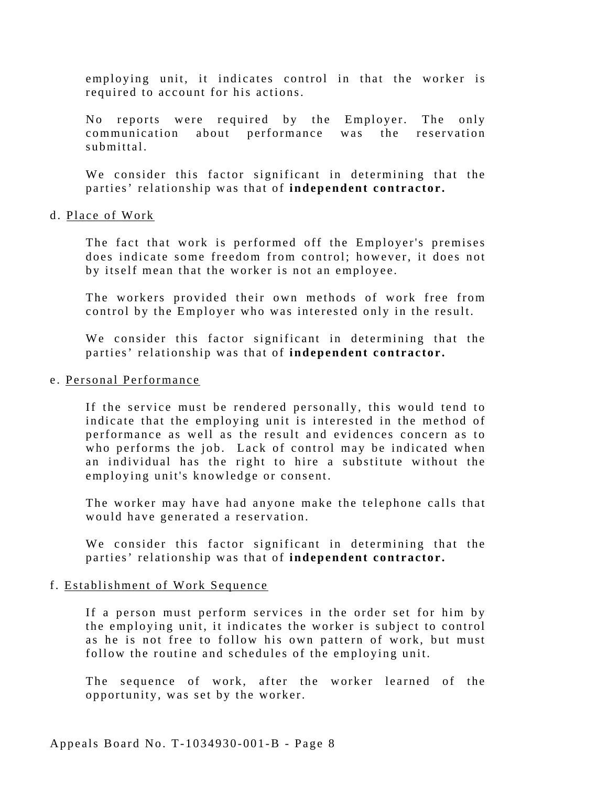employing unit, it indicates control in that the worker is required to account for his actions.

No reports were required by the Employer. The only communication about performance was the reservation submittal.

We consider this factor significant in determining that the parties' relationship was that of **independent contractor.** 

#### d. Place of Work

The fact that work is performed off the Employer's premises does indicate some freedom from control; however, it does not by itself mean that the worker is not an employee.

The workers provided their own methods of work free from control by the Employer who was interested only in the result.

We consider this factor significant in determining that the parties' relationship was that of **independent contractor.** 

#### e. Personal Performance

If the service must be rendered personally, this would tend to indicate that the employing unit is interested in the method of performance as well as the result and evidences concern as to who performs the job. Lack of control may be indicated when an individual has the right to hire a substitute without the employing unit's knowledge or consent.

The worker may have had anyone make the telephone calls that would have generated a reservation.

We consider this factor significant in determining that the parties' relationship was that of **independent contractor.** 

#### f. Establishment of Work Sequence

If a person must perform services in the order set for him by the employing unit, it indicates the worker is subject to control as he is not free to follow his own pattern of work, but must follow the routine and schedules of the employing unit.

The sequence of work, after the worker learned of the opportunity, was set by the worker.

Appeals Board No. T-1034930-001-B - Page 8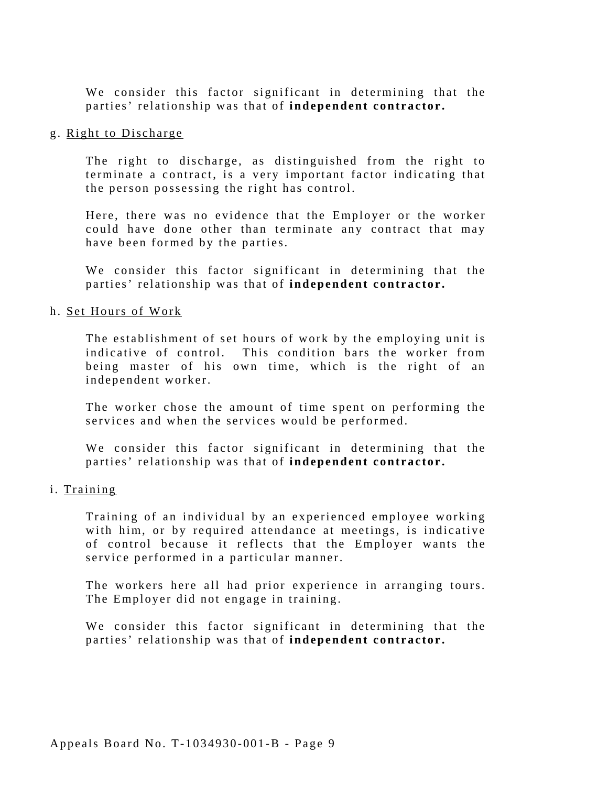We consider this factor significant in determining that the parties' relationship was that of **independent contractor.** 

#### g. Right to Discharge

The right to discharge, as distinguished from the right to terminate a contract, is a very important factor indicating that the person possessing the right has control.

Here, there was no evidence that the Employer or the worker could have done other than terminate any contract that may have been formed by the parties.

We consider this factor significant in determining that the parties' relationship was that of **independent contractor.** 

#### h. Set Hours of Work

The establishment of set hours of work by the employing unit is indicative of control. This condition bars the worker from being master of his own time, which is the right of an independent worker.

The worker chose the amount of time spent on performing the services and when the services would be performed.

We consider this factor significant in determining that the parties' relationship was that of **independent contractor.** 

#### i. Training

Training of an individual by an experienced employee working with him, or by required attendance at meetings, is indicative of control because it reflects that the Employer wants the service performed in a particular manner.

The workers here all had prior experience in arranging tours. The Employer did not engage in training.

We consider this factor significant in determining that the parties' relationship was that of **independent contractor.**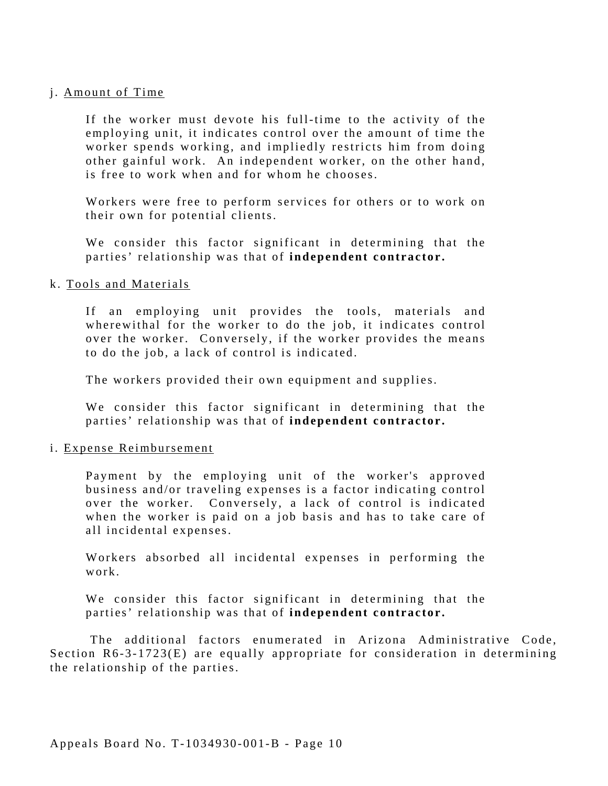#### j. Amount of Time

If the worker must devote his full-time to the activity of the employing unit, it indicates control over the amount of time the worker spends working, and impliedly restricts him from doing other gainful work. An independent worker, on the other hand, is free to work when and for whom he chooses.

Workers were free to perform services for others or to work on their own for potential clients.

We consider this factor significant in determining that the parties' relationship was that of **independent contractor.** 

#### k. Tools and Materials

If an employing unit provides the tools, materials and wherewithal for the worker to do the job, it indicates control over the worker. Conversely, if the worker provides the means to do the job, a lack of control is indicated.

The workers provided their own equipment and supplies.

We consider this factor significant in determining that the parties' relationship was that of **independent contractor.** 

#### i. Expense Reimbursement

Payment by the employing unit of the worker's approved business and/or traveling expenses is a factor indicating control over the worker. Conversely, a lack of control is indicated when the worker is paid on a job basis and has to take care of all incidental expenses.

Workers absorbed all incidental expenses in performing the work.

We consider this factor significant in determining that the parties' relationship was that of **independent contractor.** 

The additional factors enumerated in Arizona Administrative Code, Section  $R6-3-1723(E)$  are equally appropriate for consideration in determining the relationship of the parties.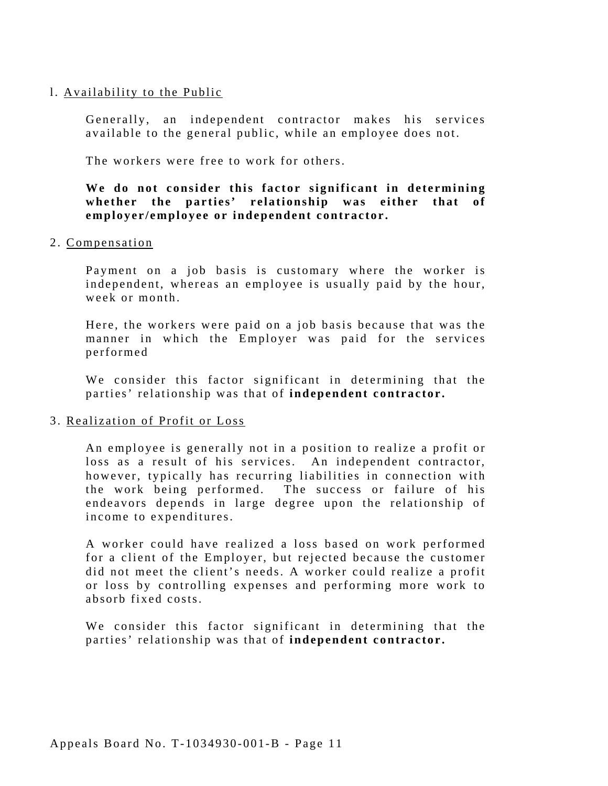#### l. Availability to the Public

Generally, an independent contractor makes his services available to the general public, while an employee does not.

The workers were free to work for others.

#### **We do not consider this factor significant in determining whether the parties' relationship was either that of employer/employee or independent contractor.**

2. Compensation

Payment on a job basis is customary where the worker is independent, whereas an employee is usually paid by the hour, week or month.

Here, the workers were paid on a job basis because that was the manner in which the Employer was paid for the services performed

We consider this factor significant in determining that the parties' relationship was that of **independent contractor.** 

#### 3. Realization of Profit or Loss

An employee is generally not in a position to realize a profit or loss as a result of his services. An independent contractor, however, typically has recurring liabilities in connection with the work being performed. The success or failure of his endeavors depends in large degree upon the relationship of income to expenditures.

A worker could have realized a loss based on work performed for a client of the Employer, but rejected because the customer did not meet the client's needs. A worker could realize a profit or loss by controlling expenses and performing more work to absorb fixed costs.

We consider this factor significant in determining that the parties' relationship was that of **independent contractor.**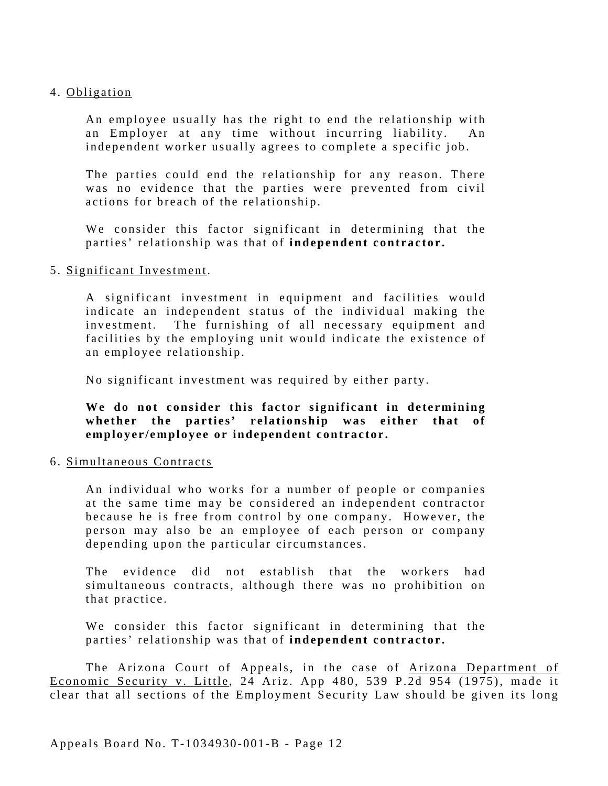#### 4. Obligation

An employee usually has the right to end the relationship with an Employer at any time without incurring liability. An independent worker usually agrees to complete a specific job.

The parties could end the relationship for any reason. There was no evidence that the parties were prevented from civil actions for breach of the relationship.

We consider this factor significant in determining that the parties' relationship was that of **independent contractor.** 

#### 5. Significant Investment.

A significant investment in equipment and facilities would indicate an independent status of the individual making the investment. The furnishing of all necessary equipment and facilities by the employing unit would indicate the existence of an employee relationship.

No significant investment was required by either party.

**We do not consider this factor significant in determining whether the parties' relationship was either that of employer/employee or independent contractor.** 

#### 6. Simultaneous Contracts

An individual who works for a number of people or companies at the same time may be considered an independent contractor because he is free from control by one company. However, the person may also be an employee of each person or company depending upon the particular circumstances.

The evidence did not establish that the workers had simultaneous contracts, although there was no prohibition on that practice.

We consider this factor significant in determining that the parties' relationship was that of **independent contractor.** 

The Arizona Court of Appeals, in the case of Arizona Department of Economic Security v. Little, 24 Ariz. App 480, 539 P.2d 954 (1975), made it clear that all sections of the Employment Security Law should be given its long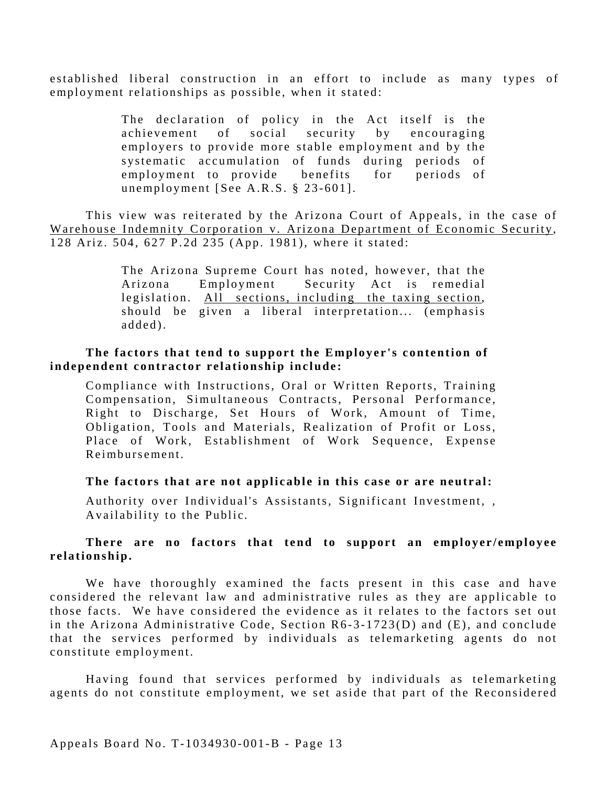established liberal construction in an effort to include as many types of employment relationships as possible, when it stated:

> The declaration of policy in the Act itself is the achievement of social security by encouraging employers to provide more stable employment and by the systematic accumulation of funds during periods of employment to provide benefits for periods of unemployment [See A.R.S. § 23-601].

This view was reiterated by the Arizona Court of Appeals, in the case of Warehouse Indemnity Corporation v. Arizona Department of Economic Security, 128 Ariz. 504, 627 P.2d 235 (App. 1981), where it stated:

> The Arizona Supreme Court has noted, however, that the Arizona Employment Security Act is remedial legislation. All sections, including the taxing section, should be given a liberal interpretation... (emphasis added).

#### **The factors that tend to support the Employer's contention of independent contractor relationship include:**

Compliance with Instructions, Oral or Written Reports, Training Compensation, Simultaneous Contracts, Personal Performance, Right to Discharge, Set Hours of Work, Amount of Time, Obligation*,* Tools and Materials, Realization of Profit or Loss, Place of Work, Establishment of Work Sequence, Expense Reimbursement.

#### **The factors that are not applicable in this case or are neutral:**

Authority over Individual's Assistants*,* Significant Investment*, ,*  Availability to the Public.

#### **There are no factors that tend to support an employer/employee relationship.**

We have thoroughly examined the facts present in this case and have considered the relevant law and administrative rules as they are applicable to those facts. We have considered the evidence as it relates to the factors set out in the Arizona Administrative Code, Section R6-3-1723(D) and (E), and conclude that the services performed by individuals as telemarketing agents do not constitute employment.

Having found that services performed by individuals as telemarketing agents do not constitute employment, we set aside that part of the Reconsidered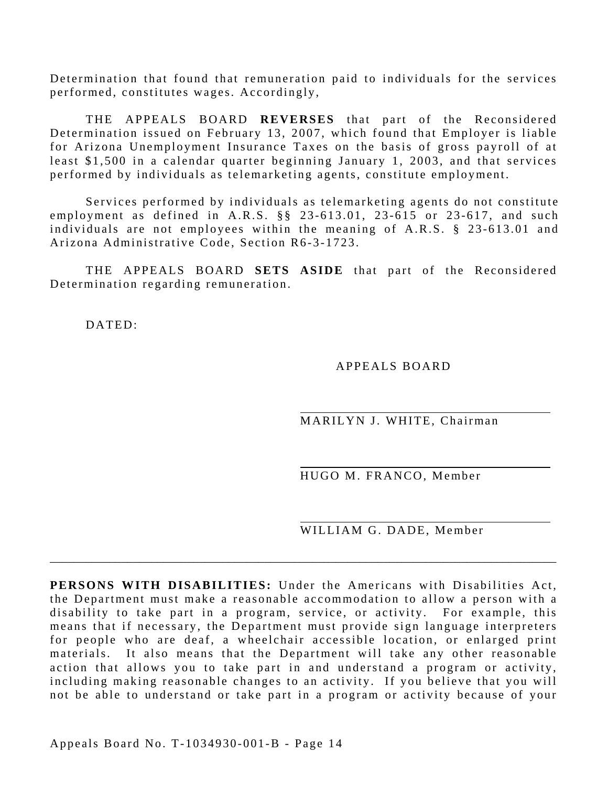Determination that found that remuneration paid to individuals for the services performed, constitutes wages. Accordingly,

THE APPEALS BOARD **REVERSES** that part of the Reconsidered Determination issued on February 13, 2007, which found that Employer is liable for Arizona Unemployment Insurance Taxes on the basis of gross payroll of at least \$1,500 in a calendar quarter beginning January 1, 2003, and that services performed by individuals as telemarketing agents, constitute employment.

Services performed by individuals as telemarketing agents do not constitute employment as defined in A.R.S. §§ 23-613.01, 23-615 or 23-617, and such individuals are not employees within the meaning of A.R.S. § 23-613.01 and Arizona Administrative Code, Section R6-3-1723.

THE APPEALS BOARD **SETS ASIDE** that part of the Reconsidered Determination regarding remuneration.

DATED:

APPEALS BOARD

MARILYN J. WHITE, Chairman

HUGO M. FRANCO, Member

WILLIAM G. DADE, Member

**PERSONS WITH DISABILITIES:** Under the Americans with Disabilities Act, the Department must make a reasonable accommodation to allow a person with a disability to take part in a program, service, or activity. For example, this means that if necessary, the Department must provide sign language interpreters for people who are deaf, a wheelchair accessible location, or enlarged print materials. It also means that the Department will take any other reasonable action that allows you to take part in and understand a program or activity, including making reasonable changes to an activity. If you believe that you will not be able to understand or take part in a program or activity because of your

\_\_\_\_\_\_\_\_\_\_\_\_\_\_\_\_\_\_\_\_\_\_\_\_\_\_\_\_\_\_\_\_\_\_\_\_\_\_\_\_\_\_\_\_\_\_\_\_\_\_\_\_\_\_\_\_\_\_\_\_\_\_\_\_\_\_\_\_\_\_\_\_\_\_\_\_\_\_\_\_\_\_\_\_\_

Appeals Board No. T-1034930-001-B - Page 14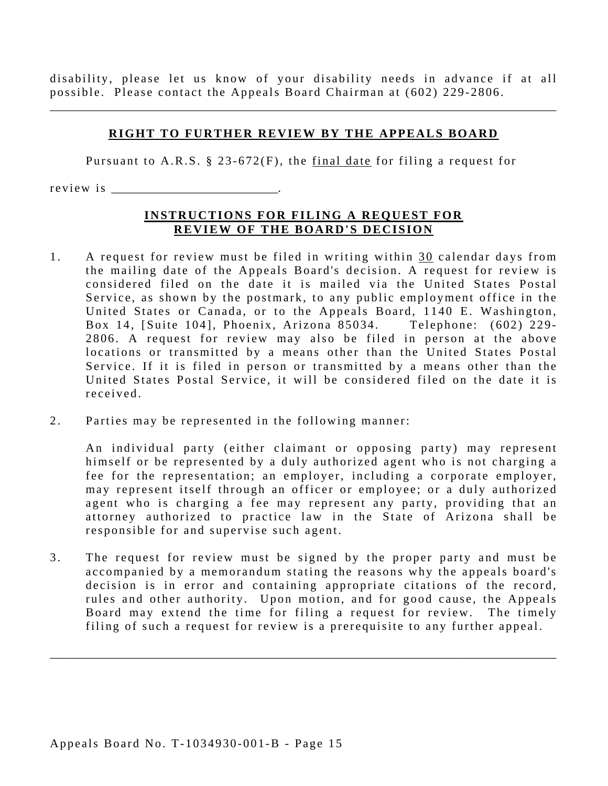disability, please let us know of your disability needs in advance if at all possible. Please contact the Appeals Board Chairman at (602) 229-2806.

\_\_\_\_\_\_\_\_\_\_\_\_\_\_\_\_\_\_\_\_\_\_\_\_\_\_\_\_\_\_\_\_\_\_\_\_\_\_\_\_\_\_\_\_\_\_\_\_\_\_\_\_\_\_\_\_\_\_\_\_\_\_\_\_\_\_\_\_\_\_\_\_\_\_\_\_\_\_\_\_\_\_\_\_\_

#### **RIGHT TO FURTHER REVIEW BY THE APPEALS BOARD**

Pursuant to A.R.S. § 23-672(F), the final date for filing a request for

r e v i e w i s \_\_\_\_\_\_\_\_\_\_\_\_\_\_\_\_\_\_\_\_\_\_\_\_\_\_\_\_.

#### **INSTRUCTIONS FOR FILING A REQUEST FOR REVIEW OF THE BOARD'S DECISION**

- received. 1. A request for review must be filed in writing within 30 calendar days from the mailing date of the Appeals Board's decision. A request for review is considered filed on the date it is mailed via the United States Postal Service, as shown by the postmark, to any public employment office in the United States or Canada, or to the Appeals Board, 1140 E. Washington, Box 14, [Suite 104], Phoenix, Arizona 85034. Telephone: (602) 229-2806. A request for review may also be filed in person at the above locations or transmitted by a means other than the United States Postal Service. If it is filed in person or transmitted by a means other than the United States Postal Service, it will be considered filed on the date it is
- 2. Parties may be represented in the following manner:

An individual party (either claimant or opposing party) may represent himself or be represented by a duly authorized agent who is not charging a fee for the representation; an employer, including a corporate employer, may represent itself through an officer or employee; or a duly authorized agent who is charging a fee may represent any party, providing that an attorney authorized to practice law in the State of Arizona shall be responsible for and supervise such agent.

3. The request for review must be signed by the proper party and must be accompanied by a memorandum stating the reasons why the appeals board's decision is in error and containing appropriate citations of the record, rules and other authority. Upon motion, and for good cause, the Appeals Board may extend the time for filing a request for review. The timely filing of such a request for review is a prerequisite to any further appeal.

\_\_\_\_\_\_\_\_\_\_\_\_\_\_\_\_\_\_\_\_\_\_\_\_\_\_\_\_\_\_\_\_\_\_\_\_\_\_\_\_\_\_\_\_\_\_\_\_\_\_\_\_\_\_\_\_\_\_\_\_\_\_\_\_\_\_\_\_\_\_\_\_\_\_\_\_\_\_\_\_\_\_\_\_\_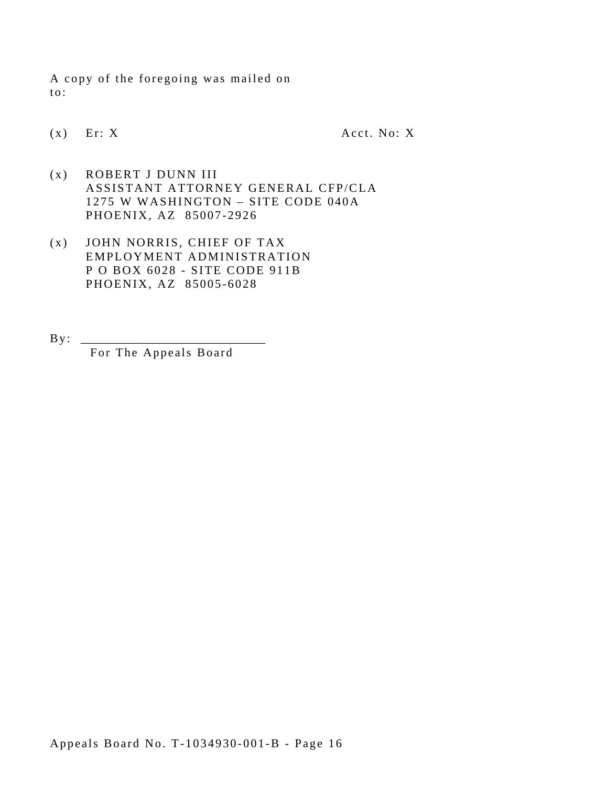A copy of the foregoing was mailed on to:

 $(x)$  Er: X Acct. No: X

- (x) ROBERT J DUNN III ASSISTANT ATTORNEY GENERAL CFP/CLA 1275 W WASHINGTON – SITE CODE 040A PHOENIX, AZ 85007-2926
- (x) JOHN NORRIS, CHIEF OF TAX EMPLOYMENT ADMINISTRATION P O BOX 6028 - SITE CODE 911B PHOENIX, AZ 85005-6028
- By : \_\_\_\_\_\_\_\_\_\_\_\_\_\_\_\_\_\_\_\_\_\_\_\_\_\_\_\_\_\_\_ For The Appeals Board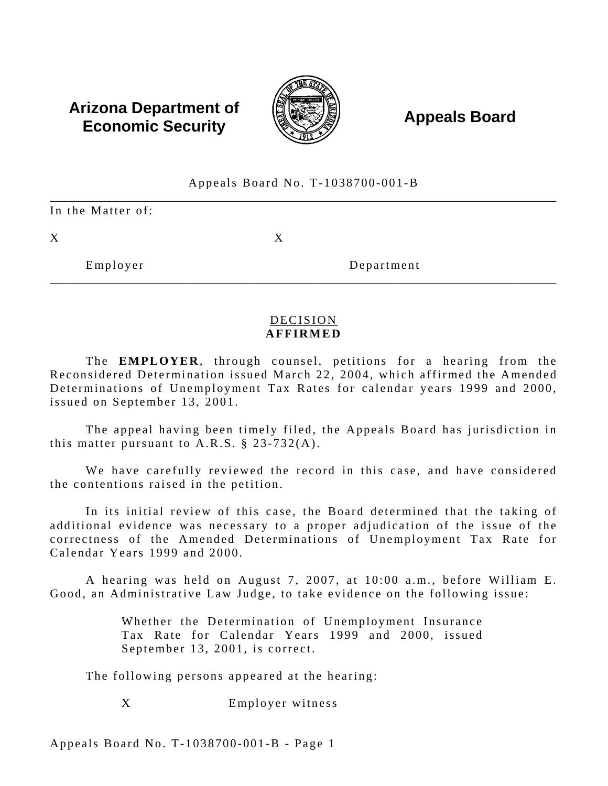# **Arizona Department of**  $\left(\begin{matrix} 1 & 0 & 0 \\ 0 & 0 & 0 \\ 0 & 0 & 0 \end{matrix}\right)$  **Appeals Board Economic Security**



## \_\_\_\_\_\_\_\_\_\_\_\_\_\_\_\_\_\_\_\_\_\_\_\_\_\_\_\_\_\_\_\_\_\_\_\_\_\_\_\_\_\_\_\_\_\_\_\_\_\_\_\_\_\_\_\_\_\_\_\_\_\_\_\_\_\_\_\_\_\_\_\_\_\_\_\_\_\_\_\_\_\_\_\_\_ \_\_\_\_\_\_\_\_\_\_\_\_\_\_\_\_\_\_\_\_\_\_\_\_\_\_\_\_\_\_\_\_\_\_\_\_\_\_\_\_\_\_\_\_\_\_\_\_\_\_\_\_\_\_\_\_\_\_\_\_\_\_\_\_\_\_\_\_\_\_\_\_\_\_\_\_\_\_\_\_\_\_\_\_\_ Appeals Board No. T-1038700-001-B In the Matter of:  $X$  and  $X$ Employer Department

### DECISION **AFFIRMED**

The **EMPLOYER**, through counsel, petitions for a hearing from the Reconsidered Determination issued March 22, 2004, which affirmed the Amended Determinations of Unemployment Tax Rates for calendar years 1999 and 2000, issued on September 13, 2001.

The appeal having been timely filed, the Appeals Board has jurisdiction in this matter pursuant to  $A.R.S. \S 23-732(A)$ .

We have carefully reviewed the record in this case, and have considered the contentions raised in the petition.

In its initial review of this case, the Board determined that the taking of additional evidence was necessary to a proper adjudication of the issue of the correctness of the Amended Determinations of Unemployment Tax Rate for Calendar Years 1999 and 2000.

A hearing was held on August 7, 2007, at 10:00 a.m., before William E. Good, an Administrative Law Judge, to take evidence on the following issue:

> Whether the Determination of Unemployment Insurance Tax Rate for Calendar Years 1999 and 2000, issued September 13, 2001, is correct.

The following persons appeared at the hearing:

Employer witness X

Appeals Board No. T-1038700-001-B - Page 1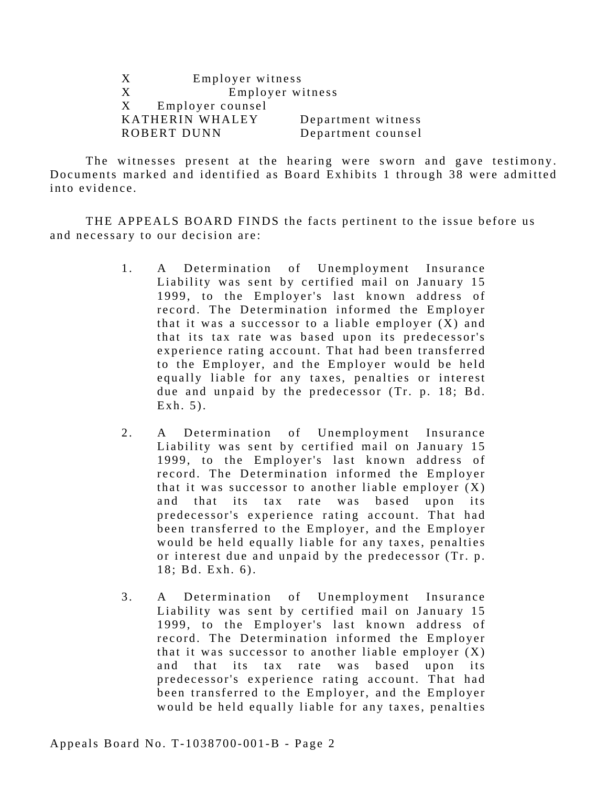| X | Employer witness   |                    |
|---|--------------------|--------------------|
| X | Employer witness   |                    |
|   | X Employer counsel |                    |
|   | KATHERIN WHALEY    | Department witness |
|   | ROBERT DUNN        | Department counsel |

The witnesses present at the hearing were sworn and gave testimony. Documents marked and identified as Board Exhibits 1 through 38 were admitted into evidence.

THE APPEALS BOARD FINDS the facts pertinent to the issue before us and necessary to our decision are:

- 1. A Determination of Unemployment Insurance Liability was sent by certified mail on January 15 1999, to the Employer's last known address of record. The Determination informed the Employer that it was a successor to a liable employer  $(X)$  and that its tax rate was based upon its predecessor's experience rating account. That had been transferred to the Employer, and the Employer would be held equally liable for any taxes, penalties or interest due and unpaid by the predecessor (Tr. p. 18; Bd.  $Exh. 5$ ).
- 2. A Determination of Unemployment Insurance Liability was sent by certified mail on January 15 1999, to the Employer's last known address of record. The Determination informed the Employer that it was successor to another liable employer  $(X)$ and that its tax rate was based upon its predecessor's experience rating account. That had been transferred to the Employer, and the Employer would be held equally liable for any taxes, penalties or interest due and unpaid by the predecessor (Tr. p. 18; Bd. Exh. 6).
- 3. A Determination of Unemployment Insurance Liability was sent by certified mail on January 15 1999, to the Employer's last known address of record. The Determination informed the Employer that it was successor to another liable employer  $(X)$ and that its tax rate was based upon its predecessor's experience rating account. That had been transferred to the Employer, and the Employer would be held equally liable for any taxes, penalties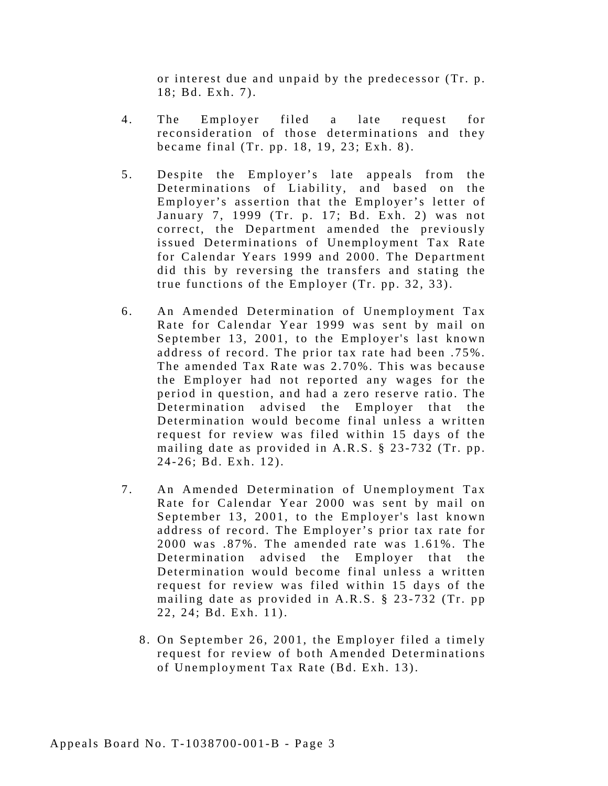or interest due and unpaid by the predecessor (Tr. p. 18; Bd. Exh. 7).

- 4. The Employer filed a late request for reconsideration of those determinations and they became final (Tr. pp. 18, 19, 23; Exh. 8).
- 5. Despite the Employer's late appeals from the Determinations of Liability, and based on the Employer's assertion that the Employer's letter of January 7, 1999 (Tr. p. 17; Bd. Exh. 2) was not correct, the Department amended the previously issued Determinations of Unemployment Tax Rate for Calendar Years 1999 and 2000. The Department did this by reversing the transfers and stating the true functions of the Employer (Tr. pp. 32, 33).
- 6. An Amended Determination of Unemployment Tax Rate for Calendar Year 1999 was sent by mail on September 13, 2001, to the Employer's last known address of record. The prior tax rate had been .75%. The amended Tax Rate was 2.70%. This was because the Employer had not reported any wages for the period in question, and had a zero reserve ratio. The Determination advised the Employer that the Determination would become final unless a written request for review was filed within 15 days of the mailing date as provided in A.R.S. § 23-732 (Tr. pp. 24-26; Bd. Exh. 12).
- 7. An Amended Determination of Unemployment Tax Rate for Calendar Year 2000 was sent by mail on September 13, 2001, to the Employer's last known address of record. The Employer's prior tax rate for 2000 was .87%. The amended rate was 1.61%. The Determination advised the Employer that the Determination would become final unless a written request for review was filed within 15 days of the mailing date as provided in A.R.S. § 23-732 (Tr. pp 22, 24; Bd. Exh. 11).
	- 8. On September 26, 2001, the Employer filed a timely request for review of both Amended Determinations of Unemployment Tax Rate (Bd. Exh. 13).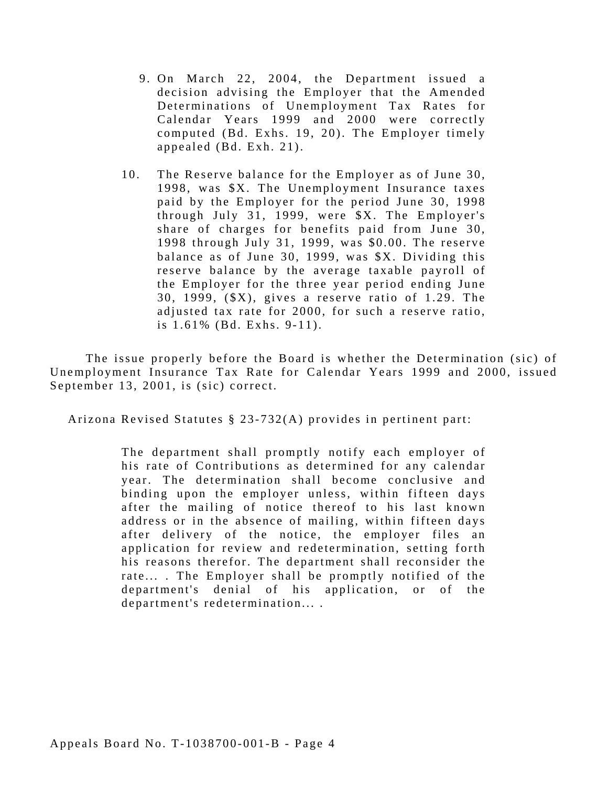- 9. On March 22, 2004, the Department issued a decision advising the Employer that the Amended Determinations of Unemployment Tax Rates for Calendar Years 1999 and 2000 were correctly computed (Bd. Exhs. 19, 20). The Employer timely appealed (Bd. Exh. 21).
- 10. The Reserve balance for the Employer as of June 30, 1998, was \$X. The Unemployment Insurance taxes paid by the Employer for the period June 30, 1998 through July 31, 1999, were \$X. The Employer's share of charges for benefits paid from June 30, 1998 through July 31, 1999, was \$0.00. The reserve balance as of June 30, 1999, was \$X. Dividing this reserve balance by the average taxable payroll of the Employer for the three year period ending June 30, 1999, (\$X), gives a reserve ratio of 1.29. The adjusted tax rate for 2000, for such a reserve ratio, is 1.61% (Bd. Exhs. 9-11).

The issue properly before the Board is whether the Determination (sic) of Unemployment Insurance Tax Rate for Calendar Years 1999 and 2000, issued September 13, 2001, is (sic) correct.

Arizona Revised Statutes § 23-732(A) provides in pertinent part:

The department shall promptly notify each employer of his rate of Contributions as determined for any calendar year. The determination shall become conclusive and binding upon the employer unless, within fifteen days after the mailing of notice thereof to his last known address or in the absence of mailing, within fifteen days after delivery of the notice, the employer files an application for review and redetermination, setting forth his reasons therefor. The department shall reconsider the rate... . The Employer shall be promptly notified of the department's denial of his application, or of the department's redetermination... .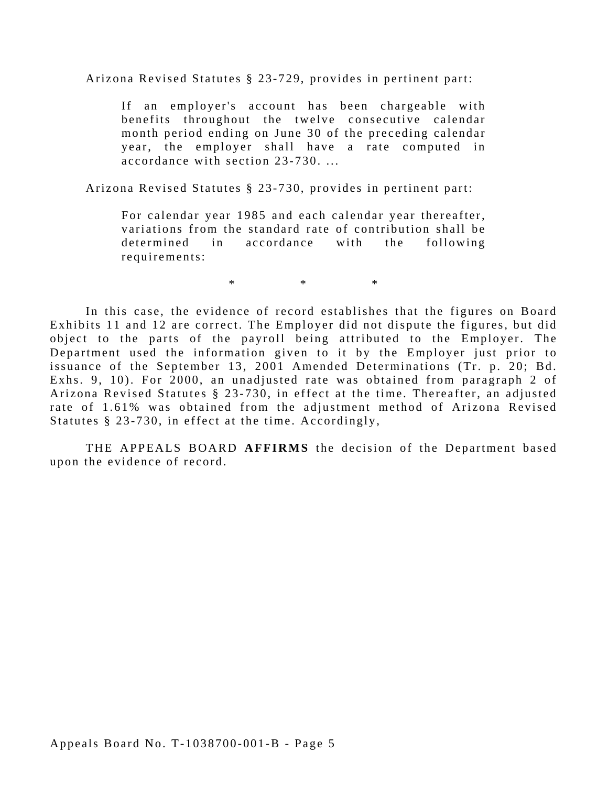Arizona Revised Statutes § 23-729, provides in pertinent part:

If an employer's account has been chargeable with benefits throughout the twelve consecutive calendar month period ending on June 30 of the preceding calendar year, the employer shall have a rate computed in accordance with section 23-730. ...

Arizona Revised Statutes § 23-730, provides in pertinent part:

For calendar year 1985 and each calendar year thereafter, variations from the standard rate of contribution shall be determined in accordance with the following requirements:

 $*$  \*  $*$ 

In this case, the evidence of record establishes that the figures on Board Exhibits 11 and 12 are correct. The Employer did not dispute the figures, but did object to the parts of the payroll being attributed to the Employer. The Department used the information given to it by the Employer just prior to issuance of the September 13, 2001 Amended Determinations (Tr. p. 20; Bd. Exhs. 9, 10). For 2000, an unadjusted rate was obtained from paragraph 2 of Arizona Revised Statutes § 23-730, in effect at the time. Thereafter, an adjusted rate of 1.61% was obtained from the adjustment method of Arizona Revised Statutes § 23-730, in effect at the time. Accordingly,

THE APPEALS BOARD **AFFIRMS** the decision of the Department based upon the evidence of record.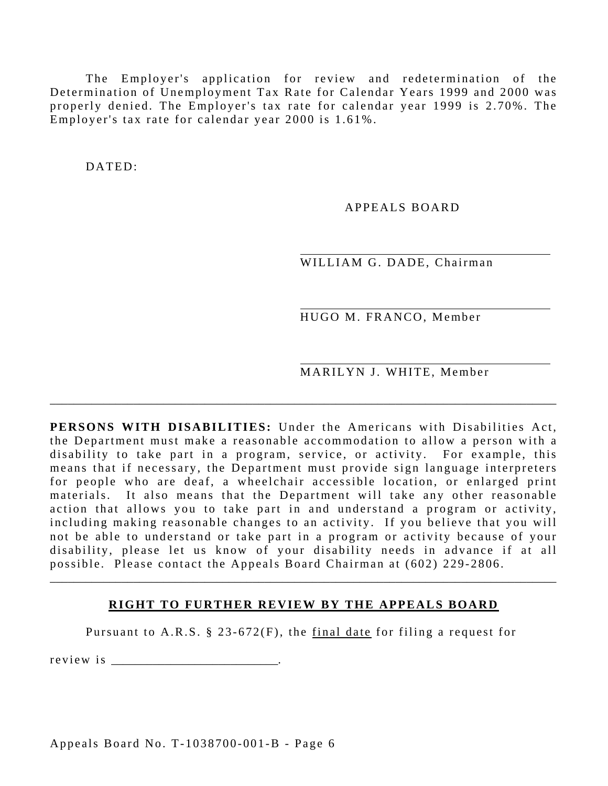The Employer's application for review and redetermination of the Determination of Unemployment Tax Rate for Calendar Years 1999 and 2000 was properly denied. The Employer's tax rate for calendar year 1999 is 2.70%. The Employer's tax rate for calendar year 2000 is 1.61%.

DATED:

APPEALS BOARD

WILLIAM G. DADE, Chairman

HUGO M. FRANCO, Member

MARILYN J. WHITE, Member

**PERSONS WITH DISABILITIES:** Under the Americans with Disabilities Act, the Department must make a reasonable accommodation to allow a person with a disability to take part in a program, service, or activity. For example, this means that if necessary, the Department must provide sign language interpreters for people who are deaf, a wheelchair accessible location, or enlarged print materials. It also means that the Department will take any other reasonable action that allows you to take part in and understand a program or activity, including making reasonable changes to an activity. If you believe that you will not be able to understand or take part in a program or activity because of your disability, please let us know of your disability needs in advance if at all possible. Please contact the Appeals Board Chairman at (602) 229-2806.

\_\_\_\_\_\_\_\_\_\_\_\_\_\_\_\_\_\_\_\_\_\_\_\_\_\_\_\_\_\_\_\_\_\_\_\_\_\_\_\_\_\_\_\_\_\_\_\_\_\_\_\_\_\_\_\_\_\_\_\_\_\_\_\_\_\_\_\_\_\_\_\_\_\_\_\_\_\_\_\_\_\_\_\_\_

#### **RIGHT TO FURTHER REVIEW BY THE APPEALS BOARD**

\_\_\_\_\_\_\_\_\_\_\_\_\_\_\_\_\_\_\_\_\_\_\_\_\_\_\_\_\_\_\_\_\_\_\_\_\_\_\_\_\_\_\_\_\_\_\_\_\_\_\_\_\_\_\_\_\_\_\_\_\_\_\_\_\_\_\_\_\_\_\_\_\_\_\_\_\_\_\_\_\_\_\_\_\_

Pursuant to A.R.S.  $\S$  23-672(F), the final date for filing a request for

r e v i e w i s

Appeals Board No. T-1038700-001-B - Page 6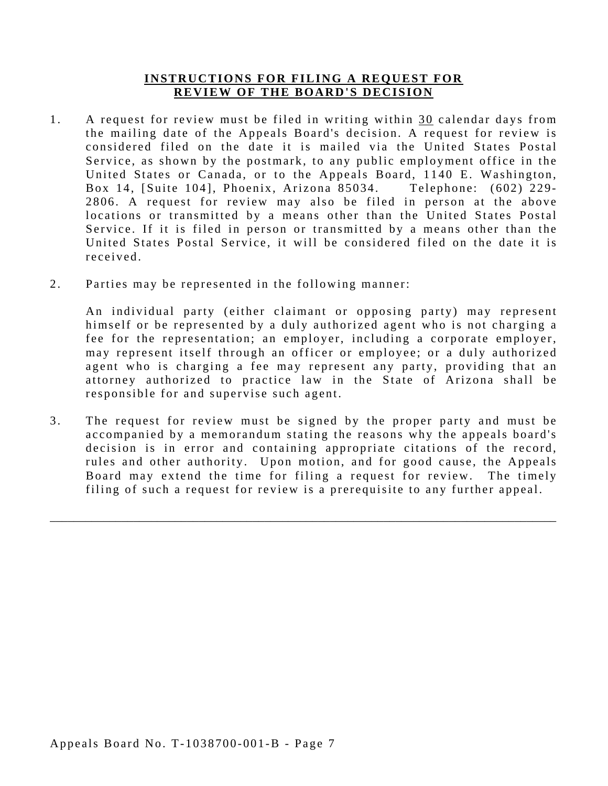#### **INSTRUCTIONS FOR FILING A REQUEST FOR REVIEW OF THE BOARD'S DECISION**

- received. 1. A request for review must be filed in writing within 30 calendar days from the mailing date of the Appeals Board's decision. A request for review is considered filed on the date it is mailed via the United States Postal Service, as shown by the postmark, to any public employment office in the United States or Canada, or to the Appeals Board, 1140 E. Washington, Box 14, [Suite 104], Phoenix, Arizona 85034. Telephone: (602) 229-2806. A request for review may also be filed in person at the above locations or transmitted by a means other than the United States Postal Service. If it is filed in person or transmitted by a means other than the United States Postal Service, it will be considered filed on the date it is
- 2. Parties may be represented in the following manner:

An individual party (either claimant or opposing party) may represent himself or be represented by a duly authorized agent who is not charging a fee for the representation; an employer, including a corporate employer, may represent itself through an officer or employee; or a duly authorized agent who is charging a fee may represent any party, providing that an attorney authorized to practice law in the State of Arizona shall be responsible for and supervise such agent.

3. The request for review must be signed by the proper party and must be accompanied by a memorandum stating the reasons why the appeals board's decision is in error and containing appropriate citations of the record, rules and other authority. Upon motion, and for good cause, the Appeals Board may extend the time for filing a request for review. The timely filing of such a request for review is a prerequisite to any further appeal.

\_\_\_\_\_\_\_\_\_\_\_\_\_\_\_\_\_\_\_\_\_\_\_\_\_\_\_\_\_\_\_\_\_\_\_\_\_\_\_\_\_\_\_\_\_\_\_\_\_\_\_\_\_\_\_\_\_\_\_\_\_\_\_\_\_\_\_\_\_\_\_\_\_\_\_\_\_\_\_\_\_\_\_\_\_